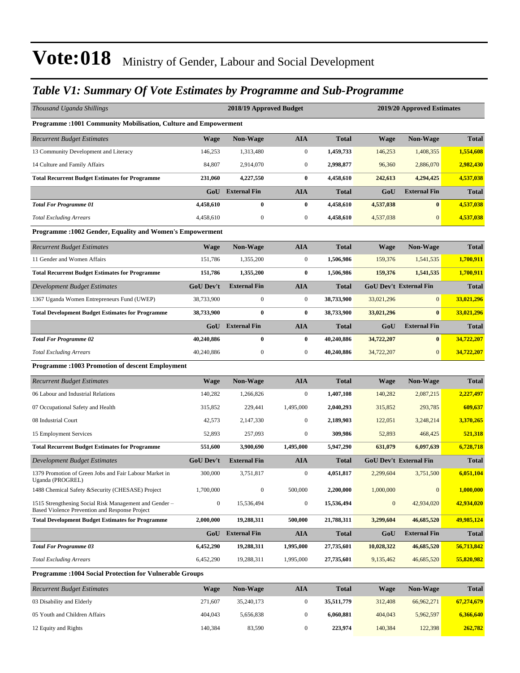### *Table V1: Summary Of Vote Estimates by Programme and Sub-Programme*

| Thousand Uganda Shillings                                                                               |                  | 2018/19 Approved Budget |                  |              |                  | 2019/20 Approved Estimates    |              |
|---------------------------------------------------------------------------------------------------------|------------------|-------------------------|------------------|--------------|------------------|-------------------------------|--------------|
| <b>Programme:1001 Community Mobilisation, Culture and Empowerment</b>                                   |                  |                         |                  |              |                  |                               |              |
| <b>Recurrent Budget Estimates</b>                                                                       | <b>Wage</b>      | Non-Wage                | <b>AIA</b>       | <b>Total</b> | Wage             | Non-Wage                      | <b>Total</b> |
| 13 Community Development and Literacy                                                                   | 146,253          | 1,313,480               | $\boldsymbol{0}$ | 1,459,733    | 146,253          | 1,408,355                     | 1,554,608    |
| 14 Culture and Family Affairs                                                                           | 84,807           | 2,914,070               | $\boldsymbol{0}$ | 2,998,877    | 96,360           | 2,886,070                     | 2,982,430    |
| <b>Total Recurrent Budget Estimates for Programme</b>                                                   | 231,060          | 4,227,550               | $\bf{0}$         | 4,458,610    | 242,613          | 4,294,425                     | 4,537,038    |
|                                                                                                         | GoU              | <b>External Fin</b>     | <b>AIA</b>       | Total        | GoU              | <b>External Fin</b>           | <b>Total</b> |
| <b>Total For Programme 01</b>                                                                           | 4,458,610        | $\bf{0}$                | $\bf{0}$         | 4,458,610    | 4,537,038        | $\bf{0}$                      | 4,537,038    |
| <b>Total Excluding Arrears</b>                                                                          | 4,458,610        | $\boldsymbol{0}$        | $\boldsymbol{0}$ | 4,458,610    | 4,537,038        | $\mathbf{0}$                  | 4,537,038    |
| Programme : 1002 Gender, Equality and Women's Empowerment                                               |                  |                         |                  |              |                  |                               |              |
| <b>Recurrent Budget Estimates</b>                                                                       | <b>Wage</b>      | Non-Wage                | <b>AIA</b>       | <b>Total</b> | Wage             | <b>Non-Wage</b>               | <b>Total</b> |
| 11 Gender and Women Affairs                                                                             | 151,786          | 1,355,200               | $\boldsymbol{0}$ | 1,506,986    | 159,376          | 1,541,535                     | 1,700,911    |
| <b>Total Recurrent Budget Estimates for Programme</b>                                                   | 151,786          | 1,355,200               | 0                | 1,506,986    | 159,376          | 1,541,535                     | 1,700,911    |
| Development Budget Estimates                                                                            | <b>GoU Dev't</b> | <b>External Fin</b>     | <b>AIA</b>       | <b>Total</b> |                  | <b>GoU Dev't External Fin</b> | <b>Total</b> |
| 1367 Uganda Women Entrepreneurs Fund (UWEP)                                                             | 38,733,900       | $\mathbf{0}$            | $\boldsymbol{0}$ | 38,733,900   | 33,021,296       | $\overline{0}$                | 33,021,296   |
| <b>Total Development Budget Estimates for Programme</b>                                                 | 38,733,900       | $\bf{0}$                | 0                | 38,733,900   | 33,021,296       | $\bf{0}$                      | 33,021,296   |
|                                                                                                         | GoU              | <b>External Fin</b>     | <b>AIA</b>       | <b>Total</b> | GoU              | <b>External Fin</b>           | <b>Total</b> |
| <b>Total For Programme 02</b>                                                                           | 40,240,886       | $\bf{0}$                | $\bf{0}$         | 40,240,886   | 34,722,207       | $\bf{0}$                      | 34,722,207   |
| <b>Total Excluding Arrears</b>                                                                          | 40,240,886       | $\mathbf{0}$            | $\boldsymbol{0}$ | 40,240,886   | 34,722,207       | $\overline{0}$                | 34,722,207   |
| <b>Programme: 1003 Promotion of descent Employment</b>                                                  |                  |                         |                  |              |                  |                               |              |
| <b>Recurrent Budget Estimates</b>                                                                       | <b>Wage</b>      | <b>Non-Wage</b>         | <b>AIA</b>       | Total        | <b>Wage</b>      | <b>Non-Wage</b>               | <b>Total</b> |
| 06 Labour and Industrial Relations                                                                      | 140,282          | 1,266,826               | $\boldsymbol{0}$ | 1,407,108    | 140,282          | 2,087,215                     | 2,227,497    |
| 07 Occupational Safety and Health                                                                       | 315,852          | 229,441                 | 1,495,000        | 2,040,293    | 315,852          | 293,785                       | 609,637      |
| 08 Industrial Court                                                                                     | 42,573           | 2,147,330               | $\boldsymbol{0}$ | 2,189,903    | 122,051          | 3,248,214                     | 3,370,265    |
| 15 Employment Services                                                                                  | 52,893           | 257,093                 | $\boldsymbol{0}$ | 309,986      | 52,893           | 468,425                       | 521,318      |
| <b>Total Recurrent Budget Estimates for Programme</b>                                                   | 551,600          | 3,900,690               | 1,495,000        | 5,947,290    | 631,079          | 6,097,639                     | 6,728,718    |
| <b>Development Budget Estimates</b>                                                                     | <b>GoU Dev't</b> | <b>External Fin</b>     | AIA              | Total        |                  | <b>GoU Dev't External Fin</b> | <b>Total</b> |
| 1379 Promotion of Green Jobs and Fair Labour Market in<br>Uganda (PROGREL)                              | 300,000          | 3,751,817               | $\boldsymbol{0}$ | 4,051,817    | 2,299,604        | 3,751,500                     | 6,051,104    |
| 1488 Chemical Safety & Security (CHESASE) Project                                                       | 1,700,000        | $\boldsymbol{0}$        | 500,000          | 2,200,000    | 1,000,000        | $\boldsymbol{0}$              | 1,000,000    |
| 1515 Strengthening Social Risk Management and Gender-<br>Based Violence Prevention and Response Project | $\boldsymbol{0}$ | 15,536,494              | $\boldsymbol{0}$ | 15,536,494   | $\boldsymbol{0}$ | 42,934,020                    | 42,934,020   |
| <b>Total Development Budget Estimates for Programme</b>                                                 | 2,000,000        | 19,288,311              | 500,000          | 21,788,311   | 3,299,604        | 46,685,520                    | 49,985,124   |
|                                                                                                         | GoU              | <b>External Fin</b>     | AIA              | <b>Total</b> | GoU              | <b>External Fin</b>           | <b>Total</b> |
| <b>Total For Programme 03</b>                                                                           | 6,452,290        | 19,288,311              | 1,995,000        | 27,735,601   | 10,028,322       | 46,685,520                    | 56,713,842   |
| <b>Total Excluding Arrears</b>                                                                          | 6,452,290        | 19,288,311              | 1,995,000        | 27,735,601   | 9,135,462        | 46,685,520                    | 55,820,982   |
| <b>Programme: 1004 Social Protection for Vulnerable Groups</b>                                          |                  |                         |                  |              |                  |                               |              |
| <b>Recurrent Budget Estimates</b>                                                                       | <b>Wage</b>      | Non-Wage                | <b>AIA</b>       | <b>Total</b> | <b>Wage</b>      | Non-Wage                      | <b>Total</b> |
| 03 Disability and Elderly                                                                               | 271,607          | 35,240,173              | $\boldsymbol{0}$ | 35,511,779   | 312,408          | 66,962,271                    | 67,274,679   |
| 05 Youth and Children Affairs                                                                           | 404,043          | 5,656,838               | $\boldsymbol{0}$ | 6,060,881    | 404,043          | 5,962,597                     | 6,366,640    |

12 Equity and Rights 140,384 83,590 0 **223,974** 140,384 122,398 **262,782**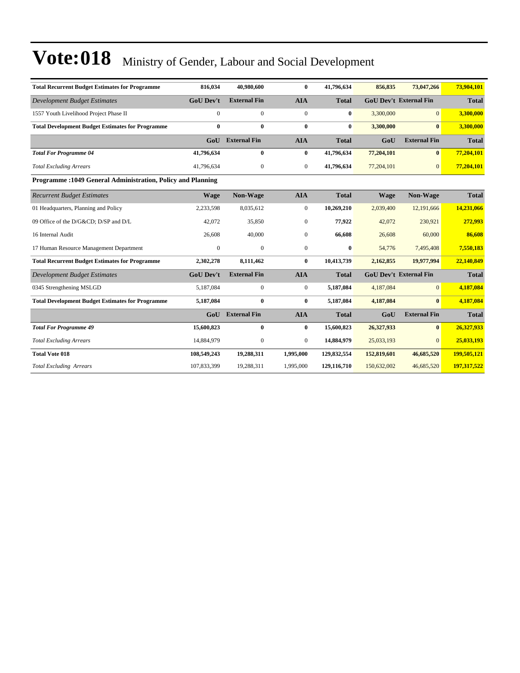| <b>Total Recurrent Budget Estimates for Programme</b>       | 816,034          | 40,980,600          | $\bf{0}$         | 41,796,634   | 856,835     | 73,047,266                    | 73,904,101   |
|-------------------------------------------------------------|------------------|---------------------|------------------|--------------|-------------|-------------------------------|--------------|
| <b>Development Budget Estimates</b>                         | <b>GoU Dev't</b> | <b>External Fin</b> | <b>AIA</b>       | <b>Total</b> |             | <b>GoU Dev't External Fin</b> | <b>Total</b> |
| 1557 Youth Livelihood Project Phase II                      | $\overline{0}$   | $\boldsymbol{0}$    | $\boldsymbol{0}$ | $\bf{0}$     | 3,300,000   | $\overline{0}$                | 3,300,000    |
| <b>Total Development Budget Estimates for Programme</b>     | $\bf{0}$         | $\bf{0}$            | $\bf{0}$         | $\bf{0}$     | 3,300,000   | $\mathbf{0}$                  | 3,300,000    |
|                                                             | GoU              | <b>External Fin</b> | <b>AIA</b>       | <b>Total</b> | GoU         | <b>External Fin</b>           | <b>Total</b> |
| <b>Total For Programme 04</b>                               | 41,796,634       | $\bf{0}$            | $\bf{0}$         | 41,796,634   | 77,204,101  | $\mathbf{0}$                  | 77,204,101   |
| <b>Total Excluding Arrears</b>                              | 41,796,634       | $\boldsymbol{0}$    | $\boldsymbol{0}$ | 41,796,634   | 77,204,101  | $\mathbf{0}$                  | 77,204,101   |
| Programme: 1049 General Administration, Policy and Planning |                  |                     |                  |              |             |                               |              |
| <b>Recurrent Budget Estimates</b>                           | <b>Wage</b>      | Non-Wage            | <b>AIA</b>       | <b>Total</b> | <b>Wage</b> | Non-Wage                      | <b>Total</b> |
| 01 Headquarters, Planning and Policy                        | 2,233,598        | 8,035,612           | $\mathbf{0}$     | 10,269,210   | 2,039,400   | 12.191.666                    | 14,231,066   |
| 09 Office of the D/G&CD D/SP and D/L                        | 42,072           | 35,850              | $\mathbf{0}$     | 77,922       | 42,072      | 230,921                       | 272,993      |
| 16 Internal Audit                                           | 26,608           | 40,000              | $\mathbf{0}$     | 66,608       | 26,608      | 60,000                        | 86,608       |
| 17 Human Resource Management Department                     | $\mathbf{0}$     | $\mathbf{0}$        | $\mathbf{0}$     | $\bf{0}$     | 54,776      | 7,495,408                     | 7,550,183    |
| <b>Total Recurrent Budget Estimates for Programme</b>       | 2,302,278        | 8,111,462           | $\bf{0}$         | 10,413,739   | 2,162,855   | 19,977,994                    | 22,140,849   |
| <b>Development Budget Estimates</b>                         | <b>GoU Dev't</b> | <b>External Fin</b> | <b>AIA</b>       | <b>Total</b> |             | <b>GoU Dev't External Fin</b> | <b>Total</b> |
| 0345 Strengthening MSLGD                                    | 5,187,084        | $\overline{0}$      | $\mathbf{0}$     | 5,187,084    | 4,187,084   | $\Omega$                      | 4,187,084    |
| <b>Total Development Budget Estimates for Programme</b>     | 5,187,084        | $\bf{0}$            | $\bf{0}$         | 5,187,084    | 4,187,084   | $\mathbf{0}$                  | 4,187,084    |
|                                                             | G <sub>0</sub> U | <b>External Fin</b> | <b>AIA</b>       | <b>Total</b> | GoU         | <b>External Fin</b>           | <b>Total</b> |
| <b>Total For Programme 49</b>                               | 15,600,823       | $\bf{0}$            | $\bf{0}$         | 15,600,823   | 26,327,933  | $\mathbf{0}$                  | 26,327,933   |
| <b>Total Excluding Arrears</b>                              | 14,884,979       | $\mathbf{0}$        | $\mathbf{0}$     | 14,884,979   | 25,033,193  | $\Omega$                      | 25,033,193   |
| <b>Total Vote 018</b>                                       | 108,549,243      | 19,288,311          | 1,995,000        | 129,832,554  | 152,819,601 | 46,685,520                    | 199,505,121  |
| <b>Total Excluding Arrears</b>                              | 107,833,399      | 19,288,311          | 1,995,000        | 129,116,710  | 150,632,002 | 46,685,520                    | 197,317,522  |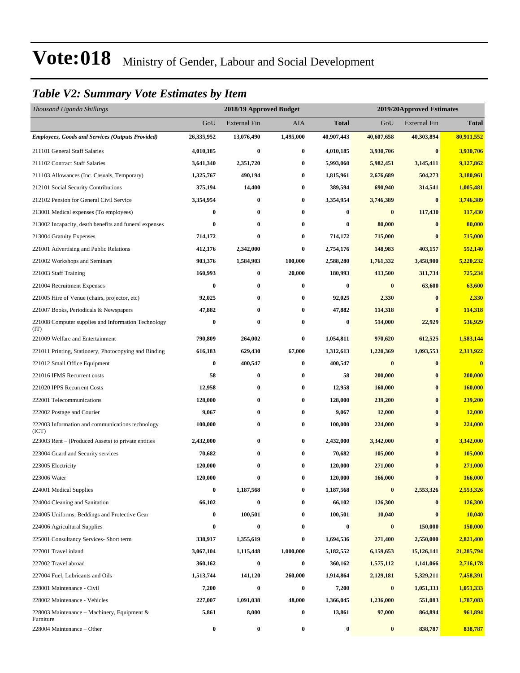### *Table V2: Summary Vote Estimates by Item*

| Thousand Uganda Shillings                                   |            | 2018/19 Approved Budget<br>2019/20Approved Estimates |           |                  |            |                     |                         |
|-------------------------------------------------------------|------------|------------------------------------------------------|-----------|------------------|------------|---------------------|-------------------------|
|                                                             | GoU        | <b>External Fin</b>                                  | AIA       | <b>Total</b>     | GoU        | <b>External Fin</b> | <b>Total</b>            |
| <b>Employees, Goods and Services (Outputs Provided)</b>     | 26,335,952 | 13,076,490                                           | 1,495,000 | 40,907,443       | 40,607,658 | 40,303,894          | 80,911,552              |
| 211101 General Staff Salaries                               | 4,010,185  | $\bf{0}$                                             | 0         | 4,010,185        | 3,930,706  | $\bf{0}$            | 3,930,706               |
| 211102 Contract Staff Salaries                              | 3,641,340  | 2,351,720                                            | $\bf{0}$  | 5,993,060        | 5,982,451  | 3,145,411           | 9,127,862               |
| 211103 Allowances (Inc. Casuals, Temporary)                 | 1,325,767  | 490,194                                              | $\bf{0}$  | 1,815,961        | 2,676,689  | 504,273             | 3,180,961               |
| 212101 Social Security Contributions                        | 375,194    | 14,400                                               | 0         | 389,594          | 690,940    | 314,541             | 1,005,481               |
| 212102 Pension for General Civil Service                    | 3,354,954  | $\bf{0}$                                             | $\bf{0}$  | 3,354,954        | 3,746,389  | $\bf{0}$            | 3,746,389               |
| 213001 Medical expenses (To employees)                      | 0          | $\bf{0}$                                             | 0         | 0                | $\bf{0}$   | 117,430             | 117,430                 |
| 213002 Incapacity, death benefits and funeral expenses      | 0          | $\bf{0}$                                             | $\bf{0}$  | 0                | 80,000     | $\bf{0}$            | 80,000                  |
| 213004 Gratuity Expenses                                    | 714,172    | $\bf{0}$                                             | 0         | 714,172          | 715,000    | $\bf{0}$            | 715,000                 |
| 221001 Advertising and Public Relations                     | 412,176    | 2,342,000                                            | $\bf{0}$  | 2,754,176        | 148,983    | 403,157             | 552,140                 |
| 221002 Workshops and Seminars                               | 903,376    | 1,584,903                                            | 100,000   | 2,588,280        | 1,761,332  | 3,458,900           | 5,220,232               |
| 221003 Staff Training                                       | 160,993    | $\bf{0}$                                             | 20,000    | 180,993          | 413,500    | 311,734             | 725,234                 |
| 221004 Recruitment Expenses                                 | 0          | $\bf{0}$                                             | $\bf{0}$  | $\boldsymbol{0}$ | $\bf{0}$   | 63,600              | 63,600                  |
| 221005 Hire of Venue (chairs, projector, etc)               | 92,025     | $\bf{0}$                                             | $\bf{0}$  | 92,025           | 2,330      | $\bf{0}$            | 2,330                   |
| 221007 Books, Periodicals & Newspapers                      | 47,882     | $\bf{0}$                                             | $\bf{0}$  | 47,882           | 114,318    | $\bf{0}$            | 114,318                 |
| 221008 Computer supplies and Information Technology<br>(TT) | $\bf{0}$   | $\bf{0}$                                             | $\bf{0}$  | 0                | 514,000    | 22,929              | 536,929                 |
| 221009 Welfare and Entertainment                            | 790,809    | 264,002                                              | $\bf{0}$  | 1,054,811        | 970,620    | 612,525             | 1,583,144               |
| 221011 Printing, Stationery, Photocopying and Binding       | 616,183    | 629,430                                              | 67,000    | 1,312,613        | 1,220,369  | 1,093,553           | 2,313,922               |
| 221012 Small Office Equipment                               | 0          | 400,547                                              | $\bf{0}$  | 400,547          | $\bf{0}$   | $\bf{0}$            | $\overline{\mathbf{0}}$ |
| 221016 IFMS Recurrent costs                                 | 58         | $\bf{0}$                                             | $\bf{0}$  | 58               | 200,000    | $\bf{0}$            | 200,000                 |
| 221020 IPPS Recurrent Costs                                 | 12,958     | $\bf{0}$                                             | $\bf{0}$  | 12,958           | 160,000    | $\bf{0}$            | <b>160,000</b>          |
| 222001 Telecommunications                                   | 128,000    | $\bf{0}$                                             | $\bf{0}$  | 128,000          | 239,200    | $\bf{0}$            | 239,200                 |
| 222002 Postage and Courier                                  | 9,067      | $\bf{0}$                                             | $\bf{0}$  | 9,067            | 12,000     | $\bf{0}$            | 12,000                  |
| 222003 Information and communications technology<br>(ICT)   | 100,000    | $\bf{0}$                                             | $\bf{0}$  | 100,000          | 224,000    | $\bf{0}$            | 224,000                 |
| 223003 Rent – (Produced Assets) to private entities         | 2,432,000  | $\bf{0}$                                             | $\bf{0}$  | 2,432,000        | 3,342,000  | $\bf{0}$            | 3,342,000               |
| 223004 Guard and Security services                          | 70,682     | $\bf{0}$                                             | $\bf{0}$  | 70,682           | 105,000    | $\bf{0}$            | 105,000                 |
| 223005 Electricity                                          | 120,000    | $\bf{0}$                                             | $\bf{0}$  | 120,000          | 271,000    | $\bf{0}$            | 271,000                 |
| 223006 Water                                                | 120,000    | $\bf{0}$                                             | $\bf{0}$  | 120,000          | 166,000    | $\bf{0}$            | 166,000                 |
| 224001 Medical Supplies                                     | 0          | 1,187,568                                            | $\bf{0}$  | 1,187,568        | $\bf{0}$   | 2,553,326           | 2,553,326               |
| 224004 Cleaning and Sanitation                              | 66,102     | $\bf{0}$                                             | $\bf{0}$  | 66,102           | 126,300    | $\bf{0}$            | 126,300                 |
| 224005 Uniforms, Beddings and Protective Gear               | 0          | 100,501                                              | 0         | 100,501          | 10,040     | $\bf{0}$            | 10,040                  |
| 224006 Agricultural Supplies                                | 0          | $\bf{0}$                                             | 0         | 0                | $\bf{0}$   | 150,000             | 150,000                 |
| 225001 Consultancy Services- Short term                     | 338,917    | 1,355,619                                            | $\bf{0}$  | 1,694,536        | 271,400    | 2,550,000           | 2,821,400               |
| 227001 Travel inland                                        | 3,067,104  | 1,115,448                                            | 1,000,000 | 5,182,552        | 6,159,653  | 15,126,141          | 21,285,794              |
| 227002 Travel abroad                                        | 360,162    | $\bf{0}$                                             | $\bf{0}$  | 360,162          | 1,575,112  | 1,141,066           | 2,716,178               |
| 227004 Fuel, Lubricants and Oils                            | 1,513,744  | 141,120                                              | 260,000   | 1,914,864        | 2,129,181  | 5,329,211           | 7,458,391               |
| 228001 Maintenance - Civil                                  | 7,200      | $\bf{0}$                                             | $\bf{0}$  | 7,200            | $\bf{0}$   | 1,051,333           | 1,051,333               |
| 228002 Maintenance - Vehicles                               | 227,007    | 1,091,038                                            | 48,000    | 1,366,045        | 1,236,000  | 551,083             | 1,787,083               |
| 228003 Maintenance – Machinery, Equipment $\&$<br>Furniture | 5,861      | 8,000                                                | $\bf{0}$  | 13,861           | 97,000     | 864,894             | 961,894                 |
| 228004 Maintenance – Other                                  | 0          | $\boldsymbol{0}$                                     | $\bf{0}$  | $\boldsymbol{0}$ | $\pmb{0}$  | 838,787             | 838,787                 |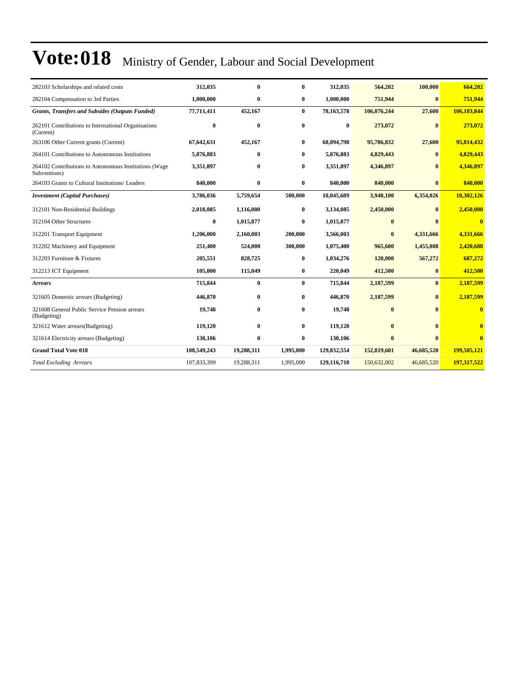| 282103 Scholarships and related costs                                 | 312,035     | $\bf{0}$     | $\bf{0}$     | 312,035     | 564,202      | 100,000      | 664,202                 |
|-----------------------------------------------------------------------|-------------|--------------|--------------|-------------|--------------|--------------|-------------------------|
| 282104 Compensation to 3rd Parties                                    | 1,000,000   | $\bf{0}$     | $\bf{0}$     | 1,000,000   | 751,944      | $\bf{0}$     | 751,944                 |
| <b>Grants, Transfers and Subsides (Outputs Funded)</b>                | 77,711,411  | 452,167      | $\bf{0}$     | 78,163,578  | 106,076,244  | 27,600       | 106,103,844             |
| 262101 Contributions to International Organisations<br>(Current)      | $\bf{0}$    | $\bf{0}$     | $\bf{0}$     | $\bf{0}$    | 273,072      | $\mathbf{0}$ | 273,072                 |
| 263106 Other Current grants (Current)                                 | 67,642,631  | 452,167      | $\bf{0}$     | 68,094,798  | 95,786,832   | 27,600       | 95,814,432              |
| 264101 Contributions to Autonomous Institutions                       | 5,876,883   | $\mathbf{0}$ | 0            | 5,876,883   | 4,829,443    | $\bf{0}$     | 4,829,443               |
| 264102 Contributions to Autonomous Institutions (Wage<br>Subventions) | 3,351,897   | $\bf{0}$     | $\bf{0}$     | 3,351,897   | 4,346,897    | $\mathbf{0}$ | 4,346,897               |
| 264103 Grants to Cultural Institutions/ Leaders                       | 840,000     | $\bf{0}$     | $\bf{0}$     | 840,000     | 840,000      | $\bf{0}$     | 840,000                 |
| <b>Investment</b> (Capital Purchases)                                 | 3,786,036   | 5,759,654    | 500,000      | 10,045,689  | 3,948,100    | 6,354,026    | 10,302,126              |
| 312101 Non-Residential Buildings                                      | 2,018,085   | 1,116,000    | $\bf{0}$     | 3,134,085   | 2,450,000    | $\bf{0}$     | 2,450,000               |
| 312104 Other Structures                                               | $\bf{0}$    | 1,015,877    | $\mathbf{0}$ | 1,015,877   | $\bf{0}$     |              | $\mathbf{0}$            |
| 312201 Transport Equipment                                            | 1,206,000   | 2,160,003    | 200,000      | 3,566,003   | $\bf{0}$     | 4,331,666    | 4,331,666               |
| 312202 Machinery and Equipment                                        | 251,400     | 524,000      | 300,000      | 1,075,400   | 965,600      | 1,455,088    | 2,420,688               |
| 312203 Furniture & Fixtures                                           | 205,551     | 828,725      | $\bf{0}$     | 1,034,276   | 120,000      | 567,272      | 687,272                 |
| 312213 ICT Equipment                                                  | 105,000     | 115,049      | $\bf{0}$     | 220,049     | 412,500      | $\bf{0}$     | 412,500                 |
| <b>Arrears</b>                                                        | 715,844     | $\bf{0}$     | $\bf{0}$     | 715,844     | 2,187,599    | $\mathbf{0}$ | 2,187,599               |
| 321605 Domestic arrears (Budgeting)                                   | 446,870     | $\bf{0}$     | $\bf{0}$     | 446,870     | 2,187,599    | $\bf{0}$     | 2,187,599               |
| 321608 General Public Service Pension arrears<br>(Budgeting)          | 19,748      | $\bf{0}$     | 0            | 19.748      | $\bf{0}$     |              | $\bf{0}$                |
| 321612 Water arrears(Budgeting)                                       | 119,120     | $\bf{0}$     | $\bf{0}$     | 119,120     | $\mathbf{0}$ | $\mathbf{0}$ | $\overline{\mathbf{0}}$ |
| 321614 Electricity arrears (Budgeting)                                | 130,106     | $\bf{0}$     | $\bf{0}$     | 130,106     | $\bf{0}$     | $\mathbf{0}$ | $\overline{\mathbf{0}}$ |
| <b>Grand Total Vote 018</b>                                           | 108,549,243 | 19,288,311   | 1,995,000    | 129,832,554 | 152,819,601  | 46,685,520   | 199,505,121             |
| <b>Total Excluding Arrears</b>                                        | 107,833,399 | 19,288,311   | 1,995,000    | 129,116,710 | 150,632,002  | 46,685,520   | 197,317,522             |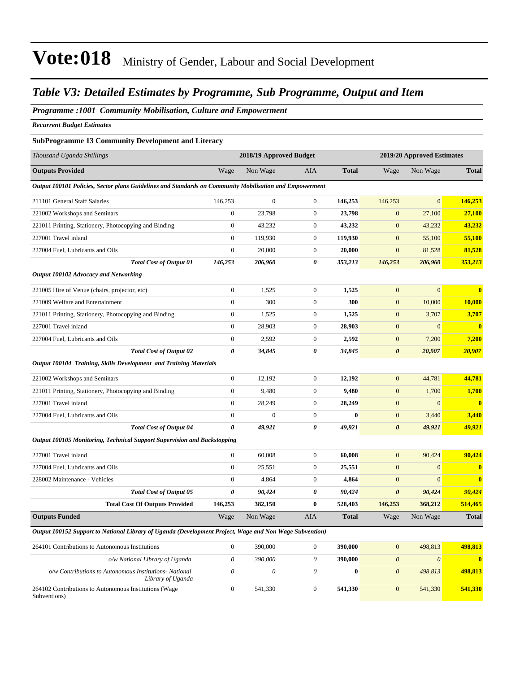### *Table V3: Detailed Estimates by Programme, Sub Programme, Output and Item*

### *Programme :1001 Community Mobilisation, Culture and Empowerment*

*Recurrent Budget Estimates*

### **SubProgramme 13 Community Development and Literacy**

| Thousand Uganda Shillings                                                                               |                       | 2018/19 Approved Budget |                           |              |                       | 2019/20 Approved Estimates |                         |
|---------------------------------------------------------------------------------------------------------|-----------------------|-------------------------|---------------------------|--------------|-----------------------|----------------------------|-------------------------|
| <b>Outputs Provided</b>                                                                                 | Wage                  | Non Wage                | AIA                       | <b>Total</b> | Wage                  | Non Wage                   | <b>Total</b>            |
| Output 100101 Policies, Sector plans Guidelines and Standards on Community Mobilisation and Empowerment |                       |                         |                           |              |                       |                            |                         |
| 211101 General Staff Salaries                                                                           | 146,253               | $\boldsymbol{0}$        | $\mathbf{0}$              | 146,253      | 146,253               | $\mathbf{0}$               | 146,253                 |
| 221002 Workshops and Seminars                                                                           | $\mathbf{0}$          | 23,798                  | $\boldsymbol{0}$          | 23,798       | $\boldsymbol{0}$      | 27,100                     | 27,100                  |
| 221011 Printing, Stationery, Photocopying and Binding                                                   | $\boldsymbol{0}$      | 43,232                  | $\boldsymbol{0}$          | 43,232       | $\boldsymbol{0}$      | 43,232                     | 43,232                  |
| 227001 Travel inland                                                                                    | $\boldsymbol{0}$      | 119,930                 | $\mathbf{0}$              | 119,930      | $\mathbf{0}$          | 55,100                     | 55,100                  |
| 227004 Fuel, Lubricants and Oils                                                                        | $\boldsymbol{0}$      | 20,000                  | $\boldsymbol{0}$          | 20,000       | $\mathbf{0}$          | 81,528                     | 81,528                  |
| <b>Total Cost of Output 01</b>                                                                          | 146,253               | 206,960                 | 0                         | 353,213      | 146,253               | 206,960                    | 353,213                 |
| Output 100102 Advocacy and Networking                                                                   |                       |                         |                           |              |                       |                            |                         |
| 221005 Hire of Venue (chairs, projector, etc)                                                           | $\boldsymbol{0}$      | 1,525                   | $\boldsymbol{0}$          | 1,525        | $\boldsymbol{0}$      | $\mathbf{0}$               | $\bf{0}$                |
| 221009 Welfare and Entertainment                                                                        | $\boldsymbol{0}$      | 300                     | $\boldsymbol{0}$          | 300          | $\boldsymbol{0}$      | 10,000                     | 10,000                  |
| 221011 Printing, Stationery, Photocopying and Binding                                                   | $\boldsymbol{0}$      | 1,525                   | $\mathbf{0}$              | 1,525        | $\boldsymbol{0}$      | 3,707                      | 3,707                   |
| 227001 Travel inland                                                                                    | $\boldsymbol{0}$      | 28,903                  | $\mathbf{0}$              | 28,903       | $\boldsymbol{0}$      | $\mathbf{0}$               | $\bf{0}$                |
| 227004 Fuel, Lubricants and Oils                                                                        | $\boldsymbol{0}$      | 2,592                   | $\mathbf{0}$              | 2,592        | $\mathbf{0}$          | 7,200                      | 7,200                   |
| <b>Total Cost of Output 02</b>                                                                          | $\pmb{\theta}$        | 34,845                  | 0                         | 34,845       | $\boldsymbol{\theta}$ | 20,907                     | 20,907                  |
| Output 100104 Training, Skills Development and Training Materials                                       |                       |                         |                           |              |                       |                            |                         |
| 221002 Workshops and Seminars                                                                           | $\boldsymbol{0}$      | 12,192                  | $\mathbf{0}$              | 12,192       | $\mathbf{0}$          | 44,781                     | 44,781                  |
| 221011 Printing, Stationery, Photocopying and Binding                                                   | $\overline{0}$        | 9,480                   | $\overline{0}$            | 9,480        | $\boldsymbol{0}$      | 1,700                      | 1,700                   |
| 227001 Travel inland                                                                                    | $\boldsymbol{0}$      | 28,249                  | $\mathbf{0}$              | 28,249       | $\mathbf{0}$          | $\mathbf{0}$               | $\overline{\mathbf{0}}$ |
| 227004 Fuel, Lubricants and Oils                                                                        | $\overline{0}$        | $\mathbf{0}$            | $\boldsymbol{0}$          | $\bf{0}$     | $\mathbf{0}$          | 3,440                      | 3,440                   |
| <b>Total Cost of Output 04</b>                                                                          | $\boldsymbol{\theta}$ | 49,921                  | 0                         | 49,921       | $\boldsymbol{\theta}$ | 49,921                     | 49,921                  |
| Output 100105 Monitoring, Technical Support Supervision and Backstopping                                |                       |                         |                           |              |                       |                            |                         |
| 227001 Travel inland                                                                                    | $\boldsymbol{0}$      | 60,008                  | $\mathbf{0}$              | 60,008       | $\mathbf{0}$          | 90,424                     | 90,424                  |
| 227004 Fuel, Lubricants and Oils                                                                        | $\boldsymbol{0}$      | 25,551                  | $\boldsymbol{0}$          | 25,551       | $\boldsymbol{0}$      | $\mathbf{0}$               | $\mathbf{0}$            |
| 228002 Maintenance - Vehicles                                                                           | $\theta$              | 4,864                   | $\mathbf{0}$              | 4,864        | $\mathbf{0}$          | $\overline{0}$             | $\mathbf{0}$            |
| <b>Total Cost of Output 05</b>                                                                          | $\boldsymbol{\theta}$ | 90,424                  | 0                         | 90,424       | $\boldsymbol{\theta}$ | 90,424                     | 90,424                  |
| <b>Total Cost Of Outputs Provided</b>                                                                   | 146,253               | 382,150                 | 0                         | 528,403      | 146,253               | 368,212                    | 514,465                 |
| <b>Outputs Funded</b>                                                                                   | Wage                  | Non Wage                | <b>AIA</b>                | <b>Total</b> | Wage                  | Non Wage                   | <b>Total</b>            |
| Output 100152 Support to National Library of Uganda (Development Project, Wage and Non Wage Subvention) |                       |                         |                           |              |                       |                            |                         |
| 264101 Contributions to Autonomous Institutions                                                         | $\theta$              | 390,000                 | $\boldsymbol{0}$          | 390,000      | $\mathbf{0}$          | 498,813                    | 498,813                 |
| o/w National Library of Uganda                                                                          | $\boldsymbol{\theta}$ | 390,000                 | $\boldsymbol{\mathit{0}}$ | 390,000      | $\boldsymbol{\theta}$ | $\boldsymbol{\theta}$      | $\mathbf{0}$            |
| o/w Contributions to Autonomous Institutions- National<br>Library of Uganda                             | $\theta$              | $\theta$                | $\theta$                  | $\bf{0}$     | $\boldsymbol{\theta}$ | 498,813                    | 498,813                 |
| 264102 Contributions to Autonomous Institutions (Wage                                                   | $\mathbf{0}$          | 541,330                 | $\Omega$                  | 541,330      | $\mathbf{0}$          | 541,330                    | 541,330                 |

Subventions)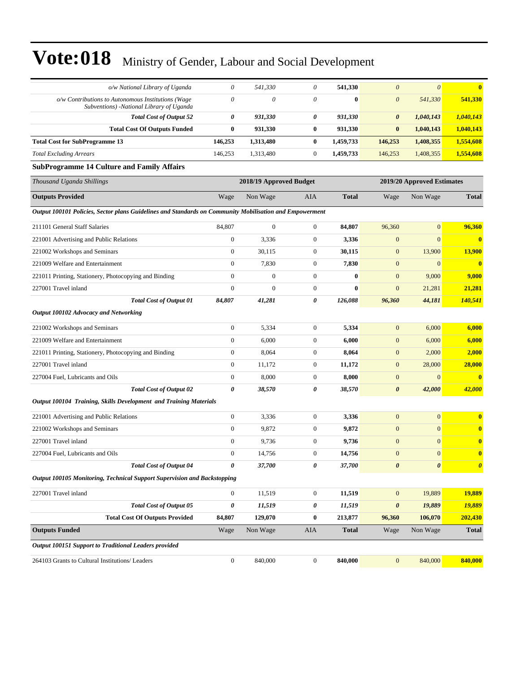| o/w National Library of Uganda                                                                          | $\theta$              | 541,330                 | $\theta$         | 541,330      | $\boldsymbol{\theta}$ | $\theta$                   | $\bf{0}$                |
|---------------------------------------------------------------------------------------------------------|-----------------------|-------------------------|------------------|--------------|-----------------------|----------------------------|-------------------------|
| o/w Contributions to Autonomous Institutions (Wage<br>Subventions) -National Library of Uganda          | $\theta$              | 0                       | $\theta$         | $\bf{0}$     | $\boldsymbol{\theta}$ | 541,330                    | 541,330                 |
| <b>Total Cost of Output 52</b>                                                                          | 0                     | 931,330                 | 0                | 931,330      | 0                     | 1,040,143                  | 1,040,143               |
| <b>Total Cost Of Outputs Funded</b>                                                                     | $\bf{0}$              | 931,330                 | $\bf{0}$         | 931,330      | $\bf{0}$              | 1,040,143                  | 1,040,143               |
| <b>Total Cost for SubProgramme 13</b>                                                                   | 146,253               | 1,313,480               | $\bf{0}$         | 1,459,733    | 146,253               | 1,408,355                  | 1,554,608               |
| <b>Total Excluding Arrears</b>                                                                          | 146,253               | 1,313,480               | $\boldsymbol{0}$ | 1,459,733    | 146,253               | 1,408,355                  | 1,554,608               |
| <b>SubProgramme 14 Culture and Family Affairs</b>                                                       |                       |                         |                  |              |                       |                            |                         |
| Thousand Uganda Shillings                                                                               |                       | 2018/19 Approved Budget |                  |              |                       | 2019/20 Approved Estimates |                         |
| <b>Outputs Provided</b>                                                                                 | Wage                  | Non Wage                | AIA              | <b>Total</b> | Wage                  | Non Wage                   | <b>Total</b>            |
| Output 100101 Policies, Sector plans Guidelines and Standards on Community Mobilisation and Empowerment |                       |                         |                  |              |                       |                            |                         |
| 211101 General Staff Salaries                                                                           | 84,807                | $\mathbf{0}$            | $\overline{0}$   | 84,807       | 96,360                | $\mathbf{0}$               | 96,360                  |
| 221001 Advertising and Public Relations                                                                 | $\boldsymbol{0}$      | 3,336                   | $\boldsymbol{0}$ | 3,336        | $\mathbf{0}$          | $\mathbf{0}$               | $\bf{0}$                |
| 221002 Workshops and Seminars                                                                           | $\mathbf{0}$          | 30,115                  | $\mathbf{0}$     | 30,115       | $\boldsymbol{0}$      | 13,900                     | <b>13,900</b>           |
| 221009 Welfare and Entertainment                                                                        | $\mathbf{0}$          | 7,830                   | $\mathbf{0}$     | 7,830        | $\mathbf{0}$          | $\mathbf{0}$               | $\overline{\mathbf{0}}$ |
| 221011 Printing, Stationery, Photocopying and Binding                                                   | $\mathbf{0}$          | $\mathbf{0}$            | $\overline{0}$   | $\bf{0}$     | $\mathbf{0}$          | 9,000                      | 9,000                   |
| 227001 Travel inland                                                                                    | $\mathbf{0}$          | $\mathbf{0}$            | $\mathbf{0}$     | $\bf{0}$     | $\overline{0}$        | 21,281                     | 21,281                  |
| <b>Total Cost of Output 01</b>                                                                          | 84,807                | 41,281                  | 0                | 126.088      | 96,360                | 44,181                     | 140,541                 |
| Output 100102 Advocacy and Networking                                                                   |                       |                         |                  |              |                       |                            |                         |
| 221002 Workshops and Seminars                                                                           | $\boldsymbol{0}$      | 5,334                   | $\mathbf{0}$     | 5,334        | $\mathbf{0}$          | 6,000                      | 6,000                   |
| 221009 Welfare and Entertainment                                                                        | $\mathbf{0}$          | 6,000                   | $\overline{0}$   | 6,000        | $\mathbf{0}$          | 6,000                      | 6,000                   |
| 221011 Printing, Stationery, Photocopying and Binding                                                   | $\boldsymbol{0}$      | 8,064                   | $\mathbf{0}$     | 8,064        | $\mathbf{0}$          | 2,000                      | 2,000                   |
| 227001 Travel inland                                                                                    | $\boldsymbol{0}$      | 11,172                  | $\boldsymbol{0}$ | 11,172       | $\mathbf{0}$          | 28,000                     | 28,000                  |
| 227004 Fuel, Lubricants and Oils                                                                        | $\boldsymbol{0}$      | 8,000                   | $\mathbf{0}$     | 8,000        | $\mathbf{0}$          | $\mathbf{0}$               | $\bf{0}$                |
| <b>Total Cost of Output 02</b>                                                                          | $\boldsymbol{\theta}$ | 38,570                  | 0                | 38,570       | $\boldsymbol{\theta}$ | 42,000                     | 42,000                  |
| Output 100104 Training, Skills Development and Training Materials                                       |                       |                         |                  |              |                       |                            |                         |
| 221001 Advertising and Public Relations                                                                 | $\boldsymbol{0}$      | 3,336                   | $\boldsymbol{0}$ | 3,336        | $\mathbf{0}$          | $\mathbf{0}$               | $\bf{0}$                |
| 221002 Workshops and Seminars                                                                           | $\boldsymbol{0}$      | 9,872                   | $\mathbf{0}$     | 9,872        | $\mathbf{0}$          | $\mathbf{0}$               | $\bf{0}$                |
| 227001 Travel inland                                                                                    | $\mathbf{0}$          | 9,736                   | $\boldsymbol{0}$ | 9,736        | $\mathbf{0}$          | $\mathbf{0}$               | $\mathbf{0}$            |
| 227004 Fuel, Lubricants and Oils                                                                        | $\mathbf{0}$          | 14,756                  | $\overline{0}$   | 14,756       | $\mathbf{0}$          | $\mathbf{0}$               | $\bf{0}$                |
| <b>Total Cost of Output 04</b>                                                                          | 0                     | 37,700                  | 0                | 37,700       | $\pmb{\theta}$        | $\boldsymbol{\theta}$      | $\boldsymbol{\theta}$   |
| Output 100105 Monitoring, Technical Support Supervision and Backstopping                                |                       |                         |                  |              |                       |                            |                         |
| 227001 Travel inland                                                                                    | $\boldsymbol{0}$      | 11,519                  | $\boldsymbol{0}$ | 11,519       | $\mathbf{0}$          | 19,889                     | 19,889                  |
| <b>Total Cost of Output 05</b>                                                                          | $\pmb{\theta}$        | 11,519                  | 0                | 11,519       | $\pmb{\theta}$        | 19,889                     | 19,889                  |
| <b>Total Cost Of Outputs Provided</b>                                                                   | 84,807                | 129,070                 | $\bf{0}$         | 213,877      | 96,360                | 106,070                    | 202,430                 |
| <b>Outputs Funded</b>                                                                                   | Wage                  | Non Wage                | AIA              | <b>Total</b> | Wage                  | Non Wage                   | <b>Total</b>            |
| Output 100151 Support to Traditional Leaders provided                                                   |                       |                         |                  |              |                       |                            |                         |
| 264103 Grants to Cultural Institutions/ Leaders                                                         | $\boldsymbol{0}$      | 840,000                 | $\boldsymbol{0}$ | 840,000      | $\mathbf{0}$          | 840,000                    | 840,000                 |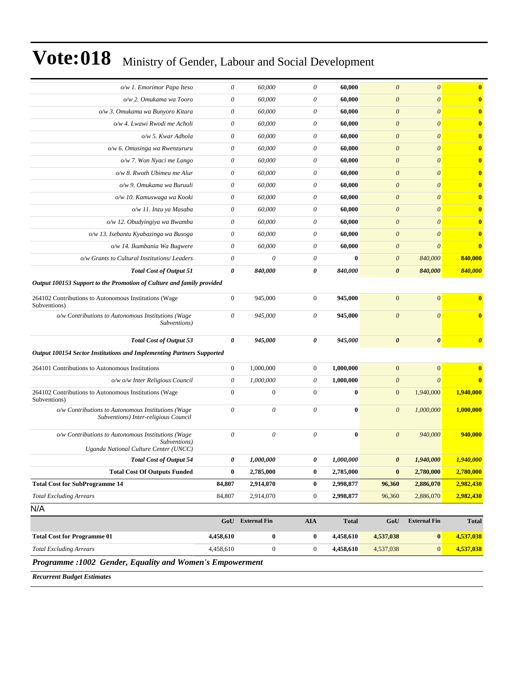| o/w 1. Emorimor Papa Iteso                                                                                  | $\theta$                  | 60,000           | $\theta$         | 60,000       | $\theta$              | $\boldsymbol{\theta}$ | $\bf{0}$              |
|-------------------------------------------------------------------------------------------------------------|---------------------------|------------------|------------------|--------------|-----------------------|-----------------------|-----------------------|
| o/w 2. Omukama wa Tooro                                                                                     | $\boldsymbol{\mathit{0}}$ | 60,000           | 0                | 60,000       | $\boldsymbol{\theta}$ | $\boldsymbol{\theta}$ | $\bf{0}$              |
| o/w 3. Omukama wa Bunyoro Kitara                                                                            | $\boldsymbol{\theta}$     | 60,000           | 0                | 60,000       | $\boldsymbol{\theta}$ | $\theta$              | $\bf{0}$              |
| o/w 4. Lwawi Rwodi me Acholi                                                                                | $\boldsymbol{\mathit{0}}$ | 60,000           | 0                | 60,000       | $\boldsymbol{\theta}$ | $\theta$              | $\bf{0}$              |
| o/w 5. Kwar Adhola                                                                                          | $\boldsymbol{\theta}$     | 60,000           | 0                | 60,000       | $\boldsymbol{\theta}$ | $\theta$              | $\bf{0}$              |
| o/w 6. Omusinga wa Rwenzururu                                                                               | $\boldsymbol{\mathit{0}}$ | 60,000           | 0                | 60,000       | $\boldsymbol{\theta}$ | $\theta$              | $\bf{0}$              |
| o/w 7. Won Nyaci me Lango                                                                                   | $\boldsymbol{\mathit{0}}$ | 60,000           | 0                | 60,000       | $\boldsymbol{\theta}$ | $\boldsymbol{\theta}$ | $\bf{0}$              |
| o/w 8. Rwoth Ubimeu me Alur                                                                                 | $\boldsymbol{\theta}$     | 60,000           | 0                | 60,000       | $\boldsymbol{\theta}$ | $\theta$              | $\bf{0}$              |
| o/w 9. Omukama wa Buruuli                                                                                   | $\boldsymbol{\mathit{0}}$ | 60,000           | 0                | 60,000       | $\boldsymbol{\theta}$ | $\theta$              | $\bf{0}$              |
| o/w 10. Kamuswaga wa Kooki                                                                                  | $\theta$                  | 60,000           | 0                | 60,000       | $\boldsymbol{\theta}$ | $\theta$              | $\bf{0}$              |
| o/w 11. Inzu ya Masaba                                                                                      | $\boldsymbol{\mathit{0}}$ | 60,000           | 0                | 60,000       | $\boldsymbol{\theta}$ | $\theta$              | $\bf{0}$              |
| o/w 12. Obudyingiya wa Bwamba                                                                               | $\boldsymbol{\mathit{0}}$ | 60,000           | 0                | 60,000       | $\boldsymbol{\theta}$ | $\theta$              | $\bf{0}$              |
| o/w 13. Isebantu Kyabazinga wa Busoga                                                                       | $\boldsymbol{\theta}$     | 60,000           | 0                | 60,000       | $\boldsymbol{\theta}$ | $\theta$              | $\bf{0}$              |
| o/w 14. Ikumbania Wa Bugwere                                                                                | $\boldsymbol{\mathit{0}}$ | 60,000           | 0                | 60,000       | $\boldsymbol{\theta}$ | $\theta$              | $\bf{0}$              |
| o/w Grants to Cultural Institutions/ Leaders                                                                | $\boldsymbol{\theta}$     | $\theta$         | 0                | $\mathbf{0}$ | $\boldsymbol{\theta}$ | 840,000               | 840,000               |
| <b>Total Cost of Output 51</b>                                                                              | 0                         | 840,000          | 0                | 840,000      | $\boldsymbol{\theta}$ | 840,000               | 840,000               |
| Output 100153 Support to the Promotion of Culture and family provided                                       |                           |                  |                  |              |                       |                       |                       |
| 264102 Contributions to Autonomous Institutions (Wage<br>Subventions)                                       | $\mathbf{0}$              | 945,000          | $\boldsymbol{0}$ | 945,000      | $\overline{0}$        | $\mathbf{0}$          | $\bf{0}$              |
| o/w Contributions to Autonomous Institutions (Wage<br>Subventions)                                          | $\theta$                  | 945,000          | 0                | 945,000      | $\theta$              | $\theta$              | $\bf{0}$              |
| <b>Total Cost of Output 53</b>                                                                              | 0                         | 945,000          | 0                | 945,000      | $\boldsymbol{\theta}$ | $\boldsymbol{\theta}$ | $\boldsymbol{\theta}$ |
| <b>Output 100154 Sector Institutions and Implementing Partners Supported</b>                                |                           |                  |                  |              |                       |                       |                       |
| 264101 Contributions to Autonomous Institutions                                                             | $\boldsymbol{0}$          | 1,000,000        | $\mathbf{0}$     | 1,000,000    | $\mathbf{0}$          | $\mathbf{0}$          | $\bf{0}$              |
| o/w o/w Inter Religious Council                                                                             | $\boldsymbol{\theta}$     | 1,000,000        | 0                | 1,000,000    | $\boldsymbol{\theta}$ | $\theta$              | $\mathbf{0}$          |
| 264102 Contributions to Autonomous Institutions (Wage<br>Subventions)                                       | $\mathbf{0}$              | $\mathbf{0}$     | $\overline{0}$   | $\bf{0}$     | $\mathbf{0}$          | 1,940,000             | 1,940,000             |
| o/w Contributions to Autonomous Institutions (Wage<br>Subventions) Inter-religious Council                  | $\theta$                  | 0                | $\theta$         | $\bf{0}$     | $\boldsymbol{\theta}$ | 1,000,000             | 1,000,000             |
| o/w Contributions to Autonomous Institutions (Wage<br>Subventions)<br>Uganda National Culture Center (UNCC) | $\theta$                  | $\theta$         | $\theta$         | $\bf{0}$     | $\boldsymbol{\theta}$ | 940,000               | 940,000               |
| <b>Total Cost of Output 54</b>                                                                              | 0                         | 1,000,000        |                  | 1,000,000    | 0                     | 1,940,000             | 1,940,000             |
| <b>Total Cost Of Outputs Funded</b>                                                                         | $\bf{0}$                  | 2,785,000        | $\bf{0}$         | 2,785,000    | $\bf{0}$              | 2,780,000             | 2,780,000             |
| <b>Total Cost for SubProgramme 14</b>                                                                       | 84,807                    | 2,914,070        | $\bf{0}$         | 2,998,877    | 96,360                | 2,886,070             | 2,982,430             |
| <b>Total Excluding Arrears</b>                                                                              | 84,807                    | 2,914,070        | $\boldsymbol{0}$ | 2,998,877    | 96,360                | 2,886,070             | <u>2,982,430</u>      |
| N/A                                                                                                         |                           |                  |                  |              |                       |                       |                       |
|                                                                                                             |                           | GoU External Fin | <b>AIA</b>       | <b>Total</b> | GoU                   | <b>External Fin</b>   | <b>Total</b>          |
| <b>Total Cost for Programme 01</b>                                                                          | 4,458,610                 | $\bf{0}$         | $\bf{0}$         | 4,458,610    | 4,537,038             | $\bf{0}$              | 4,537,038             |
| <b>Total Excluding Arrears</b>                                                                              | 4,458,610                 | $\boldsymbol{0}$ | $\overline{0}$   | 4,458,610    | 4,537,038             | $\mathbf{0}$          | 4,537,038             |
| Programme : 1002 Gender, Equality and Women's Empowerment                                                   |                           |                  |                  |              |                       |                       |                       |
| <b>Recurrent Rudget Estimates</b>                                                                           |                           |                  |                  |              |                       |                       |                       |

*Recurrent Budget Estimates*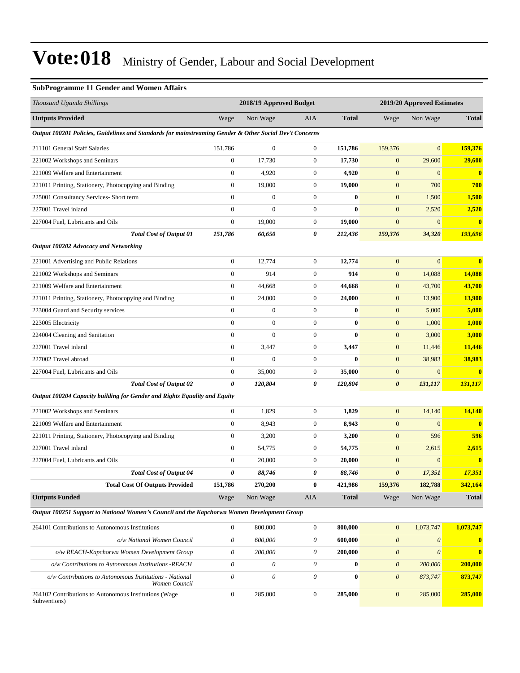### **SubProgramme 11 Gender and Women Affairs**

| Thousand Uganda Shillings                                                                               |                           | 2018/19 Approved Budget |                  |              |                           | 2019/20 Approved Estimates |                |
|---------------------------------------------------------------------------------------------------------|---------------------------|-------------------------|------------------|--------------|---------------------------|----------------------------|----------------|
| <b>Outputs Provided</b>                                                                                 | Wage                      | Non Wage                | AIA              | <b>Total</b> | Wage                      | Non Wage                   | <b>Total</b>   |
| Output 100201 Policies, Guidelines and Standards for mainstreaming Gender & Other Social Dev't Concerns |                           |                         |                  |              |                           |                            |                |
| 211101 General Staff Salaries                                                                           | 151,786                   | $\boldsymbol{0}$        | $\boldsymbol{0}$ | 151,786      | 159,376                   | $\mathbf{0}$               | 159,376        |
| 221002 Workshops and Seminars                                                                           | $\mathbf{0}$              | 17,730                  | $\boldsymbol{0}$ | 17,730       | $\mathbf{0}$              | 29,600                     | 29,600         |
| 221009 Welfare and Entertainment                                                                        | $\mathbf{0}$              | 4,920                   | $\boldsymbol{0}$ | 4,920        | $\mathbf{0}$              | $\mathbf{0}$               | $\bf{0}$       |
| 221011 Printing, Stationery, Photocopying and Binding                                                   | $\boldsymbol{0}$          | 19,000                  | $\mathbf{0}$     | 19,000       | $\mathbf{0}$              | 700                        | 700            |
| 225001 Consultancy Services- Short term                                                                 | $\boldsymbol{0}$          | $\boldsymbol{0}$        | $\boldsymbol{0}$ | $\bf{0}$     | $\boldsymbol{0}$          | 1,500                      | 1,500          |
| 227001 Travel inland                                                                                    | $\boldsymbol{0}$          | $\overline{0}$          | $\mathbf{0}$     | $\bf{0}$     | $\boldsymbol{0}$          | 2,520                      | 2,520          |
| 227004 Fuel, Lubricants and Oils                                                                        | $\mathbf{0}$              | 19,000                  | $\mathbf{0}$     | 19,000       | $\boldsymbol{0}$          | $\mathbf{0}$               | $\mathbf{0}$   |
| <b>Total Cost of Output 01</b>                                                                          | 151,786                   | 60,650                  | 0                | 212,436      | 159,376                   | 34,320                     | 193,696        |
| Output 100202 Advocacy and Networking                                                                   |                           |                         |                  |              |                           |                            |                |
| 221001 Advertising and Public Relations                                                                 | $\boldsymbol{0}$          | 12,774                  | $\boldsymbol{0}$ | 12,774       | $\mathbf{0}$              | $\mathbf{0}$               | $\bf{0}$       |
| 221002 Workshops and Seminars                                                                           | $\boldsymbol{0}$          | 914                     | $\boldsymbol{0}$ | 914          | $\mathbf{0}$              | 14,088                     | 14,088         |
| 221009 Welfare and Entertainment                                                                        | $\boldsymbol{0}$          | 44,668                  | $\boldsymbol{0}$ | 44,668       | $\mathbf{0}$              | 43,700                     | 43,700         |
| 221011 Printing, Stationery, Photocopying and Binding                                                   | $\boldsymbol{0}$          | 24,000                  | $\mathbf{0}$     | 24,000       | $\boldsymbol{0}$          | 13,900                     | 13,900         |
| 223004 Guard and Security services                                                                      | $\mathbf{0}$              | $\boldsymbol{0}$        | $\boldsymbol{0}$ | $\bf{0}$     | $\boldsymbol{0}$          | 5,000                      | 5,000          |
| 223005 Electricity                                                                                      | $\mathbf{0}$              | $\boldsymbol{0}$        | $\boldsymbol{0}$ | $\bf{0}$     | $\boldsymbol{0}$          | 1,000                      | 1,000          |
| 224004 Cleaning and Sanitation                                                                          | $\mathbf{0}$              | $\mathbf{0}$            | $\boldsymbol{0}$ | $\bf{0}$     | $\boldsymbol{0}$          | 3,000                      | 3,000          |
| 227001 Travel inland                                                                                    | $\boldsymbol{0}$          | 3,447                   | $\mathbf{0}$     | 3,447        | $\mathbf{0}$              | 11,446                     | 11,446         |
| 227002 Travel abroad                                                                                    | $\boldsymbol{0}$          | $\overline{0}$          | $\mathbf{0}$     | $\bf{0}$     | $\boldsymbol{0}$          | 38,983                     | 38,983         |
| 227004 Fuel, Lubricants and Oils                                                                        | $\boldsymbol{0}$          | 35,000                  | $\mathbf{0}$     | 35,000       | $\boldsymbol{0}$          | $\mathbf{0}$               |                |
| <b>Total Cost of Output 02</b>                                                                          | 0                         | 120,804                 | 0                | 120,804      | 0                         | 131,117                    | <b>131,117</b> |
| Output 100204 Capacity building for Gender and Rights Equality and Equity                               |                           |                         |                  |              |                           |                            |                |
| 221002 Workshops and Seminars                                                                           | $\boldsymbol{0}$          | 1,829                   | $\boldsymbol{0}$ | 1,829        | $\mathbf{0}$              | 14,140                     | 14,140         |
| 221009 Welfare and Entertainment                                                                        | $\mathbf{0}$              | 8,943                   | $\mathbf{0}$     | 8,943        | $\mathbf{0}$              | $\mathbf{0}$               | $\mathbf{0}$   |
| 221011 Printing, Stationery, Photocopying and Binding                                                   | $\boldsymbol{0}$          | 3,200                   | $\boldsymbol{0}$ | 3,200        | $\mathbf{0}$              | 596                        | 596            |
| 227001 Travel inland                                                                                    | $\mathbf{0}$              | 54,775                  | $\boldsymbol{0}$ | 54,775       | $\boldsymbol{0}$          | 2,615                      | 2,615          |
| 227004 Fuel, Lubricants and Oils                                                                        | $\boldsymbol{0}$          | 20,000                  | $\boldsymbol{0}$ | 20,000       | $\boldsymbol{0}$          | $\mathbf{0}$               | $\bf{0}$       |
| <b>Total Cost of Output 04</b>                                                                          | 0                         | 88,746                  | 0                | 88,746       | 0                         | 17,351                     | 17,351         |
| <b>Total Cost Of Outputs Provided</b>                                                                   | 151,786                   | 270,200                 | $\bf{0}$         | 421,986      | 159,376                   | 182,788                    | 342,164        |
| <b>Outputs Funded</b>                                                                                   | Wage                      | Non Wage                | AIA              | <b>Total</b> | Wage                      | Non Wage                   | <b>Total</b>   |
| Output 100251 Support to National Women's Council and the Kapchorwa Women Development Group             |                           |                         |                  |              |                           |                            |                |
| 264101 Contributions to Autonomous Institutions                                                         | $\boldsymbol{0}$          | 800,000                 | $\boldsymbol{0}$ | 800,000      | $\mathbf{0}$              | 1,073,747                  | 1,073,747      |
| o/w National Women Council                                                                              | $\boldsymbol{\theta}$     | 600,000                 | $\theta$         | 600,000      | $\boldsymbol{\mathit{0}}$ | $\boldsymbol{\mathit{0}}$  | $\mathbf{0}$   |
| o/w REACH-Kapchorwa Women Development Group                                                             | $\theta$                  | 200,000                 | 0                | 200,000      | $\theta$                  | $\boldsymbol{\theta}$      | $\mathbf{0}$   |
| o/w Contributions to Autonomous Institutions -REACH                                                     | $\boldsymbol{\mathit{0}}$ | 0                       | $\theta$         | $\bf{0}$     | $\theta$                  | 200,000                    | 200,000        |
| o/w Contributions to Autonomous Institutions - National<br>Women Council                                | $\boldsymbol{\theta}$     | $\theta$                | $\theta$         | $\bf{0}$     | $\theta$                  | 873,747                    | 873,747        |
| 264102 Contributions to Autonomous Institutions (Wage<br>Subventions)                                   | $\boldsymbol{0}$          | 285,000                 | $\boldsymbol{0}$ | 285,000      | $\boldsymbol{0}$          | 285,000                    | 285,000        |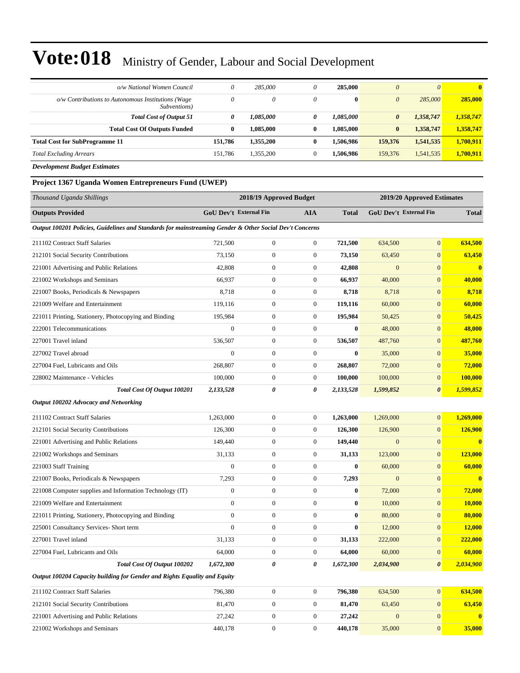| o/w National Women Council                                         | 0            | 285,000   |          | 285,000      | $\theta$              | $\theta$  | $\mathbf{0}$ |
|--------------------------------------------------------------------|--------------|-----------|----------|--------------|-----------------------|-----------|--------------|
| o/w Contributions to Autonomous Institutions (Wage<br>Subventions) | $\theta$     | 0         | 0        | $\mathbf{0}$ | $\boldsymbol{0}$      | 285,000   | 285,000      |
| <b>Total Cost of Output 51</b>                                     | 0            | 1,085,000 | 0        | 1,085,000    | $\boldsymbol{\theta}$ | 1,358,747 | 1,358,747    |
| <b>Total Cost Of Outputs Funded</b>                                | $\mathbf{0}$ | 1.085.000 | $\bf{0}$ | 1.085.000    | $\bf{0}$              | 1,358,747 | 1,358,747    |
| <b>Total Cost for SubProgramme 11</b>                              | 151.786      | 1.355.200 | 0        | 1.506.986    | 159,376               | 1,541,535 | 1,700,911    |
| <b>Total Excluding Arrears</b>                                     | 151.786      | 1,355,200 |          | 1.506.986    | 159,376               | 1,541,535 | 1,700,911    |

*Development Budget Estimates*

### **Project 1367 Uganda Women Entrepreneurs Fund (UWEP)**

| Thousand Uganda Shillings                                                                               |                  | 2018/19 Approved Budget       |                  |              |                  | 2019/20 Approved Estimates    |                         |
|---------------------------------------------------------------------------------------------------------|------------------|-------------------------------|------------------|--------------|------------------|-------------------------------|-------------------------|
| <b>Outputs Provided</b>                                                                                 |                  | <b>GoU Dev't External Fin</b> | <b>AIA</b>       | <b>Total</b> |                  | <b>GoU Dev't External Fin</b> | <b>Total</b>            |
| Output 100201 Policies, Guidelines and Standards for mainstreaming Gender & Other Social Dev't Concerns |                  |                               |                  |              |                  |                               |                         |
| 211102 Contract Staff Salaries                                                                          | 721,500          | $\boldsymbol{0}$              | $\boldsymbol{0}$ | 721,500      | 634,500          | $\boldsymbol{0}$              | 634,500                 |
| 212101 Social Security Contributions                                                                    | 73,150           | $\boldsymbol{0}$              | $\boldsymbol{0}$ | 73,150       | 63,450           | $\mathbf{0}$                  | 63,450                  |
| 221001 Advertising and Public Relations                                                                 | 42,808           | $\boldsymbol{0}$              | $\boldsymbol{0}$ | 42,808       | $\overline{0}$   | $\mathbf{0}$                  | $\mathbf{0}$            |
| 221002 Workshops and Seminars                                                                           | 66,937           | $\boldsymbol{0}$              | $\boldsymbol{0}$ | 66,937       | 40,000           | $\mathbf{0}$                  | 40,000                  |
| 221007 Books, Periodicals & Newspapers                                                                  | 8,718            | $\boldsymbol{0}$              | $\boldsymbol{0}$ | 8,718        | 8,718            | $\boldsymbol{0}$              | 8,718                   |
| 221009 Welfare and Entertainment                                                                        | 119,116          | $\boldsymbol{0}$              | $\boldsymbol{0}$ | 119,116      | 60,000           | $\mathbf{0}$                  | 60,000                  |
| 221011 Printing, Stationery, Photocopying and Binding                                                   | 195,984          | $\boldsymbol{0}$              | $\boldsymbol{0}$ | 195,984      | 50,425           | $\mathbf{0}$                  | 50,425                  |
| 222001 Telecommunications                                                                               | $\mathbf{0}$     | $\boldsymbol{0}$              | $\boldsymbol{0}$ | $\bf{0}$     | 48,000           | $\mathbf{0}$                  | 48,000                  |
| 227001 Travel inland                                                                                    | 536,507          | $\boldsymbol{0}$              | $\boldsymbol{0}$ | 536,507      | 487,760          | $\mathbf{0}$                  | 487,760                 |
| 227002 Travel abroad                                                                                    | $\boldsymbol{0}$ | $\boldsymbol{0}$              | $\boldsymbol{0}$ | $\bf{0}$     | 35,000           | $\boldsymbol{0}$              | 35,000                  |
| 227004 Fuel, Lubricants and Oils                                                                        | 268,807          | $\boldsymbol{0}$              | $\boldsymbol{0}$ | 268,807      | 72,000           | $\mathbf{0}$                  | 72,000                  |
| 228002 Maintenance - Vehicles                                                                           | 100,000          | $\boldsymbol{0}$              | $\boldsymbol{0}$ | 100,000      | 100,000          | $\boldsymbol{0}$              | 100,000                 |
| Total Cost Of Output 100201                                                                             | 2,133,528        | 0                             | 0                | 2,133,528    | 1,599,852        | $\boldsymbol{\theta}$         | 1,599,852               |
| Output 100202 Advocacy and Networking                                                                   |                  |                               |                  |              |                  |                               |                         |
| 211102 Contract Staff Salaries                                                                          | 1,263,000        | $\boldsymbol{0}$              | $\boldsymbol{0}$ | 1,263,000    | 1,269,000        | $\mathbf{0}$                  | 1,269,000               |
| 212101 Social Security Contributions                                                                    | 126,300          | $\boldsymbol{0}$              | $\boldsymbol{0}$ | 126,300      | 126,900          | $\mathbf{0}$                  | 126,900                 |
| 221001 Advertising and Public Relations                                                                 | 149,440          | $\boldsymbol{0}$              | $\boldsymbol{0}$ | 149,440      | $\overline{0}$   | $\mathbf{0}$                  | $\mathbf{0}$            |
| 221002 Workshops and Seminars                                                                           | 31,133           | $\boldsymbol{0}$              | $\boldsymbol{0}$ | 31,133       | 123,000          | $\mathbf{0}$                  | 123,000                 |
| 221003 Staff Training                                                                                   | $\boldsymbol{0}$ | $\boldsymbol{0}$              | $\boldsymbol{0}$ | $\bf{0}$     | 60,000           | $\boldsymbol{0}$              | 60,000                  |
| 221007 Books, Periodicals & Newspapers                                                                  | 7,293            | $\boldsymbol{0}$              | $\boldsymbol{0}$ | 7,293        | $\mathbf{0}$     | $\mathbf{0}$                  | $\bf{0}$                |
| 221008 Computer supplies and Information Technology (IT)                                                | $\overline{0}$   | $\boldsymbol{0}$              | $\boldsymbol{0}$ | 0            | 72,000           | $\mathbf{0}$                  | 72,000                  |
| 221009 Welfare and Entertainment                                                                        | $\overline{0}$   | $\boldsymbol{0}$              | $\boldsymbol{0}$ | $\bf{0}$     | 10,000           | $\mathbf{0}$                  | 10,000                  |
| 221011 Printing, Stationery, Photocopying and Binding                                                   | $\boldsymbol{0}$ | $\boldsymbol{0}$              | $\boldsymbol{0}$ | $\bf{0}$     | 80,000           | $\mathbf{0}$                  | 80,000                  |
| 225001 Consultancy Services- Short term                                                                 | $\overline{0}$   | $\boldsymbol{0}$              | $\boldsymbol{0}$ | $\bf{0}$     | 12,000           | $\boldsymbol{0}$              | <b>12,000</b>           |
| 227001 Travel inland                                                                                    | 31,133           | $\boldsymbol{0}$              | $\boldsymbol{0}$ | 31,133       | 222,000          | $\mathbf{0}$                  | 222,000                 |
| 227004 Fuel, Lubricants and Oils                                                                        | 64,000           | $\boldsymbol{0}$              | $\boldsymbol{0}$ | 64,000       | 60,000           | $\boldsymbol{0}$              | 60,000                  |
| <b>Total Cost Of Output 100202</b>                                                                      | 1,672,300        | 0                             | 0                | 1,672,300    | 2,034,900        | $\boldsymbol{\theta}$         | 2,034,900               |
| Output 100204 Capacity building for Gender and Rights Equality and Equity                               |                  |                               |                  |              |                  |                               |                         |
| 211102 Contract Staff Salaries                                                                          | 796,380          | $\boldsymbol{0}$              | $\boldsymbol{0}$ | 796,380      | 634,500          | $\boldsymbol{0}$              | 634,500                 |
| 212101 Social Security Contributions                                                                    | 81,470           | $\boldsymbol{0}$              | $\boldsymbol{0}$ | 81,470       | 63,450           | $\boldsymbol{0}$              | 63,450                  |
| 221001 Advertising and Public Relations                                                                 | 27,242           | $\boldsymbol{0}$              | $\boldsymbol{0}$ | 27,242       | $\boldsymbol{0}$ | $\mathbf{0}$                  | $\overline{\mathbf{0}}$ |
| 221002 Workshops and Seminars                                                                           | 440,178          | $\boldsymbol{0}$              | $\boldsymbol{0}$ | 440,178      | 35,000           | $\boldsymbol{0}$              | 35,000                  |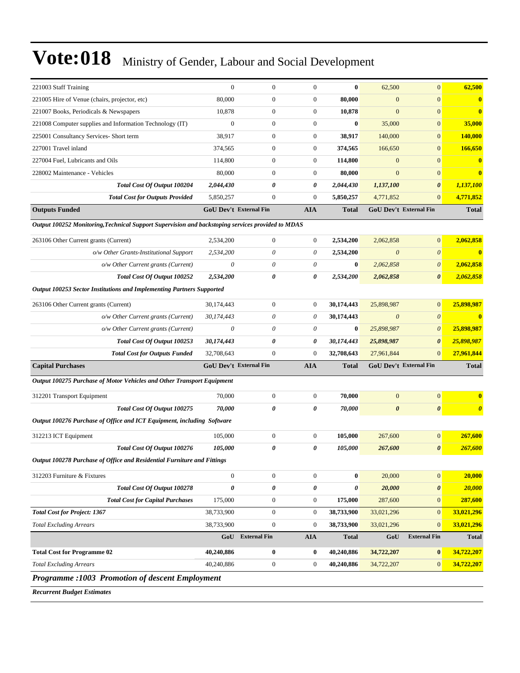| 221003 Staff Training                                                                             | $\theta$                      | $\mathbf{0}$     | $\mathbf{0}$          | $\bf{0}$       | 62,500                        | $\mathbf{0}$          | 62,500                |
|---------------------------------------------------------------------------------------------------|-------------------------------|------------------|-----------------------|----------------|-------------------------------|-----------------------|-----------------------|
| 221005 Hire of Venue (chairs, projector, etc)                                                     | 80,000                        | $\mathbf{0}$     | $\theta$              | 80,000         | $\overline{0}$                | $\mathbf{0}$          | $\bf{0}$              |
| 221007 Books, Periodicals & Newspapers                                                            | 10,878                        | $\mathbf{0}$     | $\boldsymbol{0}$      | 10,878         | $\overline{0}$                | $\mathbf{0}$          | $\mathbf{0}$          |
| 221008 Computer supplies and Information Technology (IT)                                          | $\mathbf{0}$                  | $\mathbf{0}$     | $\theta$              | $\bf{0}$       | 35,000                        | $\mathbf{0}$          | 35,000                |
| 225001 Consultancy Services- Short term                                                           | 38,917                        | $\mathbf{0}$     | $\boldsymbol{0}$      | 38,917         | 140,000                       | $\mathbf{0}$          | <b>140,000</b>        |
| 227001 Travel inland                                                                              | 374,565                       | $\mathbf{0}$     | $\mathbf{0}$          | 374,565        | 166,650                       | $\mathbf{0}$          | 166,650               |
| 227004 Fuel, Lubricants and Oils                                                                  | 114,800                       | $\mathbf{0}$     | $\boldsymbol{0}$      | 114,800        | $\overline{0}$                | $\mathbf{0}$          | $\bf{0}$              |
| 228002 Maintenance - Vehicles                                                                     | 80,000                        | $\Omega$         | $\boldsymbol{0}$      | 80,000         | $\overline{0}$                | $\mathbf{0}$          | $\mathbf{0}$          |
| Total Cost Of Output 100204                                                                       | 2,044,430                     | 0                | 0                     | 2,044,430      | 1,137,100                     | $\boldsymbol{\theta}$ | 1,137,100             |
| <b>Total Cost for Outputs Provided</b>                                                            | 5,850,257                     | $\mathbf{0}$     | $\mathbf{0}$          | 5,850,257      | 4,771,852                     | $\mathbf{0}$          | 4,771,852             |
| <b>Outputs Funded</b>                                                                             | <b>GoU Dev't External Fin</b> |                  | <b>AIA</b>            | <b>Total</b>   | <b>GoU Dev't External Fin</b> |                       | <b>Total</b>          |
| Output 100252 Monitoring, Technical Support Supervision and backstoping services provided to MDAS |                               |                  |                       |                |                               |                       |                       |
| 263106 Other Current grants (Current)                                                             | 2,534,200                     | $\mathbf{0}$     | $\boldsymbol{0}$      | 2,534,200      | 2,062,858                     | $\overline{0}$        | 2,062,858             |
| o/w Other Grants-Institutional Support                                                            | 2,534,200                     | $\theta$         | $\theta$              | 2,534,200      | $\boldsymbol{\theta}$         | $\theta$              | $\mathbf{0}$          |
| o/w Other Current grants (Current)                                                                | $\theta$                      | $\theta$         | $\theta$              | $\bf{0}$       | 2,062,858                     | $\boldsymbol{\theta}$ | 2,062,858             |
| Total Cost Of Output 100252                                                                       | 2,534,200                     | 0                | 0                     | 2,534,200      | 2,062,858                     | $\boldsymbol{\theta}$ | 2,062,858             |
| Output 100253 Sector Institutions and Implementing Partners Supported                             |                               |                  |                       |                |                               |                       |                       |
| 263106 Other Current grants (Current)                                                             | 30,174,443                    | $\mathbf{0}$     | $\boldsymbol{0}$      | 30,174,443     | 25,898,987                    | $\mathbf{0}$          | 25,898,987            |
| o/w Other Current grants (Current)                                                                | 30,174,443                    | $\theta$         | $\theta$              | 30,174,443     | $\boldsymbol{\theta}$         | $\theta$              | $\mathbf{0}$          |
| o/w Other Current grants (Current)                                                                | $\theta$                      | $\theta$         | $\theta$              | $\bf{0}$       | 25,898,987                    | $\theta$              | 25,898,987            |
| Total Cost Of Output 100253                                                                       | 30,174,443                    | 0                | 0                     | 30,174,443     | 25,898,987                    | $\boldsymbol{\theta}$ | 25,898,987            |
| <b>Total Cost for Outputs Funded</b>                                                              | 32,708,643                    | $\mathbf{0}$     | $\mathbf{0}$          | 32,708,643     | 27,961,844                    | $\mathbf{0}$          | 27,961,844            |
| <b>Capital Purchases</b>                                                                          | <b>GoU Dev't External Fin</b> |                  | <b>AIA</b>            | <b>Total</b>   | GoU Dev't External Fin        |                       | <b>Total</b>          |
| Output 100275 Purchase of Motor Vehicles and Other Transport Equipment                            |                               |                  |                       |                |                               |                       |                       |
| 312201 Transport Equipment                                                                        | 70,000                        | $\mathbf{0}$     | $\boldsymbol{0}$      | 70,000         | $\mathbf{0}$                  | $\mathbf{0}$          | $\bf{0}$              |
| Total Cost Of Output 100275                                                                       | 70,000                        | 0                | $\boldsymbol{\theta}$ | 70,000         | $\boldsymbol{\theta}$         | $\boldsymbol{\theta}$ | $\boldsymbol{\theta}$ |
| Output 100276 Purchase of Office and ICT Equipment, including Software                            |                               |                  |                       |                |                               |                       |                       |
| 312213 ICT Equipment                                                                              | 105,000                       | $\mathbf{0}$     | $\mathbf{0}$          | 105,000        | 267,600                       | $\mathbf{0}$          | 267,600               |
| Total Cost Of Output 100276                                                                       | 105,000                       | 0                | $\boldsymbol{\theta}$ | 105,000        | 267,600                       | $\boldsymbol{\theta}$ | 267,600               |
| Output 100278 Purchase of Office and Residential Furniture and Fittings                           |                               |                  |                       |                |                               |                       |                       |
| 312203 Furniture & Fixtures                                                                       | $\boldsymbol{0}$              | $\boldsymbol{0}$ | $\mathbf{0}$          | $\bf{0}$       | 20,000                        | $\mathbf{0}$          | 20,000                |
| Total Cost Of Output 100278                                                                       | 0                             | 0                | $\pmb{\theta}$        | $\pmb{\theta}$ | 20,000                        | $\boldsymbol{\theta}$ | 20,000                |
| <b>Total Cost for Capital Purchases</b>                                                           | 175,000                       | $\boldsymbol{0}$ | $\boldsymbol{0}$      | 175,000        | 287,600                       | $\mathbf{0}$          | 287,600               |
| <b>Total Cost for Project: 1367</b>                                                               | 38,733,900                    | $\boldsymbol{0}$ | $\boldsymbol{0}$      | 38,733,900     | 33,021,296                    | $\mathbf{0}$          | 33,021,296            |
| <b>Total Excluding Arrears</b>                                                                    | 38,733,900                    | $\boldsymbol{0}$ | $\boldsymbol{0}$      | 38,733,900     | 33,021,296                    | $\mathbf{0}$          | 33,021,296            |
|                                                                                                   |                               | GoU External Fin | <b>AIA</b>            | <b>Total</b>   | GoU                           | <b>External Fin</b>   | <b>Total</b>          |
| <b>Total Cost for Programme 02</b>                                                                | 40,240,886                    | $\bf{0}$         | $\bf{0}$              | 40,240,886     | 34,722,207                    | $\bf{0}$              | 34,722,207            |
| <b>Total Excluding Arrears</b>                                                                    | 40,240,886                    | $\boldsymbol{0}$ | $\boldsymbol{0}$      | 40,240,886     | 34,722,207                    | $\mathbf{0}$          | 34,722,207            |
| Programme : 1003 Promotion of descent Employment                                                  |                               |                  |                       |                |                               |                       |                       |
|                                                                                                   |                               |                  |                       |                |                               |                       |                       |

*Recurrent Budget Estimates*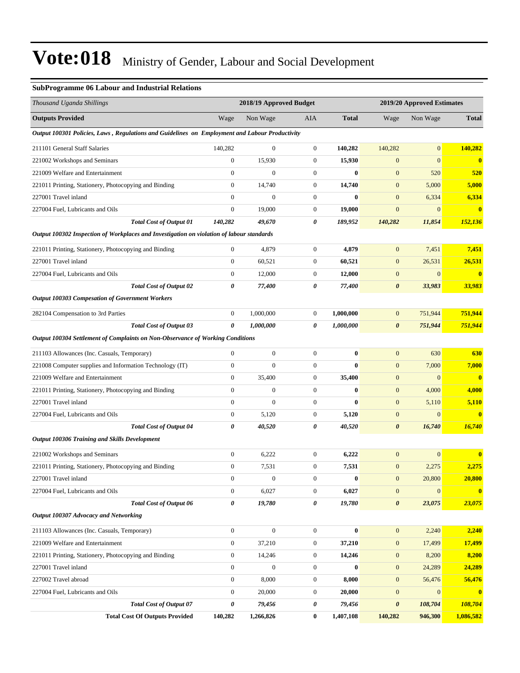### **SubProgramme 06 Labour and Industrial Relations**

| Thousand Uganda Shillings                                                                      |                  | 2018/19 Approved Budget |                  |              |                       | 2019/20 Approved Estimates |              |
|------------------------------------------------------------------------------------------------|------------------|-------------------------|------------------|--------------|-----------------------|----------------------------|--------------|
| <b>Outputs Provided</b>                                                                        | Wage             | Non Wage                | AIA              | <b>Total</b> | Wage                  | Non Wage                   | <b>Total</b> |
| Output 100301 Policies, Laws, Regulations and Guidelines on Employment and Labour Productivity |                  |                         |                  |              |                       |                            |              |
| 211101 General Staff Salaries                                                                  | 140,282          | $\overline{0}$          | $\boldsymbol{0}$ | 140,282      | 140,282               | $\overline{0}$             | 140,282      |
| 221002 Workshops and Seminars                                                                  | $\boldsymbol{0}$ | 15,930                  | $\boldsymbol{0}$ | 15,930       | $\boldsymbol{0}$      | $\mathbf{0}$               | $\bf{0}$     |
| 221009 Welfare and Entertainment                                                               | $\mathbf{0}$     | $\boldsymbol{0}$        | $\boldsymbol{0}$ | $\bf{0}$     | $\boldsymbol{0}$      | 520                        | 520          |
| 221011 Printing, Stationery, Photocopying and Binding                                          | $\mathbf{0}$     | 14,740                  | $\overline{0}$   | 14,740       | $\boldsymbol{0}$      | 5,000                      | 5,000        |
| 227001 Travel inland                                                                           | $\mathbf{0}$     | $\overline{0}$          | $\boldsymbol{0}$ | $\bf{0}$     | $\boldsymbol{0}$      | 6,334                      | 6,334        |
| 227004 Fuel, Lubricants and Oils                                                               | $\mathbf{0}$     | 19,000                  | $\boldsymbol{0}$ | 19,000       | $\boldsymbol{0}$      | $\mathbf{0}$               | $\mathbf{0}$ |
| <b>Total Cost of Output 01</b>                                                                 | 140,282          | 49,670                  | 0                | 189,952      | 140,282               | 11,854                     | 152,136      |
| Output 100302 Inspection of Workplaces and Investigation on violation of labour standards      |                  |                         |                  |              |                       |                            |              |
| 221011 Printing, Stationery, Photocopying and Binding                                          | $\mathbf{0}$     | 4,879                   | $\overline{0}$   | 4,879        | $\boldsymbol{0}$      | 7,451                      | 7,451        |
| 227001 Travel inland                                                                           | $\boldsymbol{0}$ | 60,521                  | $\overline{0}$   | 60,521       | $\boldsymbol{0}$      | 26,531                     | 26,531       |
| 227004 Fuel, Lubricants and Oils                                                               | $\boldsymbol{0}$ | 12,000                  | $\boldsymbol{0}$ | 12,000       | $\boldsymbol{0}$      | $\boldsymbol{0}$           | $\bf{0}$     |
| <b>Total Cost of Output 02</b>                                                                 | 0                | 77,400                  | 0                | 77,400       | $\boldsymbol{\theta}$ | 33,983                     | 33,983       |
| <b>Output 100303 Compesation of Government Workers</b>                                         |                  |                         |                  |              |                       |                            |              |
| 282104 Compensation to 3rd Parties                                                             | $\boldsymbol{0}$ | 1,000,000               | $\boldsymbol{0}$ | 1,000,000    | $\mathbf{0}$          | 751,944                    | 751,944      |
| <b>Total Cost of Output 03</b>                                                                 | 0                | 1,000,000               | 0                | 1,000,000    | $\pmb{\theta}$        | 751,944                    | 751,944      |
| Output 100304 Settlement of Complaints on Non-Observance of Working Conditions                 |                  |                         |                  |              |                       |                            |              |
| 211103 Allowances (Inc. Casuals, Temporary)                                                    | $\mathbf{0}$     | $\boldsymbol{0}$        | $\boldsymbol{0}$ | 0            | $\mathbf{0}$          | 630                        | 630          |
| 221008 Computer supplies and Information Technology (IT)                                       | $\mathbf{0}$     | $\overline{0}$          | $\boldsymbol{0}$ | $\bf{0}$     | $\boldsymbol{0}$      | 7,000                      | 7,000        |
| 221009 Welfare and Entertainment                                                               | $\mathbf{0}$     | 35,400                  | $\boldsymbol{0}$ | 35,400       | $\mathbf{0}$          | $\mathbf{0}$               | $\bf{0}$     |
| 221011 Printing, Stationery, Photocopying and Binding                                          | $\mathbf{0}$     | $\boldsymbol{0}$        | $\boldsymbol{0}$ | $\bf{0}$     | $\boldsymbol{0}$      | 4,000                      | 4,000        |
| 227001 Travel inland                                                                           | $\mathbf{0}$     | $\overline{0}$          | $\boldsymbol{0}$ | $\bf{0}$     | $\boldsymbol{0}$      | 5,110                      | 5,110        |
| 227004 Fuel, Lubricants and Oils                                                               | $\boldsymbol{0}$ | 5,120                   | $\boldsymbol{0}$ | 5,120        | $\mathbf{0}$          | $\mathbf{0}$               | $\bf{0}$     |
| <b>Total Cost of Output 04</b>                                                                 | $\pmb{\theta}$   | 40,520                  | 0                | 40,520       | $\boldsymbol{\theta}$ | 16,740                     | 16,740       |
| <b>Output 100306 Training and Skills Development</b>                                           |                  |                         |                  |              |                       |                            |              |
| 221002 Workshops and Seminars                                                                  | $\boldsymbol{0}$ | 6,222                   | $\boldsymbol{0}$ | 6,222        | $\boldsymbol{0}$      | $\mathbf{0}$               | 0            |
| 221011 Printing, Stationery, Photocopying and Binding                                          | $\mathbf{0}$     | 7,531                   | $\boldsymbol{0}$ | 7,531        | $\boldsymbol{0}$      | 2,275                      | 2,275        |
| 227001 Travel inland                                                                           | $\boldsymbol{0}$ | $\boldsymbol{0}$        | $\boldsymbol{0}$ | $\bf{0}$     | $\boldsymbol{0}$      | 20,800                     | 20,800       |
| 227004 Fuel, Lubricants and Oils                                                               | $\boldsymbol{0}$ | 6,027                   | $\overline{0}$   | 6,027        | $\boldsymbol{0}$      | $\mathbf{0}$               | $\bf{0}$     |
| Total Cost of Output 06                                                                        | $\pmb{\theta}$   | 19,780                  | 0                | 19,780       | $\pmb{\theta}$        | 23,075                     | 23,075       |
| Output 100307 Advocacy and Networking                                                          |                  |                         |                  |              |                       |                            |              |
| 211103 Allowances (Inc. Casuals, Temporary)                                                    | $\mathbf{0}$     | $\boldsymbol{0}$        | $\boldsymbol{0}$ | $\bf{0}$     | $\mathbf{0}$          | 2,240                      | 2,240        |
| 221009 Welfare and Entertainment                                                               | $\boldsymbol{0}$ | 37,210                  | $\boldsymbol{0}$ | 37,210       | $\boldsymbol{0}$      | 17,499                     | 17,499       |
| 221011 Printing, Stationery, Photocopying and Binding                                          | $\boldsymbol{0}$ | 14,246                  | $\boldsymbol{0}$ | 14,246       | $\boldsymbol{0}$      | 8,200                      | 8,200        |
| 227001 Travel inland                                                                           | $\boldsymbol{0}$ | $\boldsymbol{0}$        | $\boldsymbol{0}$ | $\bf{0}$     | $\boldsymbol{0}$      | 24,289                     | 24,289       |
| 227002 Travel abroad                                                                           | $\boldsymbol{0}$ | 8,000                   | $\boldsymbol{0}$ | 8,000        | $\boldsymbol{0}$      | 56,476                     | 56,476       |
| 227004 Fuel, Lubricants and Oils                                                               | $\boldsymbol{0}$ | 20,000                  | $\boldsymbol{0}$ | 20,000       | $\boldsymbol{0}$      | $\mathbf{0}$               | $\bf{0}$     |
| <b>Total Cost of Output 07</b>                                                                 | $\pmb{\theta}$   | 79,456                  | 0                | 79,456       | $\pmb{\theta}$        | 108,704                    | 108,704      |
| <b>Total Cost Of Outputs Provided</b>                                                          | 140,282          | 1,266,826               | 0                | 1,407,108    | 140,282               | 946,300                    | 1,086,582    |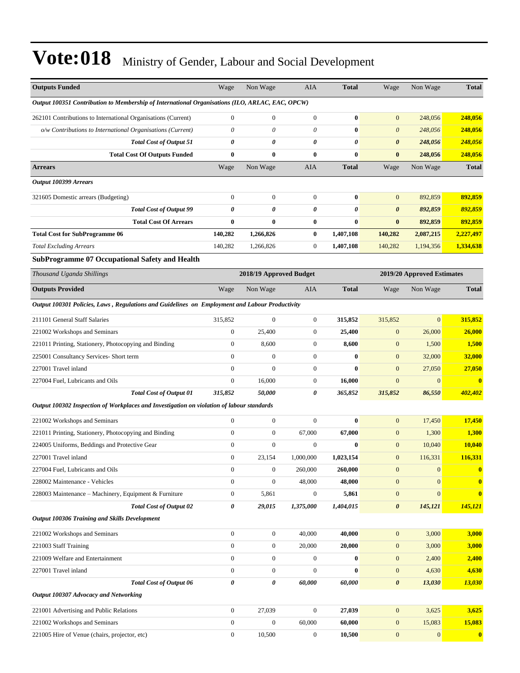| <b>Outputs Funded</b>                                                                           | Wage                         | Non Wage                     | AIA                   | <b>Total</b>         | Wage                  | Non Wage                   | <b>Total</b>            |
|-------------------------------------------------------------------------------------------------|------------------------------|------------------------------|-----------------------|----------------------|-----------------------|----------------------------|-------------------------|
| Output 100351 Contribution to Membership of International Organisations (ILO, ARLAC, EAC, OPCW) |                              |                              |                       |                      |                       |                            |                         |
|                                                                                                 |                              |                              |                       |                      |                       |                            |                         |
| 262101 Contributions to International Organisations (Current)                                   | $\boldsymbol{0}$<br>$\theta$ | $\boldsymbol{0}$<br>$\theta$ | $\boldsymbol{0}$      | $\bf{0}$<br>$\bf{0}$ | $\mathbf{0}$          | 248,056                    | 248,056                 |
| o/w Contributions to International Organisations (Current)                                      | 0                            | 0                            | $\theta$<br>0         | 0                    | $\theta$              | 248,056                    | 248,056                 |
| <b>Total Cost of Output 51</b>                                                                  | $\bf{0}$                     | $\bf{0}$                     | $\bf{0}$              | $\bf{0}$             | 0<br>$\bf{0}$         | 248,056<br>248,056         | 248,056                 |
| <b>Total Cost Of Outputs Funded</b><br><b>Arrears</b>                                           | Wage                         | Non Wage                     | AIA                   | <b>Total</b>         | Wage                  | Non Wage                   | 248,056<br><b>Total</b> |
| Output 100399 Arrears                                                                           |                              |                              |                       |                      |                       |                            |                         |
|                                                                                                 |                              |                              |                       |                      |                       |                            |                         |
| 321605 Domestic arrears (Budgeting)                                                             | $\boldsymbol{0}$             | $\mathbf{0}$                 | $\mathbf{0}$          | $\bf{0}$             | $\mathbf{0}$          | 892,859                    | 892,859                 |
| <b>Total Cost of Output 99</b>                                                                  | 0                            | 0                            | 0                     | 0                    | $\boldsymbol{\theta}$ | 892,859                    | 892,859                 |
| <b>Total Cost Of Arrears</b>                                                                    | $\bf{0}$                     | $\bf{0}$                     | $\bf{0}$              | $\bf{0}$             | $\bf{0}$              | 892,859                    | 892,859                 |
| <b>Total Cost for SubProgramme 06</b>                                                           | 140,282                      | 1,266,826                    | $\bf{0}$              | 1,407,108            | 140,282               | 2,087,215                  | 2,227,497               |
| <b>Total Excluding Arrears</b>                                                                  | 140,282                      | 1,266,826                    | $\boldsymbol{0}$      | 1,407,108            | 140,282               | 1,194,356                  | 1,334,638               |
| <b>SubProgramme 07 Occupational Safety and Health</b>                                           |                              |                              |                       |                      |                       |                            |                         |
| Thousand Uganda Shillings                                                                       |                              | 2018/19 Approved Budget      |                       |                      |                       | 2019/20 Approved Estimates |                         |
| <b>Outputs Provided</b>                                                                         | Wage                         | Non Wage                     | AIA                   | <b>Total</b>         | Wage                  | Non Wage                   | <b>Total</b>            |
| Output 100301 Policies, Laws, Regulations and Guidelines on Employment and Labour Productivity  |                              |                              |                       |                      |                       |                            |                         |
| 211101 General Staff Salaries                                                                   | 315,852                      | $\mathbf{0}$                 | $\boldsymbol{0}$      | 315,852              | 315,852               | $\mathbf{0}$               | 315,852                 |
| 221002 Workshops and Seminars                                                                   | $\mathbf{0}$                 | 25,400                       | $\boldsymbol{0}$      | 25,400               | $\boldsymbol{0}$      | 26,000                     | 26,000                  |
| 221011 Printing, Stationery, Photocopying and Binding                                           | $\boldsymbol{0}$             | 8,600                        | $\mathbf{0}$          | 8,600                | $\mathbf{0}$          | 1,500                      | 1,500                   |
| 225001 Consultancy Services- Short term                                                         | $\mathbf{0}$                 | $\mathbf{0}$                 | $\boldsymbol{0}$      | $\bf{0}$             | $\mathbf{0}$          | 32,000                     | 32,000                  |
| 227001 Travel inland                                                                            | $\mathbf{0}$                 | $\mathbf{0}$                 | $\boldsymbol{0}$      | $\bf{0}$             | $\mathbf{0}$          | 27,050                     | 27,050                  |
| 227004 Fuel, Lubricants and Oils                                                                | $\boldsymbol{0}$             | 16,000                       | $\boldsymbol{0}$      | 16,000               | $\overline{0}$        | $\mathbf{0}$               | $\bf{0}$                |
| <b>Total Cost of Output 01</b>                                                                  | 315,852                      | 50,000                       | $\boldsymbol{\theta}$ | 365,852              | 315,852               | 86,550                     | 402,402                 |
| Output 100302 Inspection of Workplaces and Investigation on violation of labour standards       |                              |                              |                       |                      |                       |                            |                         |
| 221002 Workshops and Seminars                                                                   | $\boldsymbol{0}$             | $\mathbf{0}$                 | $\mathbf{0}$          | $\bf{0}$             | $\mathbf{0}$          | 17,450                     | 17,450                  |
| 221011 Printing, Stationery, Photocopying and Binding                                           | $\boldsymbol{0}$             | $\boldsymbol{0}$             | 67,000                | 67,000               | $\mathbf{0}$          | 1,300                      | 1,300                   |
| 224005 Uniforms, Beddings and Protective Gear                                                   | $\boldsymbol{0}$             | $\boldsymbol{0}$             | $\mathbf{0}$          | $\bf{0}$             | $\mathbf{0}$          | 10,040                     | 10,040                  |
| 227001 Travel inland                                                                            | $\boldsymbol{0}$             | 23,154                       | 1,000,000             | 1,023,154            | $\mathbf{0}$          | 116,331                    | 116,331                 |
| 227004 Fuel, Lubricants and Oils                                                                | $\mathbf{0}$                 | $\boldsymbol{0}$             | 260,000               | 260,000              | $\mathbf{0}$          | $\mathbf{0}$               | $\bf{0}$                |
| 228002 Maintenance - Vehicles                                                                   | $\mathbf{0}$                 | $\boldsymbol{0}$             | 48,000                | 48,000               | $\boldsymbol{0}$      | $\mathbf{0}$               | $\bf{0}$                |
| 228003 Maintenance - Machinery, Equipment & Furniture                                           | $\boldsymbol{0}$             | 5,861                        | $\mathbf{0}$          | 5,861                | $\mathbf{0}$          | $\mathbf{0}$               | $\bf{0}$                |
| <b>Total Cost of Output 02</b>                                                                  | 0                            | 29,015                       | 1,375,000             | 1,404,015            | $\boldsymbol{\theta}$ | 145,121                    | 145,121                 |
| Output 100306 Training and Skills Development                                                   |                              |                              |                       |                      |                       |                            |                         |
| 221002 Workshops and Seminars                                                                   | $\mathbf{0}$                 | $\boldsymbol{0}$             | 40,000                | 40,000               | $\boldsymbol{0}$      | 3,000                      | 3,000                   |
| 221003 Staff Training                                                                           | $\mathbf{0}$                 | $\boldsymbol{0}$             | 20,000                | 20,000               | $\mathbf{0}$          | 3,000                      | 3,000                   |
| 221009 Welfare and Entertainment                                                                | $\overline{0}$               | $\boldsymbol{0}$             | $\mathbf{0}$          | $\bf{0}$             | $\mathbf{0}$          | 2,400                      | 2,400                   |
| 227001 Travel inland                                                                            | $\boldsymbol{0}$             | $\boldsymbol{0}$             | $\mathbf{0}$          | $\bf{0}$             | $\boldsymbol{0}$      | 4,630                      | 4,630                   |
| <b>Total Cost of Output 06</b>                                                                  | 0                            | $\pmb{\theta}$               | 60,000                | 60,000               | $\boldsymbol{\theta}$ | 13,030                     | 13,030                  |
| Output 100307 Advocacy and Networking                                                           |                              |                              |                       |                      |                       |                            |                         |
| 221001 Advertising and Public Relations                                                         | $\boldsymbol{0}$             | 27,039                       | $\mathbf{0}$          | 27,039               | $\mathbf{0}$          | 3,625                      | 3,625                   |
| 221002 Workshops and Seminars                                                                   | $\boldsymbol{0}$             | $\boldsymbol{0}$             | 60,000                | 60,000               | $\mathbf{0}$          | 15,083                     | 15,083                  |
| 221005 Hire of Venue (chairs, projector, etc)                                                   | $\mathbf{0}$                 | 10,500                       | $\boldsymbol{0}$      | 10,500               | $\boldsymbol{0}$      | $\boldsymbol{0}$           | $\bf{0}$                |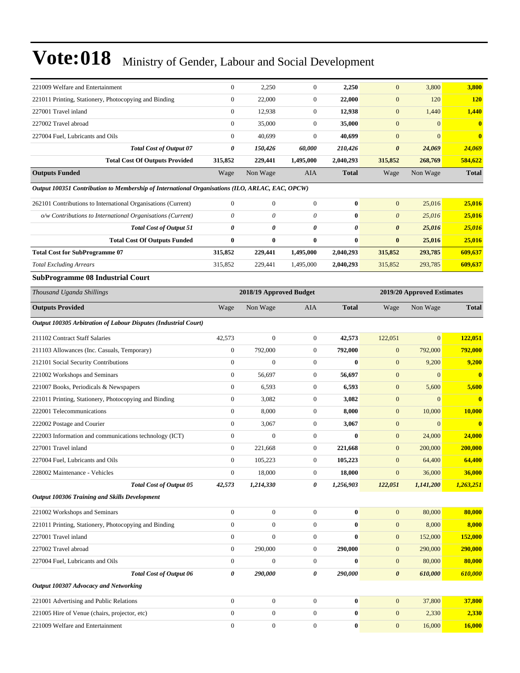| 221009 Welfare and Entertainment                                                                | $\boldsymbol{0}$ | 2,250                   | $\mathbf{0}$          | 2,250        | $\mathbf{0}$          | 3,800                      | 3,800          |
|-------------------------------------------------------------------------------------------------|------------------|-------------------------|-----------------------|--------------|-----------------------|----------------------------|----------------|
| 221011 Printing, Stationery, Photocopying and Binding                                           | $\boldsymbol{0}$ | 22,000                  | $\boldsymbol{0}$      | 22,000       | $\boldsymbol{0}$      | 120                        | <b>120</b>     |
| 227001 Travel inland                                                                            | $\boldsymbol{0}$ | 12,938                  | $\mathbf{0}$          | 12,938       | $\overline{0}$        | 1,440                      | 1,440          |
| 227002 Travel abroad                                                                            | $\boldsymbol{0}$ | 35,000                  | $\mathbf{0}$          | 35,000       | $\boldsymbol{0}$      | $\boldsymbol{0}$           | $\bf{0}$       |
| 227004 Fuel. Lubricants and Oils                                                                | $\mathbf{0}$     | 40,699                  | $\mathbf{0}$          | 40,699       | $\boldsymbol{0}$      | $\overline{0}$             | $\mathbf{0}$   |
| <b>Total Cost of Output 07</b>                                                                  | 0                | 150,426                 | 60,000                | 210,426      | 0                     | 24,069                     | 24,069         |
| <b>Total Cost Of Outputs Provided</b>                                                           | 315,852          | 229,441                 | 1,495,000             | 2,040,293    | 315,852               | 268,769                    | 584,622        |
| <b>Outputs Funded</b>                                                                           | Wage             | Non Wage                | AIA                   | <b>Total</b> | Wage                  | Non Wage                   | <b>Total</b>   |
| Output 100351 Contribution to Membership of International Organisations (ILO, ARLAC, EAC, OPCW) |                  |                         |                       |              |                       |                            |                |
| 262101 Contributions to International Organisations (Current)                                   | $\boldsymbol{0}$ | $\mathbf{0}$            | $\boldsymbol{0}$      | $\bf{0}$     | $\mathbf{0}$          | 25,016                     | 25,016         |
| o/w Contributions to International Organisations (Current)                                      | $\theta$         | 0                       | $\theta$              | $\bf{0}$     | $\boldsymbol{\theta}$ | 25,016                     | 25,016         |
| <b>Total Cost of Output 51</b>                                                                  | 0                | 0                       | $\boldsymbol{\theta}$ | 0            | $\boldsymbol{\theta}$ | 25,016                     | 25,016         |
| <b>Total Cost Of Outputs Funded</b>                                                             | $\bf{0}$         | $\bf{0}$                | $\bf{0}$              | $\bf{0}$     | $\bf{0}$              | 25,016                     | 25,016         |
| <b>Total Cost for SubProgramme 07</b>                                                           | 315,852          | 229,441                 | 1,495,000             | 2,040,293    | 315,852               | 293,785                    | 609,637        |
| <b>Total Excluding Arrears</b>                                                                  | 315,852          | 229,441                 | 1,495,000             | 2,040,293    | 315,852               | 293,785                    | 609,637        |
| <b>SubProgramme 08 Industrial Court</b>                                                         |                  |                         |                       |              |                       |                            |                |
| Thousand Uganda Shillings                                                                       |                  | 2018/19 Approved Budget |                       |              |                       | 2019/20 Approved Estimates |                |
| <b>Outputs Provided</b>                                                                         | Wage             | Non Wage                | AIA                   | <b>Total</b> | Wage                  | Non Wage                   | <b>Total</b>   |
| Output 100305 Arbitration of Labour Disputes (Industrial Court)                                 |                  |                         |                       |              |                       |                            |                |
| 211102 Contract Staff Salaries                                                                  | 42,573           | $\mathbf{0}$            | $\mathbf{0}$          | 42,573       | 122,051               | $\mathbf{0}$               | <b>122,051</b> |
| 211103 Allowances (Inc. Casuals, Temporary)                                                     | $\boldsymbol{0}$ | 792,000                 | $\mathbf{0}$          | 792,000      | $\boldsymbol{0}$      | 792,000                    | 792,000        |
| 212101 Social Security Contributions                                                            | $\boldsymbol{0}$ | $\boldsymbol{0}$        | $\boldsymbol{0}$      | $\bf{0}$     | $\boldsymbol{0}$      | 9,200                      | 9,200          |
| 221002 Workshops and Seminars                                                                   | $\boldsymbol{0}$ | 56,697                  | $\mathbf{0}$          | 56,697       | $\boldsymbol{0}$      | $\boldsymbol{0}$           | $\bf{0}$       |
| 221007 Books, Periodicals & Newspapers                                                          | $\boldsymbol{0}$ | 6,593                   | $\mathbf{0}$          | 6,593        | $\mathbf{0}$          | 5,600                      | 5,600          |
| 221011 Printing, Stationery, Photocopying and Binding                                           | $\boldsymbol{0}$ | 3,082                   | $\mathbf{0}$          | 3,082        | $\mathbf{0}$          | $\boldsymbol{0}$           | $\mathbf{0}$   |
| 222001 Telecommunications                                                                       | $\boldsymbol{0}$ | 8,000                   | $\mathbf{0}$          | 8,000        | $\mathbf{0}$          | 10,000                     | 10,000         |
| 222002 Postage and Courier                                                                      | $\overline{0}$   | 3,067                   | $\boldsymbol{0}$      | 3,067        | $\mathbf{0}$          | $\mathbf{0}$               | $\bf{0}$       |
| 222003 Information and communications technology (ICT)                                          | $\boldsymbol{0}$ | $\boldsymbol{0}$        | $\mathbf{0}$          | $\bf{0}$     | $\mathbf{0}$          | 24,000                     | 24,000         |
| 227001 Travel inland                                                                            | $\boldsymbol{0}$ | 221,668                 | $\mathbf{0}$          | 221,668      | $\overline{0}$        | 200,000                    | 200,000        |
| 227004 Fuel, Lubricants and Oils                                                                | $\boldsymbol{0}$ | 105,223                 | $\overline{0}$        | 105,223      | $\mathbf{0}$          | 64,400                     | 64,400         |
| 228002 Maintenance - Vehicles                                                                   | $\boldsymbol{0}$ | 18,000                  | $\mathbf{0}$          | 18,000       | $\boldsymbol{0}$      | 36,000                     | 36,000         |
| <b>Total Cost of Output 05</b>                                                                  | 42,573           | 1,214,330               | 0                     | 1,256,903    | 122,051               | 1,141,200                  | 1,263,251      |
| Output 100306 Training and Skills Development                                                   |                  |                         |                       |              |                       |                            |                |
| 221002 Workshops and Seminars                                                                   | $\boldsymbol{0}$ | $\mathbf{0}$            | $\mathbf{0}$          | $\bf{0}$     | $\mathbf{0}$          | 80,000                     | 80,000         |
| 221011 Printing, Stationery, Photocopying and Binding                                           | $\boldsymbol{0}$ | $\boldsymbol{0}$        | $\mathbf{0}$          | $\bf{0}$     | $\mathbf{0}$          | 8,000                      | 8,000          |
| 227001 Travel inland                                                                            | $\boldsymbol{0}$ | $\boldsymbol{0}$        | $\boldsymbol{0}$      | 0            | $\boldsymbol{0}$      | 152,000                    | <b>152,000</b> |
| 227002 Travel abroad                                                                            | $\boldsymbol{0}$ | 290,000                 | $\boldsymbol{0}$      | 290,000      | $\mathbf{0}$          | 290,000                    | 290,000        |
| 227004 Fuel, Lubricants and Oils                                                                | $\boldsymbol{0}$ | $\boldsymbol{0}$        | $\mathbf{0}$          | $\bf{0}$     | $\boldsymbol{0}$      | 80,000                     | 80,000         |
| <b>Total Cost of Output 06</b>                                                                  | 0                | 290,000                 | 0                     | 290,000      | 0                     | 610,000                    | 610,000        |
| Output 100307 Advocacy and Networking                                                           |                  |                         |                       |              |                       |                            |                |
| 221001 Advertising and Public Relations                                                         | $\boldsymbol{0}$ | $\boldsymbol{0}$        | $\mathbf{0}$          | $\bf{0}$     | $\mathbf{0}$          | 37,800                     | 37,800         |
| 221005 Hire of Venue (chairs, projector, etc)                                                   | $\boldsymbol{0}$ | $\boldsymbol{0}$        | $\mathbf{0}$          | $\bf{0}$     | $\boldsymbol{0}$      | 2,330                      | 2,330          |
| 221009 Welfare and Entertainment                                                                | $\boldsymbol{0}$ | $\boldsymbol{0}$        | $\boldsymbol{0}$      | $\bf{0}$     | $\boldsymbol{0}$      | 16,000                     | 16,000         |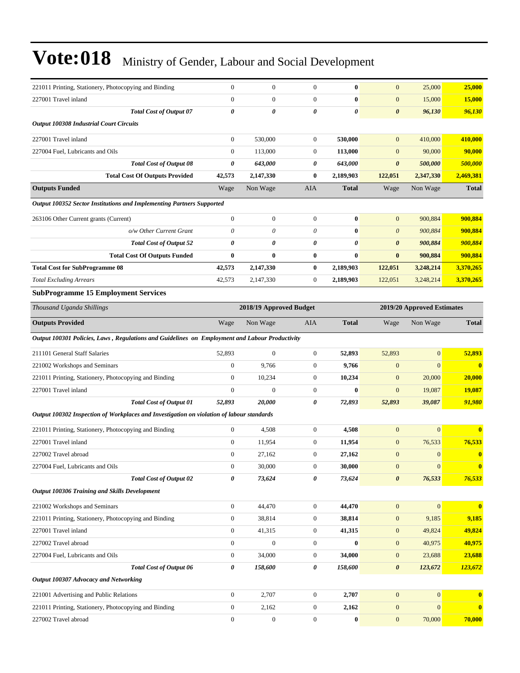| 221011 Printing, Stationery, Photocopying and Binding                                          | $\mathbf{0}$     | $\boldsymbol{0}$        | $\boldsymbol{0}$      | $\bf{0}$              | $\mathbf{0}$          | 25,000                     | 25,000       |
|------------------------------------------------------------------------------------------------|------------------|-------------------------|-----------------------|-----------------------|-----------------------|----------------------------|--------------|
| 227001 Travel inland                                                                           | $\overline{0}$   | $\mathbf{0}$            | $\mathbf{0}$          | $\bf{0}$              | $\mathbf{0}$          | 15,000                     | 15,000       |
| Total Cost of Output 07                                                                        | 0                | $\boldsymbol{\theta}$   | $\boldsymbol{\theta}$ | $\boldsymbol{\theta}$ | 0                     | 96,130                     | 96,130       |
| <b>Output 100308 Industrial Court Circuits</b>                                                 |                  |                         |                       |                       |                       |                            |              |
| 227001 Travel inland                                                                           | $\boldsymbol{0}$ | 530,000                 | $\boldsymbol{0}$      | 530,000               | $\mathbf{0}$          | 410,000                    | 410,000      |
| 227004 Fuel, Lubricants and Oils                                                               | $\boldsymbol{0}$ | 113,000                 | $\boldsymbol{0}$      | 113,000               | $\mathbf{0}$          | 90,000                     | 90,000       |
| <b>Total Cost of Output 08</b>                                                                 | 0                | 643,000                 | 0                     | 643,000               | $\boldsymbol{\theta}$ | 500,000                    | 500,000      |
| <b>Total Cost Of Outputs Provided</b>                                                          | 42,573           | 2,147,330               | $\bf{0}$              | 2,189,903             | 122,051               | 2,347,330                  | 2,469,381    |
| <b>Outputs Funded</b>                                                                          | Wage             | Non Wage                | AIA                   | <b>Total</b>          | Wage                  | Non Wage                   | <b>Total</b> |
| Output 100352 Sector Institutions and Implementing Partners Supported                          |                  |                         |                       |                       |                       |                            |              |
| 263106 Other Current grants (Current)                                                          | $\boldsymbol{0}$ | $\mathbf{0}$            | $\boldsymbol{0}$      | $\bf{0}$              | $\mathbf{0}$          | 900,884                    | 900,884      |
| o/w Other Current Grant                                                                        | 0                | 0                       | $\theta$              | $\bf{0}$              | $\theta$              | 900,884                    | 900,884      |
| <b>Total Cost of Output 52</b>                                                                 | 0                | 0                       | 0                     | 0                     | 0                     | 900,884                    | 900,884      |
| <b>Total Cost Of Outputs Funded</b>                                                            | $\bf{0}$         | $\bf{0}$                | $\bf{0}$              | $\bf{0}$              | $\bf{0}$              | 900,884                    | 900,884      |
| <b>Total Cost for SubProgramme 08</b>                                                          | 42,573           | 2,147,330               | $\bf{0}$              | 2,189,903             | 122,051               | 3,248,214                  | 3,370,265    |
| <b>Total Excluding Arrears</b>                                                                 | 42,573           | 2,147,330               | $\boldsymbol{0}$      | 2,189,903             | 122,051               | 3,248,214                  | 3,370,265    |
| <b>SubProgramme 15 Employment Services</b>                                                     |                  |                         |                       |                       |                       |                            |              |
| Thousand Uganda Shillings                                                                      |                  | 2018/19 Approved Budget |                       |                       |                       | 2019/20 Approved Estimates |              |
| <b>Outputs Provided</b>                                                                        | Wage             | Non Wage                | AIA                   | <b>Total</b>          | Wage                  | Non Wage                   | <b>Total</b> |
| Output 100301 Policies, Laws, Regulations and Guidelines on Employment and Labour Productivity |                  |                         |                       |                       |                       |                            |              |
|                                                                                                |                  |                         |                       |                       |                       |                            |              |
| 211101 General Staff Salaries                                                                  | 52,893           | $\mathbf{0}$            | $\boldsymbol{0}$      | 52,893                | 52,893                | $\mathbf{0}$               | 52,893       |
| 221002 Workshops and Seminars                                                                  | $\boldsymbol{0}$ | 9,766                   | $\boldsymbol{0}$      | 9,766                 | $\mathbf{0}$          | $\mathbf{0}$               | $\bf{0}$     |
| 221011 Printing, Stationery, Photocopying and Binding                                          | $\boldsymbol{0}$ | 10,234                  | $\boldsymbol{0}$      | 10,234                | $\mathbf{0}$          | 20,000                     | 20,000       |
| 227001 Travel inland                                                                           | $\boldsymbol{0}$ | $\mathbf{0}$            | $\mathbf{0}$          | $\bf{0}$              | $\overline{0}$        | 19,087                     | 19,087       |
| <b>Total Cost of Output 01</b>                                                                 | 52,893           | 20,000                  | 0                     | 72,893                | 52,893                | 39,087                     | 91,980       |
| Output 100302 Inspection of Workplaces and Investigation on violation of labour standards      |                  |                         |                       |                       |                       |                            |              |
| 221011 Printing, Stationery, Photocopying and Binding                                          | $\boldsymbol{0}$ | 4,508                   | $\mathbf{0}$          | 4,508                 | $\boldsymbol{0}$      | $\overline{0}$             |              |
| 227001 Travel inland                                                                           | $\boldsymbol{0}$ | 11,954                  | $\boldsymbol{0}$      | 11,954                | $\mathbf{0}$          | 76,533                     | 76,533       |
| 227002 Travel abroad                                                                           | $\Omega$         | 27,162                  | $\theta$              | 27,162                | $\overline{0}$        | $\mathbf{0}$               | $\bf{0}$     |
| 227004 Fuel, Lubricants and Oils                                                               | $\boldsymbol{0}$ | 30,000                  | $\mathbf{0}$          | 30,000                | $\boldsymbol{0}$      | $\mathbf{0}$               | $\bf{0}$     |
| <b>Total Cost of Output 02</b>                                                                 | 0                | 73,624                  | 0                     | 73,624                | $\boldsymbol{\theta}$ | 76,533                     | 76,533       |
| Output 100306 Training and Skills Development                                                  |                  |                         |                       |                       |                       |                            |              |
| 221002 Workshops and Seminars                                                                  | $\boldsymbol{0}$ | 44,470                  | $\boldsymbol{0}$      | 44,470                | $\mathbf{0}$          | $\mathbf{0}$               | $\mathbf{0}$ |
| 221011 Printing, Stationery, Photocopying and Binding                                          | $\boldsymbol{0}$ | 38,814                  | $\boldsymbol{0}$      | 38,814                | $\mathbf{0}$          | 9,185                      | 9,185        |
| 227001 Travel inland                                                                           | $\boldsymbol{0}$ | 41,315                  | $\boldsymbol{0}$      | 41,315                | $\boldsymbol{0}$      | 49,824                     | 49,824       |
| 227002 Travel abroad                                                                           | $\boldsymbol{0}$ | $\boldsymbol{0}$        | $\boldsymbol{0}$      | $\bf{0}$              | $\boldsymbol{0}$      | 40,975                     | 40,975       |
| 227004 Fuel, Lubricants and Oils                                                               | $\boldsymbol{0}$ | 34,000                  | $\boldsymbol{0}$      | 34,000                | $\bf{0}$              | 23,688                     | 23,688       |
| Total Cost of Output 06                                                                        | 0                | 158,600                 | 0                     | 158,600               | $\boldsymbol{\theta}$ | 123,672                    | 123,672      |
| Output 100307 Advocacy and Networking                                                          |                  |                         |                       |                       |                       |                            |              |
| 221001 Advertising and Public Relations                                                        | $\boldsymbol{0}$ | 2,707                   | $\boldsymbol{0}$      | 2,707                 | $\mathbf{0}$          | $\mathbf{0}$               | $\bf{0}$     |
| 221011 Printing, Stationery, Photocopying and Binding                                          | $\boldsymbol{0}$ | 2,162                   | $\boldsymbol{0}$      | 2,162                 | $\boldsymbol{0}$      | $\mathbf{0}$               | $\bf{0}$     |
| 227002 Travel abroad                                                                           | $\boldsymbol{0}$ | $\boldsymbol{0}$        | $\boldsymbol{0}$      | $\pmb{0}$             | $\boldsymbol{0}$      | 70,000                     | 70,000       |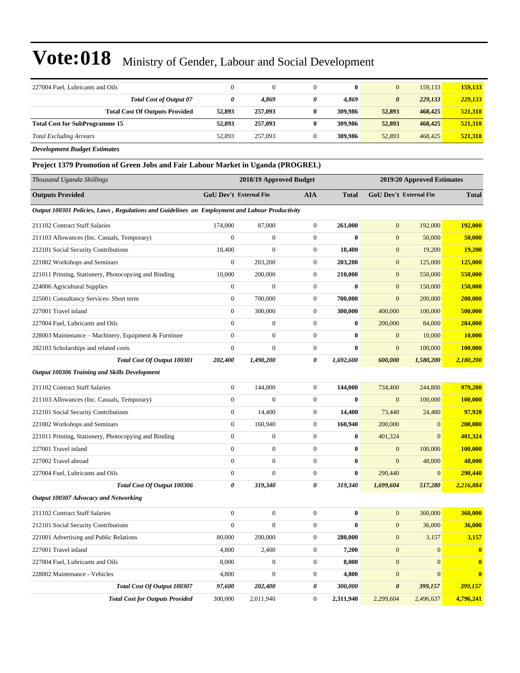| 227004 Fuel, Lubricants and Oils                                                       | $\mathbf{0}$ | $\mathbf{0}$            | $\theta$     | $\bf{0}$ | $\overline{0}$             | 159,133 | 159,133 |
|----------------------------------------------------------------------------------------|--------------|-------------------------|--------------|----------|----------------------------|---------|---------|
| <b>Total Cost of Output 07</b>                                                         | 0            | 4,869                   | 0            | 4,869    | $\boldsymbol{\theta}$      | 229,133 | 229,133 |
| <b>Total Cost Of Outputs Provided</b>                                                  | 52,893       | 257,093                 | $\bf{0}$     | 309,986  | 52,893                     | 468,425 | 521,318 |
| <b>Total Cost for SubProgramme 15</b>                                                  | 52,893       | 257,093                 | $\bf{0}$     | 309,986  | 52,893                     | 468,425 | 521,318 |
| <b>Total Excluding Arrears</b>                                                         | 52,893       | 257,093                 | $\mathbf{0}$ | 309,986  | 52,893                     | 468,425 | 521,318 |
| <b>Development Budget Estimates</b>                                                    |              |                         |              |          |                            |         |         |
| <b>Project 1379 Promotion of Green Jobs and Fair Labour Market in Uganda (PROGREL)</b> |              |                         |              |          |                            |         |         |
| Thousand Uganda Shillings                                                              |              | 2018/19 Approved Budget |              |          | 2019/20 Approved Estimates |         |         |

| <b>Outputs Provided</b>                                                                        | <b>GoU Dev't External Fin</b> |                  | <b>AIA</b>       | <b>Total</b> |                       | GoU Dev't External Fin | <b>Total</b> |
|------------------------------------------------------------------------------------------------|-------------------------------|------------------|------------------|--------------|-----------------------|------------------------|--------------|
| Output 100301 Policies, Laws, Regulations and Guidelines on Employment and Labour Productivity |                               |                  |                  |              |                       |                        |              |
| 211102 Contract Staff Salaries                                                                 | 174,000                       | 87,000           | $\boldsymbol{0}$ | 261,000      | $\mathbf{0}$          | 192,000                | 192,000      |
| 211103 Allowances (Inc. Casuals, Temporary)                                                    | $\overline{0}$                | $\mathbf{0}$     | $\overline{0}$   | $\bf{0}$     | $\mathbf{0}$          | 50,000                 | 50,000       |
| 212101 Social Security Contributions                                                           | 18,400                        | $\boldsymbol{0}$ | $\boldsymbol{0}$ | 18,400       | $\mathbf{0}$          | 19,200                 | 19,200       |
| 221002 Workshops and Seminars                                                                  | $\boldsymbol{0}$              | 203,200          | $\boldsymbol{0}$ | 203,200      | $\mathbf{0}$          | 125,000                | 125,000      |
| 221011 Printing, Stationery, Photocopying and Binding                                          | 10,000                        | 200,000          | $\boldsymbol{0}$ | 210,000      | $\mathbf{0}$          | 550,000                | 550,000      |
| 224006 Agricultural Supplies                                                                   | $\boldsymbol{0}$              | $\boldsymbol{0}$ | $\boldsymbol{0}$ | $\bf{0}$     | $\mathbf{0}$          | 150,000                | 150,000      |
| 225001 Consultancy Services- Short term                                                        | $\boldsymbol{0}$              | 700,000          | $\boldsymbol{0}$ | 700,000      | $\mathbf{0}$          | 200,000                | 200,000      |
| 227001 Travel inland                                                                           | $\boldsymbol{0}$              | 300,000          | $\boldsymbol{0}$ | 300,000      | 400,000               | 100,000                | 500,000      |
| 227004 Fuel, Lubricants and Oils                                                               | $\Omega$                      | $\mathbf{0}$     | $\overline{0}$   | $\bf{0}$     | 200,000               | 84,000                 | 284,000      |
| 228003 Maintenance – Machinery, Equipment & Furniture                                          | $\overline{0}$                | $\boldsymbol{0}$ | $\boldsymbol{0}$ | $\bf{0}$     | $\mathbf{0}$          | 10,000                 | 10,000       |
| 282103 Scholarships and related costs                                                          | $\overline{0}$                | $\mathbf{0}$     | $\overline{0}$   | $\mathbf{0}$ | $\overline{0}$        | 100,000                | 100,000      |
| Total Cost Of Output 100301                                                                    | 202,400                       | 1,490,200        | 0                | 1,692,600    | 600,000               | 1,580,200              | 2,180,200    |
| Output 100306 Training and Skills Development                                                  |                               |                  |                  |              |                       |                        |              |
| 211102 Contract Staff Salaries                                                                 | $\boldsymbol{0}$              | 144,000          | $\boldsymbol{0}$ | 144,000      | 734,400               | 244,800                | 979,200      |
| 211103 Allowances (Inc. Casuals, Temporary)                                                    | $\overline{0}$                | $\mathbf{0}$     | $\boldsymbol{0}$ | $\bf{0}$     | $\mathbf{0}$          | 100,000                | 100,000      |
| 212101 Social Security Contributions                                                           | $\boldsymbol{0}$              | 14,400           | $\boldsymbol{0}$ | 14,400       | 73,440                | 24,480                 | 97,920       |
| 221002 Workshops and Seminars                                                                  | $\overline{0}$                | 160,940          | $\boldsymbol{0}$ | 160,940      | 200,000               | $\overline{0}$         | 200,000      |
| 221011 Printing, Stationery, Photocopying and Binding                                          | $\overline{0}$                | $\boldsymbol{0}$ | $\boldsymbol{0}$ | $\bf{0}$     | 401,324               | $\mathbf{0}$           | 401,324      |
| 227001 Travel inland                                                                           | $\overline{0}$                | $\mathbf{0}$     | $\overline{0}$   | $\mathbf{0}$ | $\mathbf{0}$          | 100,000                | 100,000      |
| 227002 Travel abroad                                                                           | $\overline{0}$                | $\boldsymbol{0}$ | $\boldsymbol{0}$ | $\bf{0}$     | $\mathbf{0}$          | 48,000                 | 48,000       |
| 227004 Fuel, Lubricants and Oils                                                               | $\overline{0}$                | $\mathbf{0}$     | $\overline{0}$   | $\bf{0}$     | 290,440               | $\mathbf{0}$           | 290,440      |
| Total Cost Of Output 100306                                                                    | 0                             | 319,340          | 0                | 319,340      | 1,699,604             | 517,280                | 2,216,884    |
| Output 100307 Advocacy and Networking                                                          |                               |                  |                  |              |                       |                        |              |
| 211102 Contract Staff Salaries                                                                 | $\boldsymbol{0}$              | $\boldsymbol{0}$ | $\boldsymbol{0}$ | $\bf{0}$     | $\mathbf{0}$          | 360,000                | 360,000      |
| 212101 Social Security Contributions                                                           | $\overline{0}$                | $\mathbf{0}$     | $\boldsymbol{0}$ | $\bf{0}$     | $\mathbf{0}$          | 36,000                 | 36,000       |
| 221001 Advertising and Public Relations                                                        | 80,000                        | 200,000          | $\boldsymbol{0}$ | 280,000      | $\mathbf{0}$          | 3,157                  | 3,157        |
| 227001 Travel inland                                                                           | 4,800                         | 2,400            | $\boldsymbol{0}$ | 7,200        | $\mathbf{0}$          | $\overline{0}$         | $\bf{0}$     |
| 227004 Fuel, Lubricants and Oils                                                               | 8,000                         | $\boldsymbol{0}$ | $\boldsymbol{0}$ | 8,000        | $\mathbf{0}$          | $\overline{0}$         | $\bf{0}$     |
| 228002 Maintenance - Vehicles                                                                  | 4,800                         | $\mathbf{0}$     | $\boldsymbol{0}$ | 4,800        | $\mathbf{0}$          | $\overline{0}$         | $\bf{0}$     |
| Total Cost Of Output 100307                                                                    | 97,600                        | 202,400          | 0                | 300,000      | $\boldsymbol{\theta}$ | 399,157                | 399,157      |
| <b>Total Cost for Outputs Provided</b>                                                         | 300,000                       | 2,011,940        | $\overline{0}$   | 2,311,940    | 2.299.604             | 2,496,637              | 4,796,241    |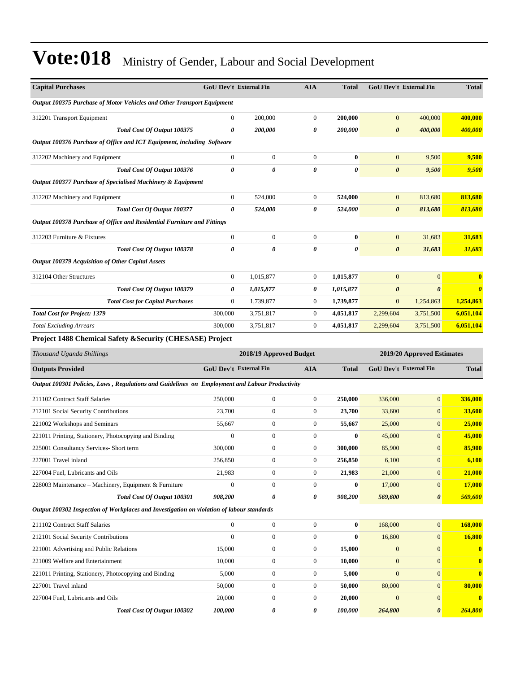| <b>Capital Purchases</b>                                                                       |                               | <b>GoU Dev't External Fin</b> | <b>AIA</b>       | <b>Total</b>          | <b>GoU Dev't External Fin</b> |                               | <b>Total</b>          |
|------------------------------------------------------------------------------------------------|-------------------------------|-------------------------------|------------------|-----------------------|-------------------------------|-------------------------------|-----------------------|
|                                                                                                |                               |                               |                  |                       |                               |                               |                       |
| Output 100375 Purchase of Motor Vehicles and Other Transport Equipment                         |                               |                               |                  |                       |                               |                               |                       |
| 312201 Transport Equipment                                                                     | $\mathbf{0}$                  | 200,000                       | $\boldsymbol{0}$ | 200,000               | $\mathbf{0}$                  | 400,000                       | 400,000               |
| Total Cost Of Output 100375                                                                    | 0                             | 200,000                       | 0                | 200,000               | $\boldsymbol{\theta}$         | 400,000                       | 400,000               |
| Output 100376 Purchase of Office and ICT Equipment, including Software                         |                               |                               |                  |                       |                               |                               |                       |
| 312202 Machinery and Equipment                                                                 | $\boldsymbol{0}$              | $\boldsymbol{0}$              | $\boldsymbol{0}$ | $\bf{0}$              | $\mathbf{0}$                  | 9,500                         | 9,500                 |
| Total Cost Of Output 100376                                                                    | 0                             | 0                             | 0                | $\boldsymbol{\theta}$ | $\boldsymbol{\theta}$         | 9,500                         | 9,500                 |
| Output 100377 Purchase of Specialised Machinery & Equipment                                    |                               |                               |                  |                       |                               |                               |                       |
| 312202 Machinery and Equipment                                                                 | $\boldsymbol{0}$              | 524,000                       | $\boldsymbol{0}$ | 524,000               | $\mathbf{0}$                  | 813,680                       | 813,680               |
| Total Cost Of Output 100377                                                                    | 0                             | 524,000                       | 0                | 524,000               | $\boldsymbol{\theta}$         | 813,680                       | 813,680               |
| Output 100378 Purchase of Office and Residential Furniture and Fittings                        |                               |                               |                  |                       |                               |                               |                       |
| 312203 Furniture & Fixtures                                                                    | $\overline{0}$                | $\mathbf{0}$                  | $\boldsymbol{0}$ | $\bf{0}$              | $\mathbf{0}$                  | 31,683                        | 31,683                |
| Total Cost Of Output 100378                                                                    | 0                             | 0                             | $\pmb{\theta}$   | $\boldsymbol{\theta}$ | $\boldsymbol{\theta}$         | 31,683                        | 31,683                |
| Output 100379 Acquisition of Other Capital Assets                                              |                               |                               |                  |                       |                               |                               |                       |
| 312104 Other Structures                                                                        | $\boldsymbol{0}$              | 1,015,877                     | $\boldsymbol{0}$ | 1,015,877             | $\mathbf{0}$                  | $\overline{0}$                |                       |
| Total Cost Of Output 100379                                                                    | 0                             | 1,015,877                     | 0                | 1,015,877             | 0                             | $\boldsymbol{\theta}$         | $\boldsymbol{\theta}$ |
| <b>Total Cost for Capital Purchases</b>                                                        | $\boldsymbol{0}$              | 1,739,877                     | $\boldsymbol{0}$ | 1,739,877             | $\mathbf{0}$                  | 1,254,863                     | 1,254,863             |
| <b>Total Cost for Project: 1379</b>                                                            | 300,000                       | 3,751,817                     | $\boldsymbol{0}$ | 4,051,817             | 2,299,604                     | 3,751,500                     | 6,051,104             |
| <b>Total Excluding Arrears</b>                                                                 | 300,000                       | 3,751,817                     | $\boldsymbol{0}$ | 4,051,817             | 2,299,604                     | 3,751,500                     | 6,051,104             |
| Project 1488 Chemical Safety & Security (CHESASE) Project                                      |                               |                               |                  |                       |                               |                               |                       |
| Thousand Uganda Shillings                                                                      |                               | 2018/19 Approved Budget       |                  |                       |                               | 2019/20 Approved Estimates    |                       |
|                                                                                                |                               |                               |                  |                       |                               | <b>GoU Dev't External Fin</b> |                       |
| <b>Outputs Provided</b>                                                                        | <b>GoU Dev't External Fin</b> |                               | <b>AIA</b>       | <b>Total</b>          |                               |                               | <b>Total</b>          |
| Output 100301 Policies, Laws, Regulations and Guidelines on Employment and Labour Productivity |                               |                               |                  |                       |                               |                               |                       |
| 211102 Contract Staff Salaries                                                                 | 250,000                       | $\boldsymbol{0}$              | $\boldsymbol{0}$ | 250,000               | 336,000                       | $\mathbf{0}$                  | 336,000               |
| 212101 Social Security Contributions                                                           | 23,700                        | $\boldsymbol{0}$              | $\boldsymbol{0}$ | 23,700                | 33,600                        | $\mathbf{0}$                  | 33,600                |
| 221002 Workshops and Seminars                                                                  | 55,667                        | $\boldsymbol{0}$              | $\boldsymbol{0}$ | 55,667                | 25,000                        | $\mathbf{0}$                  | 25,000                |
| 221011 Printing, Stationery, Photocopying and Binding                                          | $\mathbf{0}$                  | $\boldsymbol{0}$              | $\boldsymbol{0}$ | $\bf{0}$              | 45,000                        | $\mathbf{0}$                  | 45,000                |
| 225001 Consultancy Services- Short term                                                        | 300,000                       | $\boldsymbol{0}$              | $\boldsymbol{0}$ | 300,000               | 85,900                        | $\mathbf{0}$                  | 85,900                |
| 227001 Travel inland                                                                           | 256,850                       | $\boldsymbol{0}$              | $\boldsymbol{0}$ | 256,850               | 6,100                         | $\mathbf{0}$                  | 6,100                 |
| 227004 Fuel, Lubricants and Oils                                                               | 21,983                        | $\boldsymbol{0}$              | $\boldsymbol{0}$ | 21,983                | 21,000                        | $\mathbf{0}$                  | 21,000                |
| 228003 Maintenance - Machinery, Equipment & Furniture                                          | $\mathbf{0}$                  | $\boldsymbol{0}$              | $\boldsymbol{0}$ | $\bf{0}$              | 17,000                        | $\mathbf{0}$                  | 17,000                |
| Total Cost Of Output 100301                                                                    | 908,200                       | 0                             | 0                | 908,200               | 569,600                       | $\boldsymbol{\theta}$         | 569,600               |
| Output 100302 Inspection of Workplaces and Investigation on violation of labour standards      |                               |                               |                  |                       |                               |                               |                       |
| 211102 Contract Staff Salaries                                                                 | $\boldsymbol{0}$              | $\boldsymbol{0}$              | $\boldsymbol{0}$ | $\bf{0}$              | 168,000                       | $\mathbf{0}$                  | 168,000               |
| 212101 Social Security Contributions                                                           | $\mathbf{0}$                  | $\boldsymbol{0}$              | $\boldsymbol{0}$ | $\bf{0}$              | 16,800                        | $\mathbf{0}$                  | 16,800                |
| 221001 Advertising and Public Relations                                                        | 15,000                        | $\boldsymbol{0}$              | $\boldsymbol{0}$ | 15,000                | $\mathbf{0}$                  | $\mathbf{0}$                  | $\mathbf{0}$          |
| 221009 Welfare and Entertainment                                                               | 10,000                        | $\boldsymbol{0}$              | $\boldsymbol{0}$ | 10,000                | $\mathbf{0}$                  | $\mathbf{0}$                  | $\mathbf{0}$          |

221011 Printing, Stationery, Photocopying and Binding 5,000 0 0 **5,000** 0 0 **0** 227001 Travel inland 50,000 0 0 **50,000** 80,000 0 **80,000** 227004 Fuel, Lubricants and Oils 20,000 0 0 **20,000** 0 0 **0**

*Total Cost Of Output 100302 100,000 0 0 100,000 264,800 0 264,800*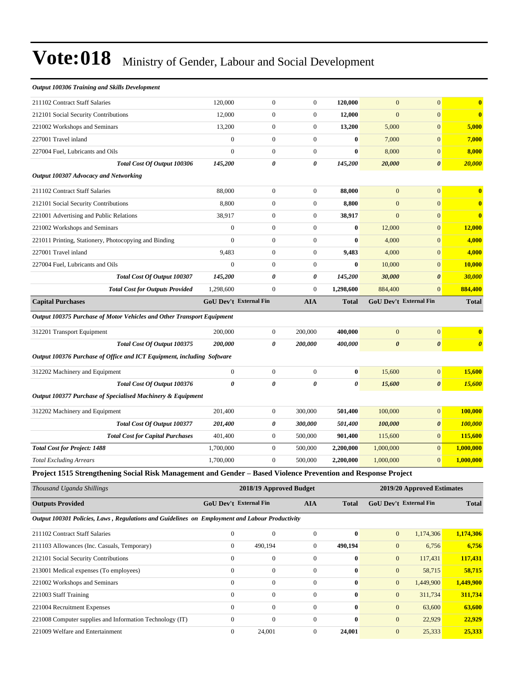| <b>Output 100306 Training and Skills Development</b>                   |                               |                  |                       |              |                       |                        |                         |
|------------------------------------------------------------------------|-------------------------------|------------------|-----------------------|--------------|-----------------------|------------------------|-------------------------|
| 211102 Contract Staff Salaries                                         | 120,000                       | $\overline{0}$   | $\overline{0}$        | 120,000      | $\theta$              | $\overline{0}$         | $\bf{0}$                |
| 212101 Social Security Contributions                                   | 12,000                        | $\overline{0}$   | $\mathbf{0}$          | 12,000       | $\overline{0}$        | $\overline{0}$         | $\bf{0}$                |
| 221002 Workshops and Seminars                                          | 13,200                        | $\boldsymbol{0}$ | $\theta$              | 13,200       | 5,000                 | $\mathbf{0}$           | 5,000                   |
| 227001 Travel inland                                                   | $\overline{0}$                | $\boldsymbol{0}$ | $\overline{0}$        | $\bf{0}$     | 7,000                 | $\overline{0}$         | 7,000                   |
| 227004 Fuel, Lubricants and Oils                                       | $\Omega$                      | $\boldsymbol{0}$ | $\overline{0}$        | $\bf{0}$     | 8,000                 | $\mathbf{0}$           | 8,000                   |
| Total Cost Of Output 100306                                            | 145,200                       | 0                | $\boldsymbol{\theta}$ | 145,200      | 20,000                | $\boldsymbol{\theta}$  | 20,000                  |
| Output 100307 Advocacy and Networking                                  |                               |                  |                       |              |                       |                        |                         |
| 211102 Contract Staff Salaries                                         | 88,000                        | $\overline{0}$   | $\theta$              | 88,000       | $\overline{0}$        | $\overline{0}$         | $\overline{\mathbf{0}}$ |
| 212101 Social Security Contributions                                   | 8,800                         | $\boldsymbol{0}$ | $\overline{0}$        | 8,800        | $\overline{0}$        | $\mathbf{0}$           | $\bf{0}$                |
| 221001 Advertising and Public Relations                                | 38,917                        | $\boldsymbol{0}$ | $\mathbf{0}$          | 38,917       | $\theta$              | $\mathbf{0}$           | $\bf{0}$                |
| 221002 Workshops and Seminars                                          | $\overline{0}$                | $\boldsymbol{0}$ | $\overline{0}$        | 0            | 12,000                | $\mathbf{0}$           | 12,000                  |
| 221011 Printing, Stationery, Photocopying and Binding                  | $\overline{0}$                | $\boldsymbol{0}$ | $\mathbf{0}$          | 0            | 4,000                 | $\mathbf{0}$           | 4,000                   |
| 227001 Travel inland                                                   | 9,483                         | $\boldsymbol{0}$ | $\overline{0}$        | 9,483        | 4,000                 | $\overline{0}$         | 4,000                   |
| 227004 Fuel, Lubricants and Oils                                       | $\overline{0}$                | $\boldsymbol{0}$ | $\overline{0}$        | $\bf{0}$     | 10,000                | $\mathbf{0}$           | 10,000                  |
| Total Cost Of Output 100307                                            | 145,200                       | 0                | $\boldsymbol{\theta}$ | 145,200      | 30,000                | $\boldsymbol{\theta}$  | 30,000                  |
| <b>Total Cost for Outputs Provided</b>                                 | 1,298,600                     | $\boldsymbol{0}$ | $\mathbf{0}$          | 1,298,600    | 884,400               | $\mathbf{0}$           | 884,400                 |
| <b>Capital Purchases</b>                                               | <b>GoU Dev't External Fin</b> |                  | <b>AIA</b>            | <b>Total</b> |                       | GoU Dev't External Fin | <b>Total</b>            |
| Output 100375 Purchase of Motor Vehicles and Other Transport Equipment |                               |                  |                       |              |                       |                        |                         |
| 312201 Transport Equipment                                             | 200,000                       | $\boldsymbol{0}$ | 200,000               | 400,000      | $\mathbf{0}$          | $\mathbf{0}$           | $\bf{0}$                |
| Total Cost Of Output 100375                                            | 200,000                       | 0                | 200,000               | 400,000      | $\boldsymbol{\theta}$ | $\boldsymbol{\theta}$  | $\boldsymbol{\theta}$   |
| Output 100376 Purchase of Office and ICT Equipment, including Software |                               |                  |                       |              |                       |                        |                         |
| 312202 Machinery and Equipment                                         | $\mathbf{0}$                  | $\boldsymbol{0}$ | $\mathbf{0}$          | $\bf{0}$     | 15,600                | $\mathbf{0}$           | 15,600                  |
| Total Cost Of Output 100376                                            | $\boldsymbol{\theta}$         | 0                | $\boldsymbol{\theta}$ | 0            | 15,600                | $\boldsymbol{\theta}$  | 15,600                  |
| Output 100377 Purchase of Specialised Machinery & Equipment            |                               |                  |                       |              |                       |                        |                         |
| 312202 Machinery and Equipment                                         | 201,400                       | $\boldsymbol{0}$ | 300,000               | 501,400      | 100,000               | $\mathbf{0}$           | 100,000                 |
| Total Cost Of Output 100377                                            | 201,400                       | 0                | 300,000               | 501,400      | 100,000               | $\boldsymbol{\theta}$  | 100,000                 |
| <b>Total Cost for Capital Purchases</b>                                | 401,400                       | $\boldsymbol{0}$ | 500,000               | 901,400      | 115,600               | $\mathbf{0}$           | 115,600                 |
| <b>Total Cost for Project: 1488</b>                                    | 1,700,000                     | $\boldsymbol{0}$ | 500,000               | 2,200,000    | 1,000,000             | $\mathbf{0}$           | 1,000,000               |
| <b>Total Excluding Arrears</b>                                         | 1,700,000                     | $\boldsymbol{0}$ | 500,000               | 2,200,000    | 1,000,000             | $\mathbf{0}$           | 1,000,000               |

**Project 1515 Strengthening Social Risk Management and Gender ±Based Violence Prevention and Response Project**

| Thousand Uganda Shillings                                                                      | 2019/20 Approved Estimates<br>2018/19 Approved Budget |              |     |              |                               |           |              |
|------------------------------------------------------------------------------------------------|-------------------------------------------------------|--------------|-----|--------------|-------------------------------|-----------|--------------|
| <b>Outputs Provided</b>                                                                        | GoU Dev't External Fin                                |              | AIA | Total        | <b>GoU</b> Dev't External Fin |           | <b>Total</b> |
| Output 100301 Policies, Laws, Regulations and Guidelines on Employment and Labour Productivity |                                                       |              |     |              |                               |           |              |
| 211102 Contract Staff Salaries                                                                 |                                                       | $\theta$     |     | $\mathbf{0}$ |                               | 1.174.306 | 1,174,306    |
| 211103 Allowances (Inc. Casuals, Temporary)                                                    |                                                       | 490.194      |     | 490.194      |                               | 6.756     | 6,756        |
| 212101 Social Security Contributions                                                           |                                                       | $\mathbf{0}$ | 0   | $\bf{0}$     | $\overline{0}$                | 117.431   | 117,431      |

| 213001 Medical expenses (To employees)                   |        | $\Omega$ | 0      | $\Omega$       | 58.715    | 58,715    |
|----------------------------------------------------------|--------|----------|--------|----------------|-----------|-----------|
| 221002 Workshops and Seminars                            |        |          | 0      | $\overline{0}$ | 1.449.900 | 1,449,900 |
| 221003 Staff Training                                    |        |          | 0      | $\Omega$       | 311,734   | 311,734   |
| 221004 Recruitment Expenses                              |        |          | 0      | $\Omega$       | 63,600    | 63,600    |
| 221008 Computer supplies and Information Technology (IT) |        |          | 0      | $\Omega$       | 22,929    | 22.929    |
| 221009 Welfare and Entertainment                         | 24.001 |          | 24.001 | $\Omega$       | 25.333    | 25.333    |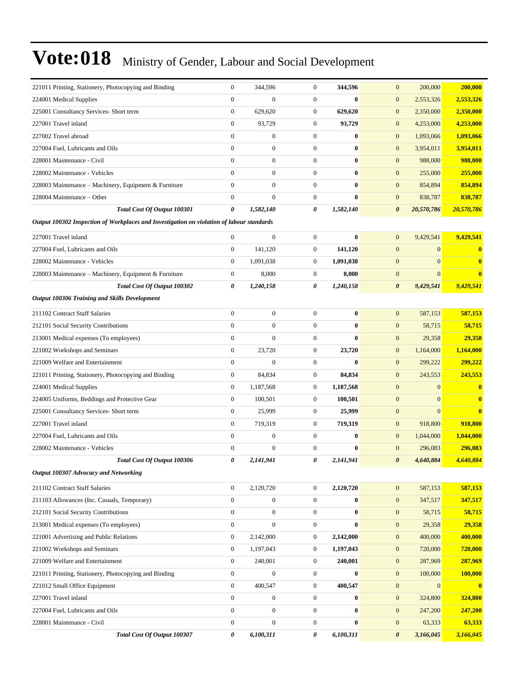| 221011 Printing, Stationery, Photocopying and Binding                                     | $\overline{0}$                   | 344,596          | $\mathbf{0}$     | 344,596               | $\mathbf{0}$<br>200,000             | 200,000      |
|-------------------------------------------------------------------------------------------|----------------------------------|------------------|------------------|-----------------------|-------------------------------------|--------------|
| 224001 Medical Supplies                                                                   | $\overline{0}$                   | $\overline{0}$   | $\boldsymbol{0}$ | $\bf{0}$              | $\mathbf{0}$<br>2,553,326           | 2,553,326    |
| 225001 Consultancy Services- Short term                                                   | $\boldsymbol{0}$                 | 629,620          | $\boldsymbol{0}$ | 629,620               | $\boldsymbol{0}$<br>2,350,000       | 2,350,000    |
| 227001 Travel inland                                                                      | $\boldsymbol{0}$                 | 93,729           | $\boldsymbol{0}$ | 93,729                | $\mathbf{0}$<br>4,253,000           | 4,253,000    |
| 227002 Travel abroad                                                                      | $\overline{0}$                   | $\boldsymbol{0}$ | $\boldsymbol{0}$ | $\bf{0}$              | $\mathbf{0}$<br>1,093,066           | 1,093,066    |
| 227004 Fuel, Lubricants and Oils                                                          | $\overline{0}$                   | $\boldsymbol{0}$ | $\boldsymbol{0}$ | $\bf{0}$              | $\mathbf{0}$<br>3,954,011           | 3,954,011    |
| 228001 Maintenance - Civil                                                                | $\overline{0}$                   | $\boldsymbol{0}$ | $\boldsymbol{0}$ | $\bf{0}$              | $\mathbf{0}$<br>988,000             | 988,000      |
| 228002 Maintenance - Vehicles                                                             | $\overline{0}$                   | $\boldsymbol{0}$ | $\boldsymbol{0}$ | $\bf{0}$              | $\boldsymbol{0}$<br>255,000         | 255,000      |
| 228003 Maintenance – Machinery, Equipment & Furniture                                     | $\overline{0}$                   | $\boldsymbol{0}$ | $\boldsymbol{0}$ | $\bf{0}$              | $\mathbf{0}$<br>854,894             | 854,894      |
| 228004 Maintenance - Other                                                                | $\boldsymbol{0}$                 | $\boldsymbol{0}$ | $\mathbf{0}$     | $\bf{0}$              | $\boldsymbol{0}$<br>838,787         | 838,787      |
| Total Cost Of Output 100301                                                               | 0                                | 1,582,140        | 0                | 1,582,140             | $\boldsymbol{\theta}$<br>20,570,786 | 20,570,786   |
| Output 100302 Inspection of Workplaces and Investigation on violation of labour standards |                                  |                  |                  |                       |                                     |              |
| 227001 Travel inland                                                                      | $\overline{0}$                   | $\boldsymbol{0}$ | $\boldsymbol{0}$ | $\bf{0}$              | $\mathbf{0}$<br>9,429,541           | 9,429,541    |
| 227004 Fuel, Lubricants and Oils                                                          | $\mathbf{0}$                     | 141,120          | $\mathbf{0}$     | 141,120               | $\mathbf{0}$<br>$\overline{0}$      | $\mathbf{0}$ |
| 228002 Maintenance - Vehicles                                                             | $\overline{0}$                   | 1,091,038        | $\mathbf{0}$     | 1,091,038             | $\mathbf{0}$<br>$\overline{0}$      | $\bf{0}$     |
| 228003 Maintenance – Machinery, Equipment & Furniture                                     | $\boldsymbol{0}$                 | 8,000            | $\boldsymbol{0}$ | 8,000                 | $\mathbf{0}$<br>$\boldsymbol{0}$    | $\bf{0}$     |
| Total Cost Of Output 100302                                                               | 0                                | 1,240,158        | 0                | 1,240,158             | $\boldsymbol{\theta}$<br>9,429,541  | 9,429,541    |
| Output 100306 Training and Skills Development                                             |                                  |                  |                  |                       |                                     |              |
| 211102 Contract Staff Salaries                                                            | $\mathbf{0}$                     | $\boldsymbol{0}$ | $\boldsymbol{0}$ | $\bf{0}$              | $\mathbf{0}$<br>587,153             | 587,153      |
| 212101 Social Security Contributions                                                      | $\overline{0}$                   | $\boldsymbol{0}$ | $\boldsymbol{0}$ | $\bf{0}$              | $\boldsymbol{0}$<br>58,715          | 58,715       |
| 213001 Medical expenses (To employees)                                                    | $\boldsymbol{0}$                 | $\overline{0}$   | $\boldsymbol{0}$ | $\bf{0}$              | $\mathbf{0}$<br>29,358              | 29,358       |
| 221002 Workshops and Seminars                                                             | $\boldsymbol{0}$                 | 23,720           | $\boldsymbol{0}$ | 23,720                | $\mathbf{0}$<br>1,164,000           | 1,164,000    |
| 221009 Welfare and Entertainment                                                          | $\overline{0}$                   | $\overline{0}$   | $\boldsymbol{0}$ | $\mathbf{0}$          | $\mathbf{0}$<br>299,222             | 299,222      |
| 221011 Printing, Stationery, Photocopying and Binding                                     | $\boldsymbol{0}$                 | 84,834           | $\mathbf{0}$     | 84,834                | $\mathbf{0}$<br>243,553             | 243,553      |
| 224001 Medical Supplies                                                                   | $\boldsymbol{0}$                 | 1,187,568        | $\boldsymbol{0}$ | 1,187,568             | $\boldsymbol{0}$<br>$\overline{0}$  | $\bf{0}$     |
| 224005 Uniforms, Beddings and Protective Gear                                             | $\boldsymbol{0}$                 | 100,501          | $\mathbf{0}$     | 100,501               | $\mathbf{0}$<br>$\overline{0}$      | $\bf{0}$     |
| 225001 Consultancy Services- Short term                                                   | $\mathbf{0}$                     | 25,999           | $\mathbf{0}$     | 25,999                | $\mathbf{0}$<br>$\Omega$            | $\bf{0}$     |
| 227001 Travel inland                                                                      | $\overline{0}$                   | 719,319          | $\mathbf{0}$     | 719,319               | $\mathbf{0}$<br>918,800             | 918,800      |
| 227004 Fuel, Lubricants and Oils                                                          | $\overline{0}$                   | $\boldsymbol{0}$ | $\boldsymbol{0}$ | 0                     | $\mathbf{0}$<br>1,044,000           | 1,044,000    |
| 228002 Maintenance - Vehicles                                                             | $\mathbf{0}$                     | $\mathbf{0}$     | $\mathbf{0}$     | $\bf{0}$              | $\mathbf{0}$<br>296,083             | 296,083      |
| Total Cost Of Output 100306                                                               | 0                                | 2,141,941        | 0                | 2,141,941             | 4,640,884<br>$\theta$               | 4,640,884    |
| Output 100307 Advocacy and Networking                                                     |                                  |                  |                  |                       |                                     |              |
|                                                                                           |                                  |                  |                  |                       |                                     |              |
| 211102 Contract Staff Salaries                                                            | $\overline{0}$<br>$\overline{0}$ | 2,120,720        | $\mathbf{0}$     | 2,120,720<br>$\bf{0}$ | $\mathbf{0}$<br>587,153             | 587,153      |
| 211103 Allowances (Inc. Casuals, Temporary)                                               |                                  | $\boldsymbol{0}$ | $\mathbf{0}$     |                       | $\boldsymbol{0}$<br>347,517         | 347,517      |
| 212101 Social Security Contributions                                                      | $\overline{0}$                   | $\boldsymbol{0}$ | $\mathbf{0}$     | $\bf{0}$              | $\boldsymbol{0}$<br>58,715          | 58,715       |
| 213001 Medical expenses (To employees)                                                    | $\boldsymbol{0}$                 | $\boldsymbol{0}$ | $\boldsymbol{0}$ | $\bf{0}$              | 29,358<br>$\mathbf{0}$              | 29,358       |
| 221001 Advertising and Public Relations                                                   | $\boldsymbol{0}$                 | 2,142,000        | $\boldsymbol{0}$ | 2,142,000             | $\boldsymbol{0}$<br>400,000         | 400,000      |
| 221002 Workshops and Seminars                                                             | 0                                | 1,197,043        | $\boldsymbol{0}$ | 1,197,043             | $\mathbf{0}$<br>720,000             | 720,000      |
| 221009 Welfare and Entertainment                                                          | $\boldsymbol{0}$                 | 240,001          | $\mathbf{0}$     | 240,001               | $\boldsymbol{0}$<br>287,969         | 287,969      |
| 221011 Printing, Stationery, Photocopying and Binding                                     | $\boldsymbol{0}$                 | $\boldsymbol{0}$ | $\mathbf{0}$     | $\bf{0}$              | $\mathbf{0}$<br>100,000             | 100,000      |
| 221012 Small Office Equipment                                                             | $\boldsymbol{0}$                 | 400,547          | $\boldsymbol{0}$ | 400,547               | $\mathbf{0}$<br>$\mathbf{0}$        | $\bf{0}$     |
| 227001 Travel inland                                                                      | $\boldsymbol{0}$                 | $\boldsymbol{0}$ | $\boldsymbol{0}$ | $\bf{0}$              | $\mathbf{0}$<br>324,800             | 324,800      |
| 227004 Fuel, Lubricants and Oils                                                          | $\boldsymbol{0}$                 | $\boldsymbol{0}$ | $\mathbf{0}$     | $\bf{0}$              | $\mathbf{0}$<br>247,200             | 247,200      |
| 228001 Maintenance - Civil                                                                | $\boldsymbol{0}$                 | $\boldsymbol{0}$ | $\mathbf{0}$     | $\bf{0}$              | $\boldsymbol{0}$<br>63,333          | 63,333       |
| Total Cost Of Output 100307                                                               | 0                                | 6,100,311        | 0                | 6,100,311             | $\pmb{\theta}$<br>3,166,045         | 3,166,045    |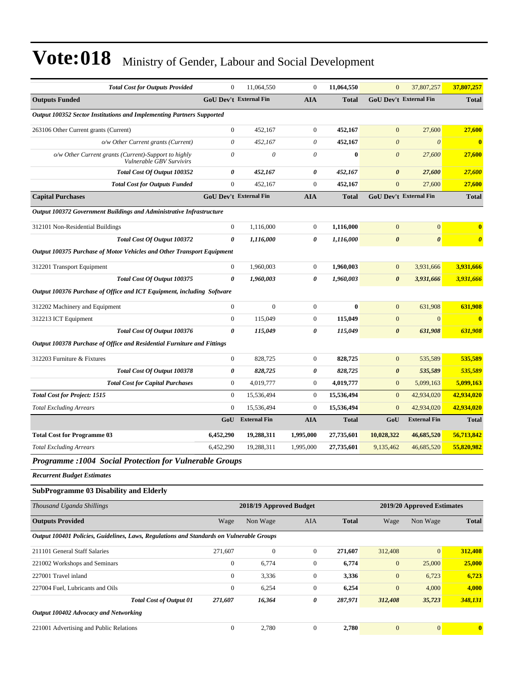| <b>Total Cost for Outputs Provided</b>                                                   | $\mathbf{0}$                  | 11,064,550              | $\boldsymbol{0}$ | 11,064,550   | $\mathbf{0}$                  | 37,807,257                 | 37,807,257            |
|------------------------------------------------------------------------------------------|-------------------------------|-------------------------|------------------|--------------|-------------------------------|----------------------------|-----------------------|
| <b>Outputs Funded</b>                                                                    | <b>GoU Dev't External Fin</b> |                         | <b>AIA</b>       | <b>Total</b> | <b>GoU Dev't External Fin</b> |                            | <b>Total</b>          |
| Output 100352 Sector Institutions and Implementing Partners Supported                    |                               |                         |                  |              |                               |                            |                       |
| 263106 Other Current grants (Current)                                                    | $\boldsymbol{0}$              | 452,167                 | $\boldsymbol{0}$ | 452,167      | $\mathbf{0}$                  | 27,600                     | 27,600                |
| o/w Other Current grants (Current)                                                       | $\theta$                      | 452,167                 | $\theta$         | 452,167      | $\theta$                      | $\theta$                   | $\bf{0}$              |
| o/w Other Current grants (Current)-Support to highly<br>Vulnerable GBV Survivirs         | $\theta$                      | $\theta$                | $\theta$         | $\bf{0}$     | $\boldsymbol{\theta}$         | 27,600                     | 27,600                |
| <b>Total Cost Of Output 100352</b>                                                       | 0                             | 452,167                 | 0                | 452,167      | 0                             | 27,600                     | 27,600                |
| <b>Total Cost for Outputs Funded</b>                                                     | $\overline{0}$                | 452,167                 | $\boldsymbol{0}$ | 452,167      | $\overline{0}$                | 27,600                     | 27,600                |
| <b>Capital Purchases</b>                                                                 | <b>GoU Dev't External Fin</b> |                         | <b>AIA</b>       | <b>Total</b> | <b>GoU Dev't External Fin</b> |                            | <b>Total</b>          |
| Output 100372 Government Buildings and Administrative Infrastructure                     |                               |                         |                  |              |                               |                            |                       |
| 312101 Non-Residential Buildings                                                         | $\boldsymbol{0}$              | 1,116,000               | $\mathbf{0}$     | 1,116,000    | $\overline{0}$                | $\mathbf{0}$               | $\bf{0}$              |
| Total Cost Of Output 100372                                                              | 0                             | 1,116,000               | 0                | 1,116,000    | $\boldsymbol{\theta}$         | $\boldsymbol{\theta}$      | $\boldsymbol{\theta}$ |
| Output 100375 Purchase of Motor Vehicles and Other Transport Equipment                   |                               |                         |                  |              |                               |                            |                       |
| 312201 Transport Equipment                                                               | $\mathbf{0}$                  | 1,960,003               | $\boldsymbol{0}$ | 1,960,003    | $\mathbf{0}$                  | 3,931,666                  | 3,931,666             |
| Total Cost Of Output 100375                                                              | 0                             | 1,960,003               | 0                | 1,960,003    | $\boldsymbol{\theta}$         | 3,931,666                  | 3,931,666             |
| Output 100376 Purchase of Office and ICT Equipment, including Software                   |                               |                         |                  |              |                               |                            |                       |
| 312202 Machinery and Equipment                                                           | $\mathbf{0}$                  | $\mathbf{0}$            | $\boldsymbol{0}$ | $\bf{0}$     | $\mathbf{0}$                  | 631,908                    | 631,908               |
| 312213 ICT Equipment                                                                     | $\mathbf{0}$                  | 115,049                 | $\boldsymbol{0}$ | 115,049      | $\mathbf{0}$                  | $\mathbf{0}$               | $\bf{0}$              |
| Total Cost Of Output 100376                                                              | 0                             | 115,049                 | 0                | 115,049      | $\boldsymbol{\theta}$         | 631,908                    | 631,908               |
| Output 100378 Purchase of Office and Residential Furniture and Fittings                  |                               |                         |                  |              |                               |                            |                       |
| 312203 Furniture & Fixtures                                                              | $\mathbf{0}$                  | 828,725                 | $\boldsymbol{0}$ | 828,725      | $\mathbf{0}$                  | 535,589                    | 535,589               |
| Total Cost Of Output 100378                                                              | 0                             | 828,725                 | 0                | 828,725      | $\boldsymbol{\theta}$         | 535,589                    | 535,589               |
| <b>Total Cost for Capital Purchases</b>                                                  | $\boldsymbol{0}$              | 4,019,777               | $\boldsymbol{0}$ | 4,019,777    | $\mathbf{0}$                  | 5,099,163                  | 5,099,163             |
| <b>Total Cost for Project: 1515</b>                                                      | $\mathbf{0}$                  | 15,536,494              | $\boldsymbol{0}$ | 15,536,494   | $\mathbf{0}$                  | 42,934,020                 | 42,934,020            |
| <b>Total Excluding Arrears</b>                                                           | $\mathbf{0}$                  | 15,536,494              | $\boldsymbol{0}$ | 15,536,494   | $\mathbf{0}$                  | 42,934,020                 | 42,934,020            |
|                                                                                          | GoU                           | <b>External Fin</b>     | <b>AIA</b>       | <b>Total</b> | GoU                           | <b>External Fin</b>        | <b>Total</b>          |
| <b>Total Cost for Programme 03</b>                                                       | 6,452,290                     | 19,288,311              | 1,995,000        | 27,735,601   | 10,028,322                    | 46,685,520                 | 56,713,842            |
| <b>Total Excluding Arrears</b>                                                           | 6,452,290                     | 19,288,311              | 1,995,000        | 27,735,601   | 9,135,462                     | 46,685,520                 | 55,820,982            |
| <b>Programme : 1004 Social Protection for Vulnerable Groups</b>                          |                               |                         |                  |              |                               |                            |                       |
| <b>Recurrent Budget Estimates</b>                                                        |                               |                         |                  |              |                               |                            |                       |
| <b>SubProgramme 03 Disability and Elderly</b>                                            |                               |                         |                  |              |                               |                            |                       |
| Thousand Uganda Shillings                                                                |                               | 2018/19 Approved Budget |                  |              |                               | 2019/20 Approved Estimates |                       |
| <b>Outputs Provided</b>                                                                  | Wage                          | Non Wage                | AIA              | <b>Total</b> | Wage                          | Non Wage                   | <b>Total</b>          |
| Output 100401 Policies, Guidelines, Laws, Regulations and Standards on Vulnerable Groups |                               |                         |                  |              |                               |                            |                       |
| 211101 General Staff Salaries                                                            | 271,607                       | $\boldsymbol{0}$        | $\boldsymbol{0}$ | 271,607      | 312,408                       | $\mathbf{0}$               | 312,408               |
| 221002 Workshops and Seminars                                                            | $\boldsymbol{0}$              | 6,774                   | $\boldsymbol{0}$ | 6,774        | $\boldsymbol{0}$              | 25,000                     | 25,000                |
| 227001 Travel inland                                                                     | $\boldsymbol{0}$              | 3,336                   | $\boldsymbol{0}$ | 3,336        | $\mathbf{0}$                  | 6,723                      | 6,723                 |
| 227004 Fuel, Lubricants and Oils                                                         | $\boldsymbol{0}$              | 6,254                   | $\boldsymbol{0}$ | 6,254        | $\mathbf{0}$                  | 4,000                      | 4,000                 |
| <b>Total Cost of Output 01</b>                                                           | 271,607                       | 16,364                  | 0                | 287,971      | 312,408                       | 35,723                     | <b>348,131</b>        |
| Output 100402 Advocacy and Networking                                                    |                               |                         |                  |              |                               |                            |                       |
| 221001 Advertising and Public Relations                                                  | $\boldsymbol{0}$              | 2,780                   | $\boldsymbol{0}$ | 2,780        | $\boldsymbol{0}$              | $\boldsymbol{0}$           | $\boldsymbol{0}$      |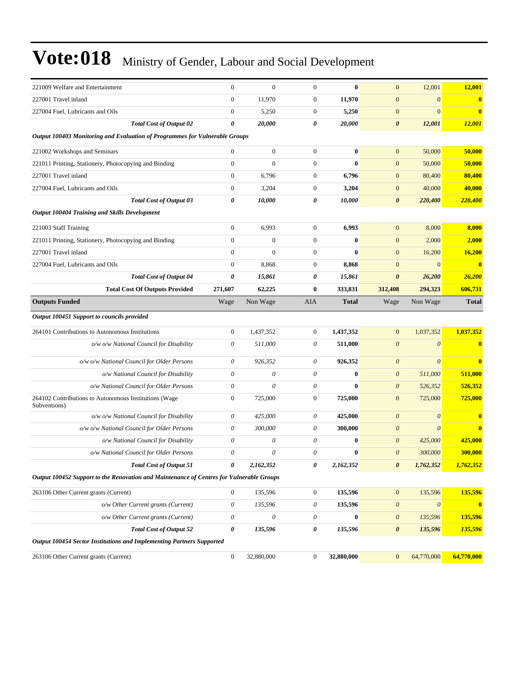| 221009 Welfare and Entertainment                                                         | $\boldsymbol{0}$          | $\mathbf{0}$          | $\mathbf{0}$     | $\bf{0}$     | $\mathbf{0}$          | 12,001                | 12,001                  |
|------------------------------------------------------------------------------------------|---------------------------|-----------------------|------------------|--------------|-----------------------|-----------------------|-------------------------|
| 227001 Travel inland                                                                     | $\boldsymbol{0}$          | 11,970                | $\boldsymbol{0}$ | 11,970       | $\boldsymbol{0}$      | $\mathbf{0}$          | $\bf{0}$                |
| 227004 Fuel, Lubricants and Oils                                                         | $\boldsymbol{0}$          | 5,250                 | $\mathbf{0}$     | 5,250        | $\mathbf{0}$          | $\mathbf{0}$          | $\bf{0}$                |
| <b>Total Cost of Output 02</b>                                                           | $\boldsymbol{\theta}$     | 20,000                | 0                | 20,000       | $\boldsymbol{\theta}$ | 12,001                | 12,001                  |
| Output 100403 Monitoring and Evaluation of Programmes for Vulnerable Groups              |                           |                       |                  |              |                       |                       |                         |
| 221002 Workshops and Seminars                                                            | $\boldsymbol{0}$          | $\boldsymbol{0}$      | $\mathbf{0}$     | $\bf{0}$     | $\mathbf{0}$          | 50,000                | 50,000                  |
| 221011 Printing, Stationery, Photocopying and Binding                                    | $\boldsymbol{0}$          | $\overline{0}$        | $\overline{0}$   | $\bf{0}$     | $\mathbf{0}$          | 50,000                | 50,000                  |
| 227001 Travel inland                                                                     | $\boldsymbol{0}$          | 6,796                 | $\mathbf{0}$     | 6,796        | $\mathbf{0}$          | 80,400                | 80,400                  |
| 227004 Fuel, Lubricants and Oils                                                         | $\boldsymbol{0}$          | 3,204                 | $\boldsymbol{0}$ | 3,204        | $\mathbf{0}$          | 40,000                | 40,000                  |
| <b>Total Cost of Output 03</b>                                                           | $\pmb{\theta}$            | 10,000                | 0                | 10,000       | $\boldsymbol{\theta}$ | 220,400               | 220,400                 |
| <b>Output 100404 Training and Skills Development</b>                                     |                           |                       |                  |              |                       |                       |                         |
| 221003 Staff Training                                                                    | $\boldsymbol{0}$          | 6,993                 | $\mathbf{0}$     | 6,993        | $\mathbf{0}$          | 8,000                 | 8,000                   |
| 221011 Printing, Stationery, Photocopying and Binding                                    | $\boldsymbol{0}$          | $\mathbf{0}$          | $\boldsymbol{0}$ | $\bf{0}$     | $\mathbf{0}$          | 2,000                 | 2,000                   |
| 227001 Travel inland                                                                     | $\mathbf{0}$              | $\mathbf{0}$          | $\mathbf{0}$     | $\bf{0}$     | $\boldsymbol{0}$      | 16,200                | 16,200                  |
| 227004 Fuel, Lubricants and Oils                                                         | $\boldsymbol{0}$          | 8,868                 | $\boldsymbol{0}$ | 8,868        | $\mathbf{0}$          | $\mathbf{0}$          | $\overline{\mathbf{0}}$ |
| <b>Total Cost of Output 04</b>                                                           | $\boldsymbol{\theta}$     | 15,861                | 0                | 15,861       | $\boldsymbol{\theta}$ | 26,200                | <b>26,200</b>           |
| <b>Total Cost Of Outputs Provided</b>                                                    | 271,607                   | 62,225                | $\bf{0}$         | 333,831      | 312,408               | 294,323               | 606,731                 |
| <b>Outputs Funded</b>                                                                    | Wage                      | Non Wage              | AIA              | <b>Total</b> | Wage                  | Non Wage              | <b>Total</b>            |
| Output 100451 Support to councils provided                                               |                           |                       |                  |              |                       |                       |                         |
| 264101 Contributions to Autonomous Institutions                                          | $\boldsymbol{0}$          | 1,437,352             | $\mathbf{0}$     | 1,437,352    | $\mathbf{0}$          | 1,037,352             | 1,037,352               |
| o/w o/w National Council for Disability                                                  | $\theta$                  | 511,000               | 0                | 511,000      | $\boldsymbol{\theta}$ | $\boldsymbol{\theta}$ | $\bf{0}$                |
| o/w o/w National Council for Older Persons                                               | $\theta$                  | 926,352               | 0                | 926,352      | $\boldsymbol{\theta}$ | $\boldsymbol{\theta}$ | $\bf{0}$                |
| o/w National Council for Disability                                                      | $\boldsymbol{\theta}$     | $\boldsymbol{\theta}$ | 0                | $\bf{0}$     | $\boldsymbol{\theta}$ | 511,000               | 511,000                 |
| o/w National Council for Older Persons                                                   | $\boldsymbol{\mathit{0}}$ | $\theta$              | 0                | $\bf{0}$     | $\boldsymbol{\theta}$ | 526,352               | 526,352                 |
| 264102 Contributions to Autonomous Institutions (Wage<br>Subventions)                    | $\boldsymbol{0}$          | 725,000               | $\boldsymbol{0}$ | 725,000      | $\mathbf{0}$          | 725,000               | 725,000                 |
| o/w o/w National Council for Disability                                                  | $\theta$                  | 425,000               | 0                | 425,000      | $\boldsymbol{\theta}$ | $\boldsymbol{0}$      | $\bf{0}$                |
| o/w o/w National Council for Older Persons                                               | $\theta$                  | 300,000               | 0                | 300,000      | $\boldsymbol{\theta}$ | $\boldsymbol{\theta}$ | $\bf{0}$                |
| o/w National Council for Disability                                                      | $\theta$                  | 0                     | 0                | 0            | $\boldsymbol{\theta}$ | 425,000               | 425,000                 |
| o/w National Council for Older Persons                                                   | $\theta$                  | $\theta$              | 0                | $\bf{0}$     | $\boldsymbol{0}$      | 300,000               | 300,000                 |
| <b>Total Cost of Output 51</b>                                                           | 0                         | 2,162,352             | 0                | 2,162,352    | $\boldsymbol{\theta}$ | 1,762,352             | 1,762,352               |
| Output 100452 Support to the Renovation and Maintenance of Centres for Vulnerable Groups |                           |                       |                  |              |                       |                       |                         |
| 263106 Other Current grants (Current)                                                    | $\boldsymbol{0}$          | 135,596               | $\boldsymbol{0}$ | 135,596      | $\boldsymbol{0}$      | 135,596               | 135,596                 |
| o/w Other Current grants (Current)                                                       | $\boldsymbol{\mathit{0}}$ | 135,596               | $\theta$         | 135,596      | $\boldsymbol{\theta}$ | $\boldsymbol{\theta}$ | $\bf{0}$                |
| o/w Other Current grants (Current)                                                       | $\boldsymbol{\mathit{0}}$ | $\boldsymbol{\theta}$ | 0                | $\bf{0}$     | $\boldsymbol{\theta}$ | 135,596               | 135,596                 |
| <b>Total Cost of Output 52</b>                                                           | 0                         | 135,596               | 0                | 135,596      | $\pmb{\theta}$        | 135,596               | 135,596                 |
| Output 100454 Sector Institutions and Implementing Partners Supported                    |                           |                       |                  |              |                       |                       |                         |
| 263106 Other Current grants (Current)                                                    | $\boldsymbol{0}$          | 32,880,000            | $\mathbf{0}$     | 32,880,000   | $\mathbf{0}$          | 64,770,000            | 64,770,000              |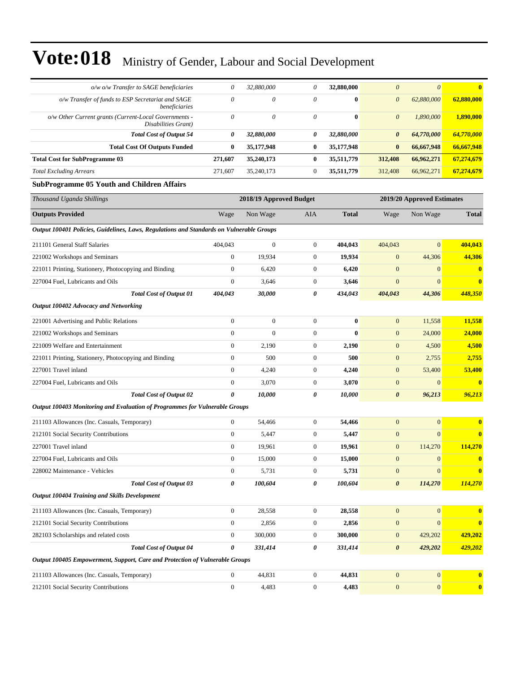| o/w o/w Transfer to SAGE beneficiaries                                                   | 0                | 32,880,000              | 0                | 32,880,000   | $\boldsymbol{\theta}$ | $\theta$                   | $\mathbf{0}$            |
|------------------------------------------------------------------------------------------|------------------|-------------------------|------------------|--------------|-----------------------|----------------------------|-------------------------|
| o/w Transfer of funds to ESP Secretariat and SAGE<br>beneficiaries                       | $\theta$         | 0                       | $\theta$         | $\bf{0}$     | 0                     | 62,880,000                 | 62,880,000              |
| o/w Other Current grants (Current-Local Governments -<br>Disabilities Grant)             | $\theta$         | $\theta$                | $\theta$         | $\bf{0}$     | $\theta$              | 1,890,000                  | 1,890,000               |
| <b>Total Cost of Output 54</b>                                                           | 0                | 32,880,000              | 0                | 32,880,000   | $\boldsymbol{\theta}$ | 64,770,000                 | 64,770,000              |
| <b>Total Cost Of Outputs Funded</b>                                                      | $\bf{0}$         | 35,177,948              | $\bf{0}$         | 35,177,948   | $\bf{0}$              | 66,667,948                 | 66,667,948              |
| <b>Total Cost for SubProgramme 03</b>                                                    | 271,607          | 35,240,173              | $\bf{0}$         | 35,511,779   | 312,408               | 66,962,271                 | 67,274,679              |
| <b>Total Excluding Arrears</b>                                                           | 271,607          | 35,240,173              | $\boldsymbol{0}$ | 35,511,779   | 312,408               | 66,962,271                 | 67,274,679              |
| <b>SubProgramme 05 Youth and Children Affairs</b>                                        |                  |                         |                  |              |                       |                            |                         |
| Thousand Uganda Shillings                                                                |                  | 2018/19 Approved Budget |                  |              |                       | 2019/20 Approved Estimates |                         |
| <b>Outputs Provided</b>                                                                  | Wage             | Non Wage                | AIA              | <b>Total</b> | Wage                  | Non Wage                   | <b>Total</b>            |
| Output 100401 Policies, Guidelines, Laws, Regulations and Standards on Vulnerable Groups |                  |                         |                  |              |                       |                            |                         |
| 211101 General Staff Salaries                                                            | 404,043          | $\mathbf{0}$            | $\boldsymbol{0}$ | 404,043      | 404,043               | $\mathbf{0}$               | 404,043                 |
| 221002 Workshops and Seminars                                                            | $\theta$         | 19,934                  | $\boldsymbol{0}$ | 19,934       | $\mathbf{0}$          | 44,306                     | 44,306                  |
| 221011 Printing, Stationery, Photocopying and Binding                                    | $\mathbf{0}$     | 6,420                   | $\mathbf{0}$     | 6,420        | $\mathbf{0}$          | $\overline{0}$             | $\bf{0}$                |
| 227004 Fuel, Lubricants and Oils                                                         | $\boldsymbol{0}$ | 3,646                   | $\boldsymbol{0}$ | 3,646        | $\mathbf{0}$          | $\mathbf{0}$               | $\mathbf{0}$            |
| <b>Total Cost of Output 01</b>                                                           | 404,043          | 30,000                  | 0                | 434,043      | 404,043               | 44,306                     | 448,350                 |
| Output 100402 Advocacy and Networking                                                    |                  |                         |                  |              |                       |                            |                         |
| 221001 Advertising and Public Relations                                                  | $\boldsymbol{0}$ | $\boldsymbol{0}$        | $\boldsymbol{0}$ | $\bf{0}$     | $\mathbf{0}$          | 11,558                     | 11,558                  |
| 221002 Workshops and Seminars                                                            | $\mathbf{0}$     | $\mathbf{0}$            | $\boldsymbol{0}$ | $\bf{0}$     | $\mathbf{0}$          | 24,000                     | 24,000                  |
| 221009 Welfare and Entertainment                                                         | $\mathbf{0}$     | 2,190                   | $\boldsymbol{0}$ | 2,190        | $\mathbf{0}$          | 4,500                      | 4,500                   |
| 221011 Printing, Stationery, Photocopying and Binding                                    | $\mathbf{0}$     | 500                     | $\boldsymbol{0}$ | 500          | $\boldsymbol{0}$      | 2,755                      | 2,755                   |
| 227001 Travel inland                                                                     | $\theta$         | 4,240                   | $\boldsymbol{0}$ | 4,240        | $\mathbf{0}$          | 53,400                     | 53,400                  |
| 227004 Fuel, Lubricants and Oils                                                         | $\boldsymbol{0}$ | 3,070                   | $\boldsymbol{0}$ | 3,070        | $\mathbf{0}$          | $\mathbf{0}$               | $\bf{0}$                |
| <b>Total Cost of Output 02</b>                                                           | 0                | 10,000                  | 0                | 10,000       | $\boldsymbol{\theta}$ | 96,213                     | 96,213                  |
| <b>Output 100403 Monitoring and Evaluation of Programmes for Vulnerable Groups</b>       |                  |                         |                  |              |                       |                            |                         |
| 211103 Allowances (Inc. Casuals, Temporary)                                              | $\mathbf{0}$     | 54,466                  | $\boldsymbol{0}$ | 54,466       | $\mathbf{0}$          | $\mathbf{0}$               | $\mathbf{0}$            |
| 212101 Social Security Contributions                                                     | $\mathbf{0}$     | 5,447                   | $\boldsymbol{0}$ | 5,447        | $\mathbf{0}$          | $\overline{0}$             | $\mathbf{0}$            |
| 227001 Travel inland                                                                     | $\mathbf{0}$     | 19,961                  | $\boldsymbol{0}$ | 19,961       | $\mathbf{0}$          | 114,270                    | 114,270                 |
| 227004 Fuel, Lubricants and Oils                                                         | $\boldsymbol{0}$ | 15,000                  | 0                | 15,000       | $\mathbf{0}$          | $\mathbf{0}$               |                         |
| 228002 Maintenance - Vehicles                                                            | $\bf{0}$         | 5,731                   | $\boldsymbol{0}$ | 5,731        | $\boldsymbol{0}$      | $\boldsymbol{0}$           | $\bf{0}$                |
| <b>Total Cost of Output 03</b>                                                           | 0                | 100,604                 | 0                | 100,604      | $\boldsymbol{\theta}$ | 114,270                    | 114,270                 |
| <b>Output 100404 Training and Skills Development</b>                                     |                  |                         |                  |              |                       |                            |                         |
| 211103 Allowances (Inc. Casuals, Temporary)                                              | $\boldsymbol{0}$ | 28,558                  | $\boldsymbol{0}$ | 28,558       | $\boldsymbol{0}$      | $\boldsymbol{0}$           | $\bf{0}$                |
| 212101 Social Security Contributions                                                     | $\boldsymbol{0}$ | 2,856                   | $\boldsymbol{0}$ | 2,856        | $\mathbf{0}$          | $\boldsymbol{0}$           | $\bf{0}$                |
| 282103 Scholarships and related costs                                                    | $\boldsymbol{0}$ | 300,000                 | $\boldsymbol{0}$ | 300,000      | $\boldsymbol{0}$      | 429,202                    | 429,202                 |
| <b>Total Cost of Output 04</b>                                                           | 0                | 331,414                 | 0                | 331,414      | $\pmb{\theta}$        | 429,202                    | <u>429,202</u>          |
| Output 100405 Empowerment, Support, Care and Protection of Vulnerable Groups             |                  |                         |                  |              |                       |                            |                         |
| 211103 Allowances (Inc. Casuals, Temporary)                                              | $\boldsymbol{0}$ | 44,831                  | $\boldsymbol{0}$ | 44,831       | $\mathbf{0}$          | $\boldsymbol{0}$           | $\bf{0}$                |
| 212101 Social Security Contributions                                                     | $\boldsymbol{0}$ | 4,483                   | $\overline{0}$   | 4,483        | $\boldsymbol{0}$      | $\overline{0}$             | $\overline{\mathbf{0}}$ |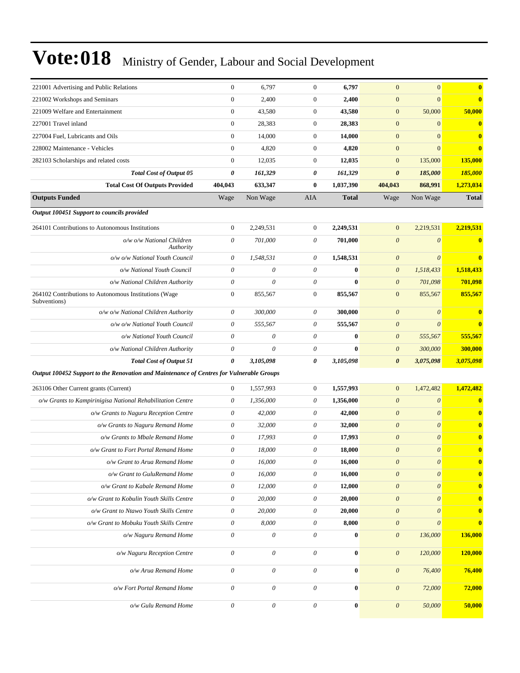| 221001 Advertising and Public Relations                                                  | $\mathbf{0}$              | 6,797                     | $\mathbf{0}$          | 6,797        | $\mathbf{0}$              | $\mathbf{0}$              | $\bf{0}$     |
|------------------------------------------------------------------------------------------|---------------------------|---------------------------|-----------------------|--------------|---------------------------|---------------------------|--------------|
| 221002 Workshops and Seminars                                                            | $\boldsymbol{0}$          | 2,400                     | $\mathbf{0}$          | 2,400        | $\boldsymbol{0}$          | $\overline{0}$            | $\bf{0}$     |
| 221009 Welfare and Entertainment                                                         | $\boldsymbol{0}$          | 43,580                    | $\boldsymbol{0}$      | 43,580       | $\boldsymbol{0}$          | 50,000                    | 50,000       |
| 227001 Travel inland                                                                     | $\boldsymbol{0}$          | 28,383                    | $\mathbf{0}$          | 28,383       | $\mathbf{0}$              | $\mathbf{0}$              | $\bf{0}$     |
| 227004 Fuel, Lubricants and Oils                                                         | $\boldsymbol{0}$          | 14,000                    | $\mathbf{0}$          | 14,000       | $\mathbf{0}$              | $\overline{0}$            | $\bf{0}$     |
| 228002 Maintenance - Vehicles                                                            | $\boldsymbol{0}$          | 4,820                     | $\mathbf{0}$          | 4,820        | $\mathbf{0}$              | $\overline{0}$            | $\bf{0}$     |
| 282103 Scholarships and related costs                                                    | $\mathbf{0}$              | 12,035                    | $\boldsymbol{0}$      | 12,035       | $\mathbf{0}$              | 135,000                   | 135,000      |
| <b>Total Cost of Output 05</b>                                                           | 0                         | 161,329                   | 0                     | 161,329      | $\boldsymbol{\theta}$     | 185,000                   | 185,000      |
| <b>Total Cost Of Outputs Provided</b>                                                    | 404,043                   | 633,347                   | $\bf{0}$              | 1,037,390    | 404,043                   | 868,991                   | 1,273,034    |
| <b>Outputs Funded</b>                                                                    | Wage                      | Non Wage                  | AIA                   | <b>Total</b> | Wage                      | Non Wage                  | <b>Total</b> |
| Output 100451 Support to councils provided                                               |                           |                           |                       |              |                           |                           |              |
| 264101 Contributions to Autonomous Institutions                                          | $\mathbf{0}$              | 2,249,531                 | $\mathbf{0}$          | 2,249,531    | $\mathbf{0}$              | 2,219,531                 | 2,219,531    |
| o/w o/w National Children<br>Authority                                                   | 0                         | 701,000                   | 0                     | 701,000      | $\boldsymbol{\theta}$     | $\boldsymbol{\theta}$     | $\bf{0}$     |
| o/w o/w National Youth Council                                                           | 0                         | 1,548,531                 | 0                     | 1,548,531    | $\boldsymbol{\theta}$     | $\boldsymbol{\theta}$     | $\bf{0}$     |
| o/w National Youth Council                                                               | $\theta$                  | 0                         | $\theta$              | $\bf{0}$     | $\boldsymbol{\theta}$     | 1,518,433                 | 1,518,433    |
| o/w National Children Authority                                                          | $\theta$                  | 0                         | $\theta$              | $\bf{0}$     | $\boldsymbol{\theta}$     | 701,098                   | 701,098      |
| 264102 Contributions to Autonomous Institutions (Wage<br>Subventions)                    | $\mathbf{0}$              | 855,567                   | $\boldsymbol{0}$      | 855,567      | $\mathbf{0}$              | 855,567                   | 855,567      |
| o/w o/w National Children Authority                                                      | $\theta$                  | 300,000                   | 0                     | 300,000      | $\theta$                  | $\boldsymbol{\theta}$     | $\bf{0}$     |
| o/w o/w National Youth Council                                                           | $\theta$                  | 555,567                   | 0                     | 555,567      | $\boldsymbol{\theta}$     | $\boldsymbol{\theta}$     | $\bf{0}$     |
| o/w National Youth Council                                                               | 0                         | 0                         | 0                     | $\bf{0}$     | $\boldsymbol{\theta}$     | 555,567                   | 555,567      |
| o/w National Children Authority                                                          | $\theta$                  | 0                         | $\theta$              | $\bf{0}$     | $\boldsymbol{\theta}$     | 300,000                   | 300,000      |
| <b>Total Cost of Output 51</b>                                                           | 0                         | 3,105,098                 | 0                     | 3,105,098    | $\boldsymbol{\theta}$     | 3,075,098                 | 3,075,098    |
| Output 100452 Support to the Renovation and Maintenance of Centres for Vulnerable Groups |                           |                           |                       |              |                           |                           |              |
| 263106 Other Current grants (Current)                                                    | $\mathbf{0}$              | 1,557,993                 | $\boldsymbol{0}$      | 1,557,993    | $\mathbf{0}$              | 1,472,482                 | 1,472,482    |
| o/w Grants to Kampirinigisa National Rehabilitation Centre                               | 0                         | 1,356,000                 | 0                     | 1,356,000    | $\boldsymbol{\theta}$     | $\boldsymbol{\theta}$     | $\bf{0}$     |
| o/w Grants to Naguru Reception Centre                                                    | 0                         | 42,000                    | 0                     | 42,000       | $\boldsymbol{\theta}$     | $\boldsymbol{\theta}$     | $\bf{0}$     |
| o/w Grants to Naguru Remand Home                                                         | $\theta$                  | 32,000                    | $\theta$              | 32,000       | $\theta$                  | $\boldsymbol{\theta}$     | $\bf{0}$     |
| o/w Grants to Mbale Remand Home                                                          | $\theta$                  | 17,993                    | 0                     | 17,993       | $\boldsymbol{\theta}$     | $\boldsymbol{\theta}$     | $\bf{0}$     |
| o/w Grant to Fort Portal Remand Home                                                     | $\boldsymbol{\theta}$     | 18,000                    | 0                     | 18,000       | $\boldsymbol{\theta}$     | $\theta$                  | $\bf{0}$     |
| o/w Grant to Arua Remand Home                                                            | 0                         | 16,000                    | 0                     | 16,000       | $\boldsymbol{\mathit{0}}$ | $\theta$                  | $\bf{0}$     |
| o/w Grant to GuluRemand Home                                                             | $\boldsymbol{\theta}$     | 16,000                    | 0                     | 16,000       | $\boldsymbol{\theta}$     | $\boldsymbol{\mathit{0}}$ | $\bf{0}$     |
| o/w Grant to Kabale Remand Home                                                          | $\boldsymbol{\mathit{0}}$ | 12,000                    | $\boldsymbol{\theta}$ | 12,000       | $\boldsymbol{0}$          | $\theta$                  | $\bf{0}$     |
| o/w Grant to Kobulin Youth Skills Centre                                                 | $\boldsymbol{\theta}$     | 20,000                    | 0                     | 20,000       | $\theta$                  | $\boldsymbol{\theta}$     | $\bf{0}$     |
| o/w Grant to Ntawo Youth Skills Centre                                                   | $\theta$                  | 20,000                    | 0                     | 20,000       | $\theta$                  | $\theta$                  | $\bf{0}$     |
| o/w Grant to Mobuku Youth Skills Centre                                                  | $\boldsymbol{\theta}$     | 8,000                     | $\theta$              | 8,000        | $\boldsymbol{\theta}$     | $\boldsymbol{\theta}$     | $\bf{0}$     |
| o/w Naguru Remand Home                                                                   | $\boldsymbol{\theta}$     | $\boldsymbol{\mathit{0}}$ | 0                     | $\bf{0}$     | $\boldsymbol{\theta}$     | 136,000                   | 136,000      |
| o/w Naguru Reception Centre                                                              | $\boldsymbol{\theta}$     | 0                         | $\theta$              | $\bf{0}$     | $\boldsymbol{\theta}$     | 120,000                   | 120,000      |
| o/w Arua Remand Home                                                                     | $\boldsymbol{\theta}$     | $\boldsymbol{\mathit{0}}$ | $\theta$              | $\bf{0}$     | $\boldsymbol{0}$          | 76,400                    | 76,400       |
| o/w Fort Portal Remand Home                                                              | $\boldsymbol{0}$          | $\boldsymbol{\mathit{0}}$ | $\boldsymbol{\theta}$ | $\bf{0}$     | $\boldsymbol{0}$          | 72,000                    | 72,000       |
| o/w Gulu Remand Home                                                                     | $\boldsymbol{\theta}$     | $\boldsymbol{\mathit{0}}$ | $\boldsymbol{\theta}$ | $\bf{0}$     | $\boldsymbol{\theta}$     | 50,000                    | 50,000       |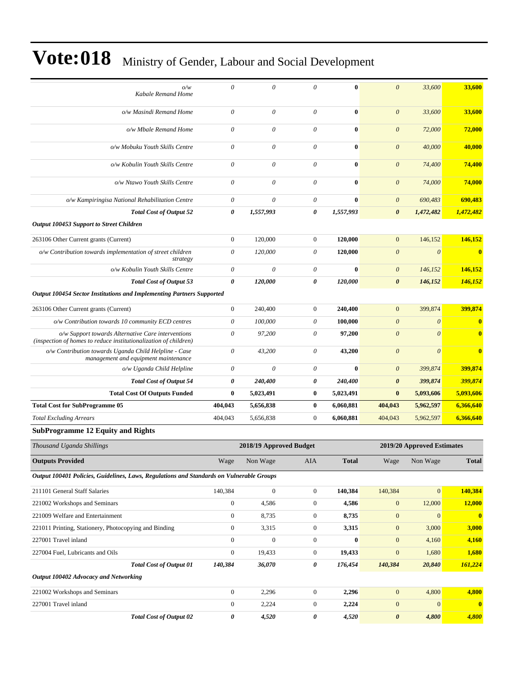| o/w<br>Kabale Remand Home                                                                                              | $\theta$              | $\theta$                | 0                | $\bf{0}$       | $\boldsymbol{\theta}$ | 33,600                     | 33,600                  |
|------------------------------------------------------------------------------------------------------------------------|-----------------------|-------------------------|------------------|----------------|-----------------------|----------------------------|-------------------------|
| o/w Masindi Remand Home                                                                                                | $\theta$              | $\theta$                | $\theta$         | $\bf{0}$       | $\boldsymbol{\theta}$ | 33,600                     | 33,600                  |
| o/w Mbale Remand Home                                                                                                  | $\theta$              | $\theta$                | 0                | $\bf{0}$       | $\theta$              | 72,000                     | 72,000                  |
| o/w Mobuku Youth Skills Centre                                                                                         | $\theta$              | $\theta$                | $\theta$         | $\mathbf{0}$   | $\theta$              | 40,000                     | 40,000                  |
| o/w Kobulin Youth Skills Centre                                                                                        | $\theta$              | $\theta$                | 0                | $\bf{0}$       | $\theta$              | 74,400                     | 74,400                  |
| o/w Ntawo Youth Skills Centre                                                                                          | $\theta$              | $\theta$                | 0                | $\bf{0}$       | $\boldsymbol{\theta}$ | 74,000                     | 74,000                  |
| o/w Kampiringisa National Rehabilitation Centre                                                                        | $\boldsymbol{\theta}$ | $\boldsymbol{\theta}$   | 0                | $\bf{0}$       | $\boldsymbol{\theta}$ | 690,483                    | 690,483                 |
| <b>Total Cost of Output 52</b>                                                                                         | $\pmb{\theta}$        | 1,557,993               | 0                | 1,557,993      | $\boldsymbol{\theta}$ | 1,472,482                  | 1,472,482               |
| Output 100453 Support to Street Children                                                                               |                       |                         |                  |                |                       |                            |                         |
| 263106 Other Current grants (Current)                                                                                  | $\boldsymbol{0}$      | 120,000                 | $\mathbf{0}$     | 120,000        | $\mathbf{0}$          | 146,152                    | 146,152                 |
| o/w Contribution towards implementation of street children<br>strategy                                                 | $\boldsymbol{\theta}$ | 120,000                 | 0                | 120,000        | $\boldsymbol{\theta}$ | $\boldsymbol{\theta}$      | $\overline{\mathbf{0}}$ |
| o/w Kobulin Youth Skills Centre                                                                                        | $\theta$              | $\theta$                | 0                | $\mathbf{0}$   | $\boldsymbol{\theta}$ | 146,152                    | 146,152                 |
| <b>Total Cost of Output 53</b>                                                                                         | $\boldsymbol{\theta}$ | 120,000                 | 0                | 120,000        | $\boldsymbol{\theta}$ | 146,152                    | 146,152                 |
| Output 100454 Sector Institutions and Implementing Partners Supported                                                  |                       |                         |                  |                |                       |                            |                         |
| 263106 Other Current grants (Current)                                                                                  | $\overline{0}$        | 240,400                 | $\overline{0}$   | 240,400        | $\mathbf{0}$          | 399,874                    | 399,874                 |
| o/w Contribution towards 10 community ECD centres                                                                      | $\theta$              | 100,000                 | $\theta$         | 100,000        | $\boldsymbol{\theta}$ | $\theta$                   | $\bf{0}$                |
| o/w Support towards Alternative Care interventions<br>(inspection of homes to reduce institutionalization of children) | $\theta$              | 97,200                  | $\theta$         | 97,200         | $\boldsymbol{0}$      | $\theta$                   | $\overline{\mathbf{0}}$ |
| o/w Contribution towards Uganda Child Helpline - Case<br>management and equipment maintenance                          | $\theta$              | 43,200                  | 0                | 43,200         | $\boldsymbol{\theta}$ | $\theta$                   | $\overline{\mathbf{0}}$ |
| o/w Uganda Child Helpline                                                                                              | $\boldsymbol{\theta}$ | $\theta$                | 0                | $\bf{0}$       | $\boldsymbol{\theta}$ | 399,874                    | 399,874                 |
| <b>Total Cost of Output 54</b>                                                                                         | $\pmb{\theta}$        | 240,400                 | $\pmb{\theta}$   | 240,400        | $\boldsymbol{\theta}$ | 399,874                    | 399,874                 |
| <b>Total Cost Of Outputs Funded</b>                                                                                    | $\bf{0}$              | 5,023,491               | $\bf{0}$         | 5,023,491      | $\bf{0}$              | 5,093,606                  | 5,093,606               |
| <b>Total Cost for SubProgramme 05</b>                                                                                  | 404,043               | 5,656,838               | $\bf{0}$         | 6,060,881      | 404,043               | 5,962,597                  | 6,366,640               |
| <b>Total Excluding Arrears</b>                                                                                         | 404,043               | 5,656,838               | $\boldsymbol{0}$ | 6,060,881      | 404,043               | 5,962,597                  | 6,366,640               |
| <b>SubProgramme 12 Equity and Rights</b>                                                                               |                       |                         |                  |                |                       |                            |                         |
| Thousand Uganda Shillings                                                                                              |                       | 2018/19 Approved Budget |                  |                |                       | 2019/20 Approved Estimates |                         |
| <b>Outputs Provided</b>                                                                                                | Wage                  | Non Wage                | AIA              | <b>Total</b>   | Wage                  | Non Wage                   | <b>Total</b>            |
| Output 100401 Policies, Guidelines, Laws, Regulations and Standards on Vulnerable Groups                               |                       |                         |                  |                |                       |                            |                         |
| 211101 General Staff Salaries                                                                                          | 140.384               | $\mathbf{0}$            | $\overline{0}$   | 140,384        | 140,384               | $\overline{0}$             | 140.384                 |
| $A + A A A + B B$                                                                                                      |                       | $\sim$ $\sim$           |                  | $\overline{1}$ |                       | 12000                      |                         |

| <b>Total Cost of Output 02</b>                        | 0            | 4,520        | 0            | 4,520    | $\theta$     | 4,800          | 4.800        |
|-------------------------------------------------------|--------------|--------------|--------------|----------|--------------|----------------|--------------|
| 227001 Travel inland                                  | $\mathbf{0}$ | 2,224        | $\mathbf{0}$ | 2,224    | $\mathbf{0}$ | $\overline{0}$ | $\mathbf{0}$ |
| 221002 Workshops and Seminars                         | $\mathbf{0}$ | 2,296        | $\mathbf{0}$ | 2,296    | $\mathbf{0}$ | 4,800          | 4,800        |
| Output 100402 Advocacy and Networking                 |              |              |              |          |              |                |              |
| <b>Total Cost of Output 01</b>                        | 140,384      | 36,070       | 0            | 176,454  | 140,384      | 20,840         | 161,224      |
| 227004 Fuel, Lubricants and Oils                      | $\mathbf{0}$ | 19,433       | $\mathbf{0}$ | 19,433   | $\mathbf{0}$ | 1,680          | 1,680        |
| 227001 Travel inland                                  | $\Omega$     | $\mathbf{0}$ | $\Omega$     | $\bf{0}$ | $\mathbf{0}$ | 4,160          | 4.160        |
| 221011 Printing, Stationery, Photocopying and Binding | $\theta$     | 3,315        | $\mathbf{0}$ | 3,315    | $\mathbf{0}$ | 3,000          | 3,000        |
| 221009 Welfare and Entertainment                      | $\mathbf{0}$ | 8,735        | $\mathbf{0}$ | 8,735    | $\mathbf{0}$ | $\overline{0}$ | $\mathbf 0$  |
| 221002 Workshops and Seminars                         | $\Omega$     | 4,586        | $\Omega$     | 4,586    | $\Omega$     | 12,000         | 12.000       |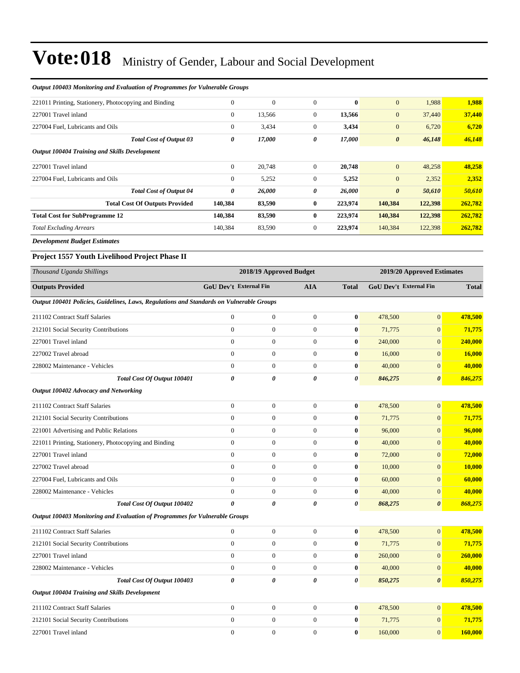| <b>Output 100403 Monitoring and Evaluation of Programmes for Vulnerable Groups</b>               |                               |                         |                  |              |                               |                            |               |
|--------------------------------------------------------------------------------------------------|-------------------------------|-------------------------|------------------|--------------|-------------------------------|----------------------------|---------------|
| 221011 Printing, Stationery, Photocopying and Binding                                            | $\boldsymbol{0}$              | $\overline{0}$          | $\boldsymbol{0}$ | $\bf{0}$     | $\mathbf{0}$                  | 1,988                      | 1,988         |
| 227001 Travel inland                                                                             | $\mathbf{0}$                  | 13,566                  | $\mathbf{0}$     | 13,566       | $\boldsymbol{0}$              | 37,440                     | 37,440        |
| 227004 Fuel, Lubricants and Oils                                                                 | $\mathbf{0}$                  | 3,434                   | $\mathbf{0}$     | 3,434        | $\mathbf{0}$                  | 6,720                      | 6,720         |
| <b>Total Cost of Output 03</b>                                                                   | 0                             | 17,000                  | 0                | 17,000       | $\boldsymbol{\theta}$         | 46,148                     | 46,148        |
| Output 100404 Training and Skills Development                                                    |                               |                         |                  |              |                               |                            |               |
| 227001 Travel inland                                                                             | $\mathbf{0}$                  | 20,748                  | $\mathbf{0}$     | 20,748       | $\mathbf{0}$                  | 48,258                     | 48,258        |
| 227004 Fuel. Lubricants and Oils                                                                 | $\boldsymbol{0}$              | 5,252                   | $\mathbf{0}$     | 5,252        | $\mathbf{0}$                  | 2,352                      | 2,352         |
| <b>Total Cost of Output 04</b>                                                                   | 0                             | 26,000                  | 0                | 26,000       | $\boldsymbol{\theta}$         | 50,610                     | 50,610        |
| <b>Total Cost Of Outputs Provided</b>                                                            | 140,384                       | 83,590                  | $\bf{0}$         | 223,974      | 140,384                       | 122,398                    | 262,782       |
| <b>Total Cost for SubProgramme 12</b>                                                            | 140,384                       | 83,590                  | $\bf{0}$         | 223,974      | 140,384                       | 122,398                    | 262,782       |
| <b>Total Excluding Arrears</b>                                                                   | 140,384                       | 83,590                  | $\mathbf{0}$     | 223,974      | 140,384                       | 122,398                    | 262,782       |
| <b>Development Budget Estimates</b>                                                              |                               |                         |                  |              |                               |                            |               |
| Project 1557 Youth Livelihood Project Phase II                                                   |                               |                         |                  |              |                               |                            |               |
| Thousand Uganda Shillings                                                                        |                               | 2018/19 Approved Budget |                  |              |                               | 2019/20 Approved Estimates |               |
| <b>Outputs Provided</b>                                                                          | <b>GoU Dev't External Fin</b> |                         | <b>AIA</b>       | <b>Total</b> | <b>GoU Dev't External Fin</b> |                            | <b>Total</b>  |
| Output 100401 Policies, Guidelines, Laws, Regulations and Standards on Vulnerable Groups         |                               |                         |                  |              |                               |                            |               |
| 211102 Contract Staff Salaries                                                                   | $\boldsymbol{0}$              | $\boldsymbol{0}$        | $\boldsymbol{0}$ | $\bf{0}$     | 478,500                       | $\boldsymbol{0}$           | 478,500       |
| 212101 Social Security Contributions                                                             | $\boldsymbol{0}$              | $\boldsymbol{0}$        | $\boldsymbol{0}$ | $\bf{0}$     | 71,775                        | $\boldsymbol{0}$           | 71,775        |
| 227001 Travel inland                                                                             | $\boldsymbol{0}$              | $\boldsymbol{0}$        | $\mathbf{0}$     | $\bf{0}$     | 240,000                       | $\overline{0}$             | 240,000       |
| 227002 Travel abroad                                                                             | $\overline{0}$                | $\boldsymbol{0}$        | $\mathbf{0}$     | $\bf{0}$     | 16,000                        | $\overline{0}$             | <b>16,000</b> |
| 228002 Maintenance - Vehicles                                                                    | $\mathbf{0}$                  | $\boldsymbol{0}$        | $\mathbf{0}$     | $\bf{0}$     | 40,000                        | $\overline{0}$             | 40,000        |
| Total Cost Of Output 100401                                                                      | 0                             | 0                       | $\pmb{\theta}$   | 0            | 846,275                       | $\boldsymbol{\theta}$      | 846,275       |
| Output 100402 Advocacy and Networking                                                            |                               |                         |                  |              |                               |                            |               |
| 211102 Contract Staff Salaries                                                                   | $\mathbf{0}$                  | $\boldsymbol{0}$        | $\boldsymbol{0}$ | $\bf{0}$     | 478,500                       | $\overline{0}$             | 478,500       |
| 212101 Social Security Contributions                                                             | $\boldsymbol{0}$              | $\boldsymbol{0}$        | $\mathbf{0}$     | $\bf{0}$     | 71,775                        | $\overline{0}$             | 71,775        |
|                                                                                                  | $\boldsymbol{0}$              | $\boldsymbol{0}$        | $\mathbf{0}$     | $\bf{0}$     |                               | $\overline{0}$             | 96,000        |
| 221001 Advertising and Public Relations<br>221011 Printing, Stationery, Photocopying and Binding | $\boldsymbol{0}$              | $\boldsymbol{0}$        | $\mathbf{0}$     | $\bf{0}$     | 96,000                        | $\overline{0}$             | 40,000        |
| 227001 Travel inland                                                                             | $\overline{0}$                | $\boldsymbol{0}$        | $\boldsymbol{0}$ | $\bf{0}$     | 40,000                        | $\overline{0}$             |               |
|                                                                                                  |                               |                         |                  |              | 72,000                        |                            | 72,000        |
| 227002 Travel abroad                                                                             | 0                             | 0                       | 0                | $\bf{0}$     | 10,000                        | $\mathbf{0}$               | <b>10,000</b> |
| 227004 Fuel, Lubricants and Oils                                                                 | $\boldsymbol{0}$              | $\boldsymbol{0}$        | $\mathbf{0}$     | $\bf{0}$     | 60,000                        | $\mathbf{0}$               | 60,000        |
| 228002 Maintenance - Vehicles                                                                    | $\boldsymbol{0}$              | $\boldsymbol{0}$        | $\mathbf{0}$     | $\bf{0}$     | 40,000                        | $\boldsymbol{0}$           | 40,000        |
| Total Cost Of Output 100402                                                                      | 0                             | 0                       | 0                | 0            | 868,275                       | $\boldsymbol{\theta}$      | 868,275       |
| Output 100403 Monitoring and Evaluation of Programmes for Vulnerable Groups                      |                               |                         |                  |              |                               |                            |               |
| 211102 Contract Staff Salaries                                                                   | $\overline{0}$                | $\boldsymbol{0}$        | $\mathbf{0}$     | $\bf{0}$     | 478,500                       | $\mathbf{0}$               | 478,500       |
| 212101 Social Security Contributions                                                             | $\boldsymbol{0}$              | $\boldsymbol{0}$        | $\mathbf{0}$     | $\bf{0}$     | 71,775                        | $\overline{0}$             | 71,775        |
| 227001 Travel inland                                                                             | $\boldsymbol{0}$              | $\boldsymbol{0}$        | $\mathbf{0}$     | $\bf{0}$     | 260,000                       | $\overline{0}$             | 260,000       |
| 228002 Maintenance - Vehicles                                                                    | $\boldsymbol{0}$              | $\boldsymbol{0}$        | $\boldsymbol{0}$ | $\bf{0}$     | 40,000                        | $\mathbf{0}$               | 40,000        |
| Total Cost Of Output 100403                                                                      | 0                             | 0                       | 0                | 0            | 850,275                       | $\boldsymbol{\theta}$      | 850,275       |
| Output 100404 Training and Skills Development                                                    |                               |                         |                  |              |                               |                            |               |
| 211102 Contract Staff Salaries                                                                   | $\boldsymbol{0}$              | $\boldsymbol{0}$        | $\mathbf{0}$     | $\bf{0}$     | 478,500                       | $\mathbf{0}$               | 478,500       |
| 212101 Social Security Contributions                                                             | $\mathbf{0}$                  | $\boldsymbol{0}$        | $\boldsymbol{0}$ | $\bf{0}$     | 71,775                        | $\mathbf{0}$               | 71,775        |
| 227001 Travel inland                                                                             | $\boldsymbol{0}$              | $\boldsymbol{0}$        | $\boldsymbol{0}$ | $\bf{0}$     | 160,000                       | $\mathbf{0}$               | 160,000       |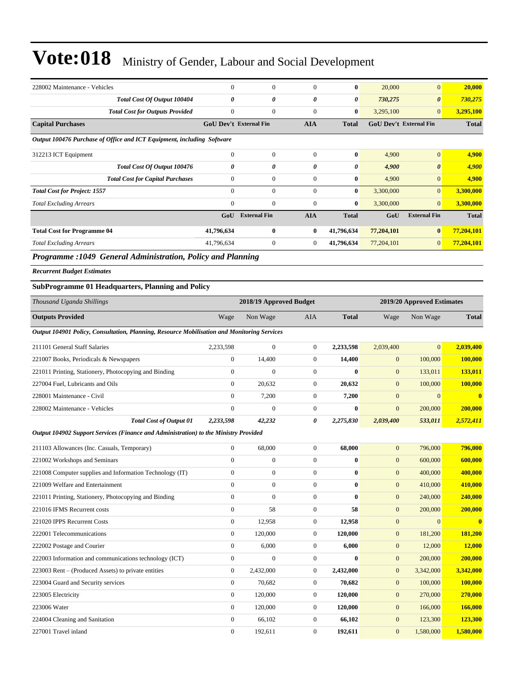| 228002 Maintenance - Vehicles                                                                                                                                                                                                                                                                                     | $\mathbf{0}$                  | $\mathbf{0}$        | $\Omega$       | $\bf{0}$     | 20,000                        | $\overline{0}$        | 20,000       |
|-------------------------------------------------------------------------------------------------------------------------------------------------------------------------------------------------------------------------------------------------------------------------------------------------------------------|-------------------------------|---------------------|----------------|--------------|-------------------------------|-----------------------|--------------|
| Total Cost Of Output 100404                                                                                                                                                                                                                                                                                       | 0                             | 0                   | 0              | 0            | 730,275                       | $\boldsymbol{\theta}$ | 730,275      |
| <b>Total Cost for Outputs Provided</b>                                                                                                                                                                                                                                                                            | $\boldsymbol{0}$              | $\mathbf{0}$        | $\mathbf{0}$   | $\bf{0}$     | 3,295,100                     | $\mathbf{0}$          | 3,295,100    |
| <b>Capital Purchases</b>                                                                                                                                                                                                                                                                                          | <b>GoU Dev't External Fin</b> |                     | <b>AIA</b>     | <b>Total</b> | <b>GoU Dev't External Fin</b> |                       | <b>Total</b> |
| Output 100476 Purchase of Office and ICT Equipment, including Software                                                                                                                                                                                                                                            |                               |                     |                |              |                               |                       |              |
| 312213 ICT Equipment                                                                                                                                                                                                                                                                                              | $\overline{0}$                | $\mathbf{0}$        | $\theta$       | $\bf{0}$     | 4,900                         | $\mathbf{0}$          | 4,900        |
| Total Cost Of Output 100476                                                                                                                                                                                                                                                                                       | 0                             | 0                   | 0              | 0            | 4,900                         | $\boldsymbol{\theta}$ | 4,900        |
| <b>Total Cost for Capital Purchases</b>                                                                                                                                                                                                                                                                           | $\mathbf{0}$                  | $\mathbf{0}$        | $\theta$       | $\bf{0}$     | 4,900                         | $\mathbf{0}$          | 4,900        |
| <b>Total Cost for Project: 1557</b>                                                                                                                                                                                                                                                                               | $\mathbf{0}$                  | $\mathbf{0}$        | $\theta$       | $\bf{0}$     | 3,300,000                     | $\overline{0}$        | 3,300,000    |
| <b>Total Excluding Arrears</b>                                                                                                                                                                                                                                                                                    | $\mathbf{0}$                  | $\mathbf{0}$        | $\Omega$       | $\bf{0}$     | 3,300,000                     | $\overline{0}$        | 3,300,000    |
|                                                                                                                                                                                                                                                                                                                   | GoU                           | <b>External Fin</b> | <b>AIA</b>     | <b>Total</b> | GoU                           | <b>External Fin</b>   | <b>Total</b> |
| <b>Total Cost for Programme 04</b>                                                                                                                                                                                                                                                                                | 41,796,634                    | $\mathbf{0}$        | $\bf{0}$       | 41,796,634   | 77,204,101                    | $\bf{0}$              | 77,204,101   |
| <b>Total Excluding Arrears</b>                                                                                                                                                                                                                                                                                    | 41,796,634                    | $\mathbf{0}$        | $\overline{0}$ | 41,796,634   | 77,204,101                    | $\mathbf{0}$          | 77,204,101   |
| $\mathbf{D}_{11}$ and $\mathbf{D}_{21}$ and $\mathbf{D}_{31}$ and $\mathbf{D}_{11}$ and $\mathbf{D}_{21}$ and $\mathbf{D}_{31}$ and $\mathbf{D}_{41}$ and $\mathbf{D}_{51}$ and $\mathbf{D}_{61}$ and $\mathbf{D}_{71}$ and $\mathbf{D}_{81}$ and $\mathbf{D}_{91}$ and $\mathbf{D}_{10}$ and $\mathbf{D}_{11}$ a |                               |                     |                |              |                               |                       |              |

*Programme :1049 General Administration, Policy and Planning* 

*Recurrent Budget Estimates*

#### **SubProgramme 01 Headquarters, Planning and Policy**

| Thousand Uganda Shillings                                                                   |                  | 2018/19 Approved Budget |                  |              |                  | 2019/20 Approved Estimates |                         |
|---------------------------------------------------------------------------------------------|------------------|-------------------------|------------------|--------------|------------------|----------------------------|-------------------------|
| <b>Outputs Provided</b>                                                                     | Wage             | Non Wage                | <b>AIA</b>       | <b>Total</b> | Wage             | Non Wage                   | <b>Total</b>            |
| Output 104901 Policy, Consultation, Planning, Resource Mobilisation and Monitoring Services |                  |                         |                  |              |                  |                            |                         |
| 211101 General Staff Salaries                                                               | 2,233,598        | $\overline{0}$          | $\overline{0}$   | 2,233,598    | 2,039,400        | $\overline{0}$             | 2,039,400               |
| 221007 Books, Periodicals & Newspapers                                                      | $\boldsymbol{0}$ | 14,400                  | $\boldsymbol{0}$ | 14,400       | $\mathbf{0}$     | 100,000                    | 100,000                 |
| 221011 Printing, Stationery, Photocopying and Binding                                       | $\Omega$         | $\Omega$                | $\overline{0}$   | $\mathbf{0}$ | $\mathbf{0}$     | 133,011                    | 133,011                 |
| 227004 Fuel, Lubricants and Oils                                                            | $\Omega$         | 20.632                  | $\overline{0}$   | 20,632       | $\mathbf{0}$     | 100,000                    | 100,000                 |
| 228001 Maintenance - Civil                                                                  | $\mathbf{0}$     | 7,200                   | $\boldsymbol{0}$ | 7,200        | $\mathbf{0}$     | $\overline{0}$             | $\mathbf{0}$            |
| 228002 Maintenance - Vehicles                                                               | $\overline{0}$   | $\overline{0}$          | $\overline{0}$   | $\bf{0}$     | $\boldsymbol{0}$ | 200,000                    | 200,000                 |
| <b>Total Cost of Output 01</b>                                                              | 2,233,598        | 42,232                  | 0                | 2,275,830    | 2,039,400        | 533,011                    | 2,572,411               |
| Output 104902 Support Services (Finance and Administration) to the Ministry Provided        |                  |                         |                  |              |                  |                            |                         |
| 211103 Allowances (Inc. Casuals, Temporary)                                                 | $\mathbf{0}$     | 68,000                  | $\overline{0}$   | 68,000       | $\boldsymbol{0}$ | 796,000                    | 796,000                 |
| 221002 Workshops and Seminars                                                               | $\overline{0}$   | $\boldsymbol{0}$        | $\boldsymbol{0}$ | $\bf{0}$     | $\mathbf{0}$     | 600,000                    | 600,000                 |
| 221008 Computer supplies and Information Technology (IT)                                    | $\overline{0}$   | $\overline{0}$          | $\overline{0}$   | $\bf{0}$     | $\mathbf{0}$     | 400,000                    | 400,000                 |
| 221009 Welfare and Entertainment                                                            | $\Omega$         | $\overline{0}$          | $\overline{0}$   | $\mathbf{0}$ | $\mathbf{0}$     | 410,000                    | 410,000                 |
| 221011 Printing, Stationery, Photocopying and Binding                                       | $\mathbf{0}$     | $\overline{0}$          | $\overline{0}$   | $\mathbf{0}$ | $\mathbf{0}$     | 240,000                    | 240,000                 |
| 221016 IFMS Recurrent costs                                                                 | $\mathbf{0}$     | 58                      | $\boldsymbol{0}$ | 58           | $\mathbf{0}$     | 200,000                    | 200,000                 |
| 221020 IPPS Recurrent Costs                                                                 | $\overline{0}$   | 12.958                  | $\overline{0}$   | 12,958       | $\overline{0}$   | $\overline{0}$             | $\overline{\mathbf{0}}$ |
| 222001 Telecommunications                                                                   | $\mathbf{0}$     | 120,000                 | $\overline{0}$   | 120,000      | $\mathbf{0}$     | 181,200                    | 181,200                 |
| 222002 Postage and Courier                                                                  | $\mathbf{0}$     | 6,000                   | $\overline{0}$   | 6,000        | $\mathbf{0}$     | 12,000                     | 12,000                  |
| 222003 Information and communications technology (ICT)                                      | $\mathbf{0}$     | $\overline{0}$          | $\overline{0}$   | $\mathbf{0}$ | $\mathbf{0}$     | 200,000                    | 200,000                 |
| 223003 Rent – (Produced Assets) to private entities                                         | $\boldsymbol{0}$ | 2,432,000               | $\boldsymbol{0}$ | 2,432,000    | $\mathbf{0}$     | 3,342,000                  | 3,342,000               |
| 223004 Guard and Security services                                                          | $\mathbf{0}$     | 70,682                  | $\overline{0}$   | 70,682       | $\mathbf{0}$     | 100,000                    | 100,000                 |
| 223005 Electricity                                                                          | $\Omega$         | 120,000                 | $\overline{0}$   | 120,000      | $\mathbf{0}$     | 270,000                    | 270,000                 |
| 223006 Water                                                                                | $\mathbf{0}$     | 120,000                 | $\overline{0}$   | 120,000      | $\mathbf{0}$     | 166,000                    | 166,000                 |
| 224004 Cleaning and Sanitation                                                              | $\mathbf{0}$     | 66,102                  | $\overline{0}$   | 66,102       | $\mathbf{0}$     | 123,300                    | 123,300                 |
| 227001 Travel inland                                                                        | $\overline{0}$   | 192,611                 | $\overline{0}$   | 192.611      | $\overline{0}$   | 1,580,000                  | 1,580,000               |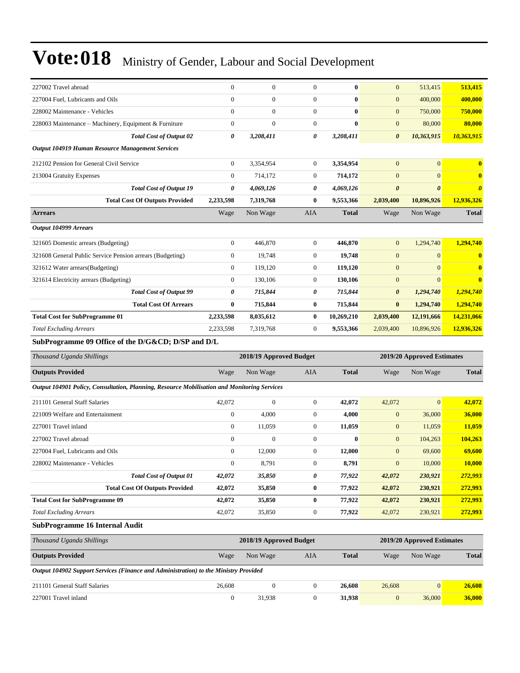| 227002 Travel abroad                                      | $\overline{0}$ | $\Omega$  | $\Omega$       | $\mathbf{0}$ | $\mathbf{0}$          | 513,415               | 513,415               |
|-----------------------------------------------------------|----------------|-----------|----------------|--------------|-----------------------|-----------------------|-----------------------|
| 227004 Fuel, Lubricants and Oils                          | $\Omega$       | $\Omega$  | $\Omega$       | $\bf{0}$     | $\mathbf{0}$          | 400,000               | 400,000               |
| 228002 Maintenance - Vehicles                             | $\Omega$       | $\Omega$  | $\Omega$       | $\mathbf{0}$ | $\mathbf{0}$          | 750,000               | 750,000               |
| 228003 Maintenance - Machinery, Equipment & Furniture     | $\overline{0}$ | $\Omega$  | $\Omega$       | $\mathbf{0}$ | $\mathbf{0}$          | 80,000                | 80,000                |
| <b>Total Cost of Output 02</b>                            | 0              | 3,208,411 | 0              | 3,208,411    | $\boldsymbol{\theta}$ | 10,363,915            | 10,363,915            |
| Output 104919 Human Resource Management Services          |                |           |                |              |                       |                       |                       |
| 212102 Pension for General Civil Service                  | $\Omega$       | 3,354,954 | $\overline{0}$ | 3,354,954    | $\mathbf{0}$          | $\overline{0}$        | $\mathbf{0}$          |
| 213004 Gratuity Expenses                                  | $\Omega$       | 714,172   | $\overline{0}$ | 714,172      | $\overline{0}$        | $\Omega$              | $\bf{0}$              |
| <b>Total Cost of Output 19</b>                            | 0              | 4,069,126 | 0              | 4,069,126    | $\boldsymbol{\theta}$ | $\boldsymbol{\theta}$ | $\boldsymbol{\theta}$ |
| <b>Total Cost Of Outputs Provided</b>                     | 2,233,598      | 7,319,768 | $\bf{0}$       | 9,553,366    | 2,039,400             | 10,896,926            | 12,936,326            |
| <b>Arrears</b>                                            | Wage           | Non Wage  | <b>AIA</b>     | <b>Total</b> | Wage                  | Non Wage              | <b>Total</b>          |
| Output 104999 Arrears                                     |                |           |                |              |                       |                       |                       |
| 321605 Domestic arrears (Budgeting)                       | $\Omega$       | 446,870   | $\theta$       | 446.870      | $\overline{0}$        | 1,294,740             | 1.294.740             |
| 321608 General Public Service Pension arrears (Budgeting) | $\overline{0}$ | 19,748    | $\theta$       | 19,748       | $\mathbf{0}$          | $\Omega$              |                       |
| 321612 Water arrears(Budgeting)                           | $\overline{0}$ | 119,120   | $\theta$       | 119,120      | $\mathbf{0}$          | $\overline{0}$        | 0                     |
| 321614 Electricity arrears (Budgeting)                    | $\Omega$       | 130,106   | $\theta$       | 130,106      | $\mathbf{0}$          | $\Omega$              | $\mathbf{0}$          |
| <b>Total Cost of Output 99</b>                            | 0              | 715,844   | 0              | 715,844      | $\boldsymbol{\theta}$ | 1,294,740             | 1,294,740             |
| <b>Total Cost Of Arrears</b>                              | $\bf{0}$       | 715,844   | $\bf{0}$       | 715,844      | $\bf{0}$              | 1,294,740             | 1,294,740             |
| <b>Total Cost for SubProgramme 01</b>                     | 2,233,598      | 8,035,612 | $\bf{0}$       | 10,269,210   | 2,039,400             | 12,191,666            | 14,231,066            |
| <b>Total Excluding Arrears</b>                            | 2,233,598      | 7,319,768 | $\theta$       | 9,553,366    | 2,039,400             | 10,896,926            | 12,936,326            |
|                                                           |                |           |                |              |                       |                       |                       |

#### **SubProgramme 09 Office of the D/G&CD; D/SP and D/L**

| Thousand Uganda Shillings                                                                                           | 2018/19 Approved Budget<br>2019/20 Approved Estimates |              |                |              |              |                |              |
|---------------------------------------------------------------------------------------------------------------------|-------------------------------------------------------|--------------|----------------|--------------|--------------|----------------|--------------|
| <b>Outputs Provided</b>                                                                                             | Wage                                                  | Non Wage     | AIA            | <b>Total</b> | Wage         | Non Wage       | <b>Total</b> |
| Output 104901 Policy, Consultation, Planning, Resource Mobilisation and Monitoring Services                         |                                                       |              |                |              |              |                |              |
| 211101 General Staff Salaries                                                                                       | 42,072                                                | $\Omega$     | $\overline{0}$ | 42,072       | 42,072       | $\overline{0}$ | 42,072       |
| 221009 Welfare and Entertainment                                                                                    | $\mathbf{0}$                                          | 4,000        | $\overline{0}$ | 4,000        | $\mathbf{0}$ | 36,000         | 36,000       |
| 227001 Travel inland                                                                                                | $\overline{0}$                                        | 11,059       | $\Omega$       | 11,059       | $\mathbf{0}$ | 11,059         | 11,059       |
| 227002 Travel abroad                                                                                                | $\mathbf{0}$                                          | $\mathbf{0}$ | $\mathbf{0}$   | $\mathbf{0}$ | $\mathbf{0}$ | 104,263        | 104,263      |
| 227004 Fuel, Lubricants and Oils                                                                                    | $\overline{0}$                                        | 12,000       | $\overline{0}$ | 12,000       | $\mathbf{0}$ | 69,600         | 69,600       |
| 228002 Maintenance - Vehicles                                                                                       | $\mathbf{0}$                                          | 8,791        | $\theta$       | 8,791        | $\mathbf{0}$ | 10,000         | 10,000       |
| <b>Total Cost of Output 01</b>                                                                                      | 42,072                                                | 35,850       | 0              | 77,922       | 42,072       | 230,921        | 272,993      |
| <b>Total Cost Of Outputs Provided</b>                                                                               | 42,072                                                | 35,850       | $\bf{0}$       | 77,922       | 42,072       | 230,921        | 272,993      |
| <b>Total Cost for SubProgramme 09</b>                                                                               | 42,072                                                | 35,850       | $\bf{0}$       | 77,922       | 42,072       | 230,921        | 272,993      |
| <b>Total Excluding Arrears</b>                                                                                      | 42,072                                                | 35,850       | $\overline{0}$ | 77,922       | 42,072       | 230,921        | 272,993      |
| $\alpha$ in<br>$\mathbf{A} \times \mathbf{F}$ and $\mathbf{A} \times \mathbf{F}$ and $\mathbf{A} \times \mathbf{F}$ |                                                       |              |                |              |              |                |              |

#### **SubProgramme 16 Internal Audit**

| Thousand Uganda Shillings                                                            |        | 2018/19 Approved Budget |     |              | 2019/20 Approved Estimates |                |              |
|--------------------------------------------------------------------------------------|--------|-------------------------|-----|--------------|----------------------------|----------------|--------------|
| <b>Outputs Provided</b>                                                              | Wage   | Non Wage                | AIA | <b>Total</b> | Wage                       | Non Wage       | <b>Total</b> |
| Output 104902 Support Services (Finance and Administration) to the Ministry Provided |        |                         |     |              |                            |                |              |
| 211101 General Staff Salaries                                                        | 26,608 | 0                       |     | 26,608       | 26,608                     | $\overline{0}$ | 26,608       |
| 227001 Travel inland                                                                 |        | 31,938                  |     | 31.938       | $\overline{0}$             | 36,000         | 36,000       |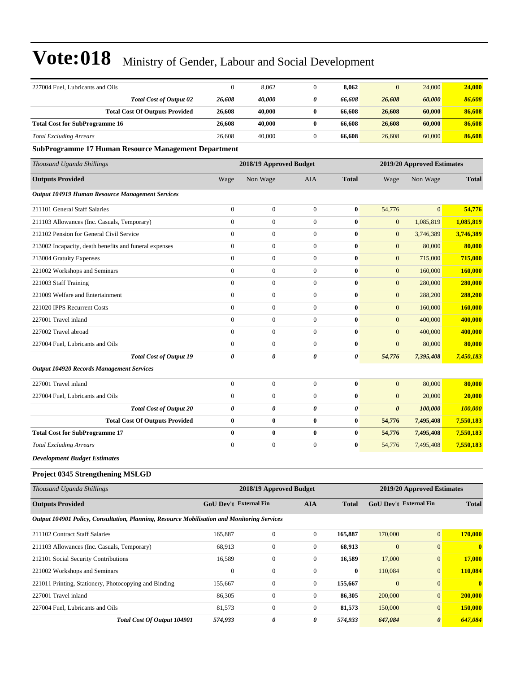| 227004 Fuel, Lubricants and Oils                                                            | $\mathbf{0}$           | 8,062                   | $\mathbf{0}$     | 8,062                 | $\overline{0}$        | 24,000                     | 24,000        |
|---------------------------------------------------------------------------------------------|------------------------|-------------------------|------------------|-----------------------|-----------------------|----------------------------|---------------|
| <b>Total Cost of Output 02</b>                                                              | 26,608                 | 40,000                  | 0                | 66,608                | 26,608                | 60,000                     | 86,608        |
| <b>Total Cost Of Outputs Provided</b>                                                       | 26,608                 | 40,000                  | $\bf{0}$         | 66,608                | 26,608                | 60,000                     | 86,608        |
| <b>Total Cost for SubProgramme 16</b>                                                       | 26,608                 | 40,000                  | $\bf{0}$         | 66,608                | 26,608                | 60,000                     | 86,608        |
| <b>Total Excluding Arrears</b>                                                              | 26,608                 | 40,000                  | $\boldsymbol{0}$ | 66,608                | 26,608                | 60,000                     | 86,608        |
| <b>SubProgramme 17 Human Resource Management Department</b>                                 |                        |                         |                  |                       |                       |                            |               |
| Thousand Uganda Shillings                                                                   |                        | 2018/19 Approved Budget |                  |                       |                       | 2019/20 Approved Estimates |               |
| <b>Outputs Provided</b>                                                                     | Wage                   | Non Wage                | AIA              | <b>Total</b>          | Wage                  | Non Wage                   | <b>Total</b>  |
| Output 104919 Human Resource Management Services                                            |                        |                         |                  |                       |                       |                            |               |
| 211101 General Staff Salaries                                                               | $\boldsymbol{0}$       | $\mathbf{0}$            | $\overline{0}$   | $\bf{0}$              | 54,776                | $\overline{0}$             | 54,776        |
| 211103 Allowances (Inc. Casuals, Temporary)                                                 | $\mathbf{0}$           | $\mathbf{0}$            | $\overline{0}$   | $\bf{0}$              | $\boldsymbol{0}$      | 1,085,819                  | 1,085,819     |
| 212102 Pension for General Civil Service                                                    | $\boldsymbol{0}$       | $\boldsymbol{0}$        | $\boldsymbol{0}$ | $\bf{0}$              | $\boldsymbol{0}$      | 3,746,389                  | 3,746,389     |
| 213002 Incapacity, death benefits and funeral expenses                                      | $\boldsymbol{0}$       | $\boldsymbol{0}$        | $\boldsymbol{0}$ | $\bf{0}$              | $\boldsymbol{0}$      | 80,000                     | 80,000        |
| 213004 Gratuity Expenses                                                                    | $\mathbf{0}$           | $\mathbf{0}$            | $\boldsymbol{0}$ | $\bf{0}$              | $\mathbf{0}$          | 715,000                    | 715,000       |
| 221002 Workshops and Seminars                                                               | $\mathbf{0}$           | $\mathbf{0}$            | $\overline{0}$   | $\bf{0}$              | $\mathbf{0}$          | 160,000                    | 160,000       |
| 221003 Staff Training                                                                       | $\mathbf{0}$           | $\mathbf{0}$            | $\mathbf{0}$     | $\bf{0}$              | $\boldsymbol{0}$      | 280,000                    | 280,000       |
| 221009 Welfare and Entertainment                                                            | $\boldsymbol{0}$       | $\boldsymbol{0}$        | $\boldsymbol{0}$ | $\bf{0}$              | $\boldsymbol{0}$      | 288,200                    | 288,200       |
| 221020 IPPS Recurrent Costs                                                                 | $\boldsymbol{0}$       | $\boldsymbol{0}$        | $\boldsymbol{0}$ | $\bf{0}$              | $\boldsymbol{0}$      | 160,000                    | 160,000       |
| 227001 Travel inland                                                                        | $\mathbf{0}$           | $\mathbf{0}$            | $\boldsymbol{0}$ | $\bf{0}$              | $\mathbf{0}$          | 400,000                    | 400,000       |
| 227002 Travel abroad                                                                        | $\mathbf{0}$           | $\mathbf{0}$            | $\mathbf{0}$     | $\bf{0}$              | $\mathbf{0}$          | 400,000                    | 400,000       |
| 227004 Fuel, Lubricants and Oils                                                            | $\mathbf{0}$           | $\mathbf{0}$            | $\mathbf{0}$     | $\bf{0}$              | $\overline{0}$        | 80,000                     | 80,000        |
| <b>Total Cost of Output 19</b>                                                              | 0                      | 0                       | 0                | $\boldsymbol{\theta}$ | 54,776                | 7,395,408                  | 7,450,183     |
| <b>Output 104920 Records Management Services</b>                                            |                        |                         |                  |                       |                       |                            |               |
| 227001 Travel inland                                                                        | $\boldsymbol{0}$       | $\boldsymbol{0}$        | $\boldsymbol{0}$ | $\bf{0}$              | $\mathbf{0}$          | 80,000                     | 80,000        |
| 227004 Fuel, Lubricants and Oils                                                            | $\mathbf{0}$           | $\boldsymbol{0}$        | $\boldsymbol{0}$ | $\bf{0}$              | $\mathbf{0}$          | 20,000                     | 20,000        |
| <b>Total Cost of Output 20</b>                                                              | 0                      | 0                       | 0                | $\boldsymbol{\theta}$ | $\boldsymbol{\theta}$ | 100,000                    | 100,000       |
| <b>Total Cost Of Outputs Provided</b>                                                       | $\bf{0}$               | $\bf{0}$                | 0                | $\bf{0}$              | 54,776                | 7,495,408                  | 7,550,183     |
| <b>Total Cost for SubProgramme 17</b>                                                       | $\bf{0}$               | $\bf{0}$                | $\bf{0}$         | $\bf{0}$              | 54,776                | 7,495,408                  | 7,550,183     |
| <b>Total Excluding Arrears</b>                                                              | $\boldsymbol{0}$       | $\boldsymbol{0}$        | $\boldsymbol{0}$ | $\bf{0}$              | 54,776                | 7,495,408                  | 7,550,183     |
| <b>Development Budget Estimates</b>                                                         |                        |                         |                  |                       |                       |                            |               |
| Project 0345 Strengthening MSLGD                                                            |                        |                         |                  |                       |                       |                            |               |
| Thousand Uganda Shillings                                                                   |                        | 2018/19 Approved Budget |                  |                       |                       | 2019/20 Approved Estimates |               |
| <b>Outputs Provided</b>                                                                     | GoU Dev't External Fin |                         | <b>AIA</b>       | <b>Total</b>          |                       | GoU Dev't External Fin     | <b>Total</b>  |
| Output 104901 Policy, Consultation, Planning, Resource Mobilisation and Monitoring Services |                        |                         |                  |                       |                       |                            |               |
| 211102 Contract Staff Salaries                                                              | 165,887                | $\boldsymbol{0}$        | $\boldsymbol{0}$ | 165,887               | 170,000               | $\mathbf{0}$               | 170,000       |
| 211103 Allowances (Inc. Casuals, Temporary)                                                 | 68,913                 | $\boldsymbol{0}$        | $\boldsymbol{0}$ | 68,913                | $\mathbf{0}$          | $\mathbf{0}$               | $\bf{0}$      |
| 212101 Social Security Contributions                                                        | 16,589                 | $\boldsymbol{0}$        | $\boldsymbol{0}$ | 16,589                | 17,000                | $\mathbf{0}$               | <b>17,000</b> |
| 221002 Workshops and Seminars                                                               | $\boldsymbol{0}$       | $\boldsymbol{0}$        | $\boldsymbol{0}$ | $\bf{0}$              | 110,084               | $\mathbf{0}$               | 110,084       |
| 221011 Printing, Stationery, Photocopying and Binding                                       | 155,667                | $\boldsymbol{0}$        | $\boldsymbol{0}$ | 155,667               | $\boldsymbol{0}$      | $\mathbf{0}$               | $\bf{0}$      |
| 227001 Travel inland                                                                        | 86,305                 | $\boldsymbol{0}$        | $\boldsymbol{0}$ | 86,305                | 200,000               | $\mathbf{0}$               | 200,000       |
| 227004 Fuel, Lubricants and Oils                                                            | 81,573                 | $\boldsymbol{0}$        | $\boldsymbol{0}$ | 81,573                | 150,000               | $\mathbf{0}$               | 150,000       |
| Total Cost Of Output 104901                                                                 | 574,933                | 0                       | 0                | 574,933               | 647,084               | 0                          | 647,084       |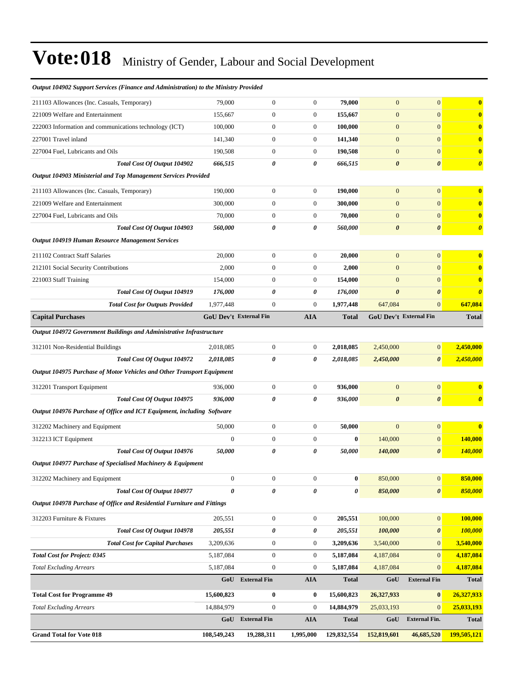| 211103 Allowances (Inc. Casuals, Temporary)                                    | 79,000                        | $\overline{0}$                       | $\overline{0}$        | 79,000                 | $\mathbf{0}$                  | $\overline{0}$                 | $\bf{0}$              |
|--------------------------------------------------------------------------------|-------------------------------|--------------------------------------|-----------------------|------------------------|-------------------------------|--------------------------------|-----------------------|
| 221009 Welfare and Entertainment                                               | 155,667                       | $\overline{0}$                       | $\mathbf{0}$          | 155,667                | $\mathbf{0}$                  | $\overline{0}$                 | $\bf{0}$              |
| 222003 Information and communications technology (ICT)                         | 100,000                       | $\boldsymbol{0}$                     | $\boldsymbol{0}$      | 100,000                | $\mathbf{0}$                  | $\overline{0}$                 | $\mathbf{0}$          |
| 227001 Travel inland                                                           | 141,340                       | $\boldsymbol{0}$                     | $\boldsymbol{0}$      | 141,340                | $\mathbf{0}$                  | $\overline{0}$                 | $\bf{0}$              |
| 227004 Fuel, Lubricants and Oils                                               | 190,508                       | $\boldsymbol{0}$                     | $\boldsymbol{0}$      | 190,508                | $\mathbf{0}$                  | $\overline{0}$                 | $\mathbf{0}$          |
| Total Cost Of Output 104902                                                    | 666,515                       | 0                                    | 0                     | 666,515                | $\boldsymbol{\theta}$         | 0                              | $\boldsymbol{\theta}$ |
| Output 104903 Ministerial and Top Management Services Provided                 |                               |                                      |                       |                        |                               |                                |                       |
| 211103 Allowances (Inc. Casuals, Temporary)                                    | 190,000                       | $\boldsymbol{0}$                     | $\boldsymbol{0}$      | 190,000                | $\mathbf{0}$                  | $\overline{0}$                 | $\mathbf{0}$          |
| 221009 Welfare and Entertainment                                               | 300,000                       | $\boldsymbol{0}$                     | $\mathbf{0}$          | 300,000                | $\mathbf{0}$                  | $\overline{0}$                 | $\mathbf{0}$          |
| 227004 Fuel, Lubricants and Oils                                               | 70,000                        | $\boldsymbol{0}$                     | $\boldsymbol{0}$      | 70,000                 | $\mathbf{0}$                  | $\overline{0}$                 | $\bf{0}$              |
| Total Cost Of Output 104903                                                    | <i><b>560,000</b></i>         | 0                                    | 0                     | 560,000                | $\boldsymbol{\theta}$         | $\boldsymbol{\theta}$          | $\boldsymbol{\theta}$ |
| <b>Output 104919 Human Resource Management Services</b>                        |                               |                                      |                       |                        |                               |                                |                       |
| 211102 Contract Staff Salaries                                                 | 20,000                        | $\boldsymbol{0}$                     | $\mathbf{0}$          | 20,000                 | $\mathbf{0}$                  | $\overline{0}$                 | $\mathbf{0}$          |
| 212101 Social Security Contributions                                           | 2,000                         | $\overline{0}$                       | 0                     | 2,000                  | $\mathbf{0}$                  | $\overline{0}$                 | $\bf{0}$              |
| 221003 Staff Training                                                          | 154,000                       | $\boldsymbol{0}$                     | $\boldsymbol{0}$      | 154,000                | $\mathbf{0}$                  | $\overline{0}$                 | $\bf{0}$              |
| Total Cost Of Output 104919                                                    | 176,000                       | 0                                    | 0                     | 176,000                | $\boldsymbol{\theta}$         | $\boldsymbol{\theta}$          | $\boldsymbol{\theta}$ |
| <b>Total Cost for Outputs Provided</b>                                         | 1,977,448                     | $\boldsymbol{0}$                     | 0                     | 1,977,448              | 647,084                       | $\boldsymbol{0}$               | 647,084               |
| <b>Capital Purchases</b>                                                       | <b>GoU Dev't External Fin</b> |                                      | <b>AIA</b>            | <b>Total</b>           | <b>GoU Dev't External Fin</b> |                                | <b>Total</b>          |
|                                                                                |                               |                                      |                       |                        |                               |                                |                       |
| Output 104972 Government Buildings and Administrative Infrastructure           |                               |                                      |                       |                        |                               |                                |                       |
| 312101 Non-Residential Buildings                                               | 2,018,085                     | $\boldsymbol{0}$                     | $\mathbf{0}$          | 2,018,085              | 2,450,000                     | $\overline{0}$                 | 2,450,000             |
| Total Cost Of Output 104972                                                    | 2,018,085                     | 0                                    | 0                     | 2,018,085              | 2,450,000                     | $\boldsymbol{\theta}$          | 2,450,000             |
| Output 104975 Purchase of Motor Vehicles and Other Transport Equipment         |                               |                                      |                       |                        |                               |                                |                       |
| 312201 Transport Equipment                                                     | 936,000                       | $\overline{0}$                       | $\mathbf{0}$          | 936,000                | $\mathbf{0}$                  | $\overline{0}$                 | $\mathbf{0}$          |
| Total Cost Of Output 104975                                                    | 936,000                       | 0                                    | 0                     | 936,000                | $\boldsymbol{\theta}$         | $\boldsymbol{\theta}$          | $\boldsymbol{\theta}$ |
| Output 104976 Purchase of Office and ICT Equipment, including Software         |                               |                                      |                       |                        |                               |                                |                       |
| 312202 Machinery and Equipment                                                 | 50,000                        | $\boldsymbol{0}$                     | $\mathbf{0}$          | 50,000                 | $\mathbf{0}$                  | $\boldsymbol{0}$               | $\bf{0}$              |
| 312213 ICT Equipment                                                           | $\mathbf{0}$                  | $\boldsymbol{0}$                     | $\mathbf{0}$          | $\bf{0}$               | 140,000                       | $\overline{0}$                 | 140,000               |
| Total Cost Of Output 104976                                                    | 50,000                        | 0                                    | 0                     | 50,000                 | 140,000                       | $\boldsymbol{\theta}$          | 140,000               |
| Output 104977 Purchase of Specialised Machinery & Equipment                    |                               |                                      |                       |                        |                               |                                |                       |
| 312202 Machinery and Equipment                                                 | $\mathbf{0}$                  | $\boldsymbol{0}$                     | $\mathbf{0}$          | $\bf{0}$               | 850,000                       | $\mathbf{0}$                   | 850,000               |
| Total Cost Of Output 104977                                                    | $\boldsymbol{\theta}$         | 0                                    | 0                     | 0                      | 850,000                       | $\boldsymbol{\theta}$          | 850,000               |
| Output 104978 Purchase of Office and Residential Furniture and Fittings        |                               |                                      |                       |                        |                               |                                |                       |
|                                                                                |                               |                                      |                       |                        |                               |                                |                       |
| 312203 Furniture & Fixtures<br>Total Cost Of Output 104978                     | 205,551<br>205,551            | $\boldsymbol{0}$<br>0                | $\boldsymbol{0}$<br>0 | 205,551<br>205,551     | 100,000<br>100,000            | $\mathbf{0}$                   | 100,000<br>100,000    |
|                                                                                |                               |                                      |                       |                        |                               | 0                              | 3,540,000             |
| <b>Total Cost for Capital Purchases</b><br><b>Total Cost for Project: 0345</b> | 3,209,636                     | $\boldsymbol{0}$<br>$\boldsymbol{0}$ | 0<br>$\boldsymbol{0}$ | 3,209,636<br>5,187,084 | 3,540,000                     | $\overline{0}$<br>$\mathbf{0}$ | 4,187,084             |
| <b>Total Excluding Arrears</b>                                                 | 5,187,084<br>5,187,084        | $\boldsymbol{0}$                     | 0                     | 5,187,084              | 4,187,084<br>4,187,084        | $\overline{0}$                 | 4,187,084             |
|                                                                                | GoU                           | <b>External Fin</b>                  | <b>AIA</b>            | <b>Total</b>           | GoU                           | <b>External Fin</b>            | <b>Total</b>          |
|                                                                                |                               |                                      |                       |                        |                               |                                |                       |
| <b>Total Cost for Programme 49</b>                                             | 15,600,823                    | $\boldsymbol{0}$                     | $\bf{0}$              | 15,600,823             | 26,327,933                    | $\bf{0}$                       | 26,327,933            |
| <b>Total Excluding Arrears</b>                                                 | 14,884,979                    | $\boldsymbol{0}$                     | $\mathbf{0}$          | 14,884,979             | 25,033,193                    | $\mathbf{0}$                   | 25,033,193            |
|                                                                                | GoU                           | <b>External Fin</b>                  | <b>AIA</b>            | <b>Total</b>           | GoU                           | <b>External Fin.</b>           | <b>Total</b>          |
| <b>Grand Total for Vote 018</b>                                                | 108,549,243                   | 19,288,311                           | 1,995,000             | 129,832,554            | 152,819,601                   | 46,685,520                     | 199,505,121           |

#### *Output 104902 Support Services (Finance and Administration) to the Ministry Provided*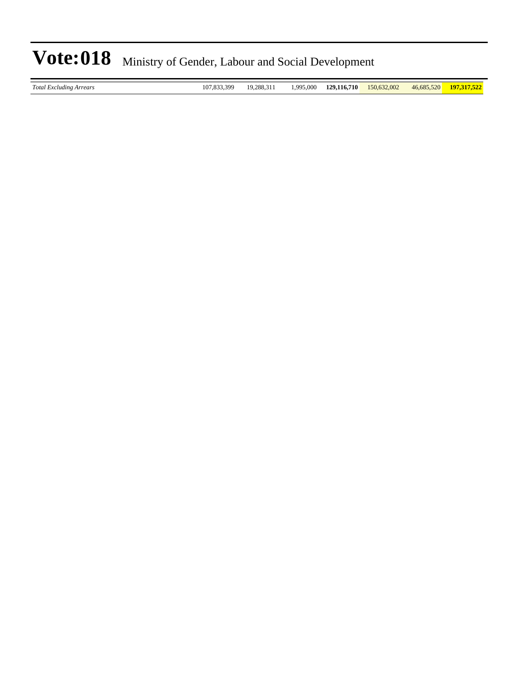*Total Excluding Arrears* 107,833,399 19,288,311 1,995,000 **129,116,710** 150,632,002 46,685,520 **197,317,522**